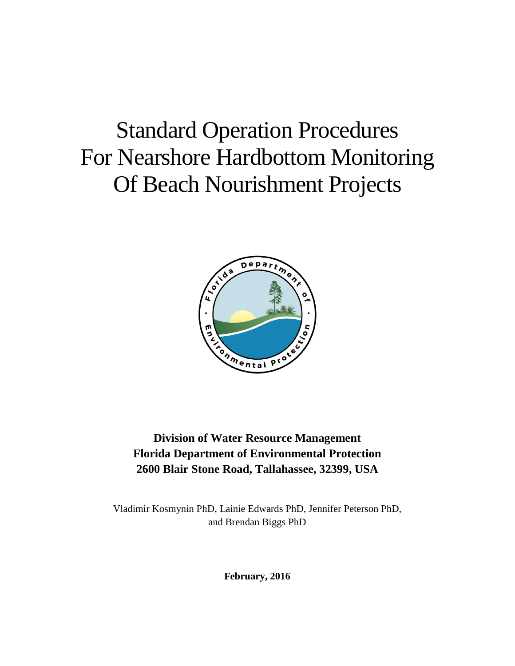# Standard Operation Procedures For Nearshore Hardbottom Monitoring Of Beach Nourishment Projects



# **Division of Water Resource Management Florida Department of Environmental Protection 2600 Blair Stone Road, Tallahassee, 32399, USA**

Vladimir Kosmynin PhD, Lainie Edwards PhD, Jennifer Peterson PhD, and Brendan Biggs PhD

**February, 2016**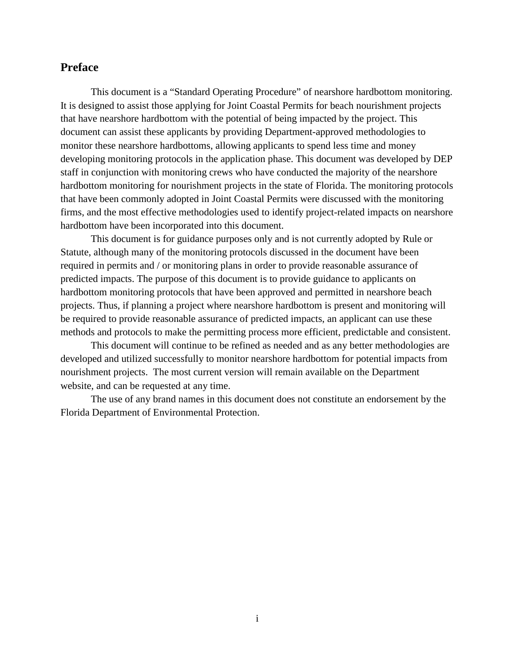# **Preface**

This document is a "Standard Operating Procedure" of nearshore hardbottom monitoring. It is designed to assist those applying for Joint Coastal Permits for beach nourishment projects that have nearshore hardbottom with the potential of being impacted by the project. This document can assist these applicants by providing Department-approved methodologies to monitor these nearshore hardbottoms, allowing applicants to spend less time and money developing monitoring protocols in the application phase. This document was developed by DEP staff in conjunction with monitoring crews who have conducted the majority of the nearshore hardbottom monitoring for nourishment projects in the state of Florida. The monitoring protocols that have been commonly adopted in Joint Coastal Permits were discussed with the monitoring firms, and the most effective methodologies used to identify project-related impacts on nearshore hardbottom have been incorporated into this document.

This document is for guidance purposes only and is not currently adopted by Rule or Statute, although many of the monitoring protocols discussed in the document have been required in permits and / or monitoring plans in order to provide reasonable assurance of predicted impacts. The purpose of this document is to provide guidance to applicants on hardbottom monitoring protocols that have been approved and permitted in nearshore beach projects. Thus, if planning a project where nearshore hardbottom is present and monitoring will be required to provide reasonable assurance of predicted impacts, an applicant can use these methods and protocols to make the permitting process more efficient, predictable and consistent.

This document will continue to be refined as needed and as any better methodologies are developed and utilized successfully to monitor nearshore hardbottom for potential impacts from nourishment projects. The most current version will remain available on the Department website, and can be requested at any time.

The use of any brand names in this document does not constitute an endorsement by the Florida Department of Environmental Protection.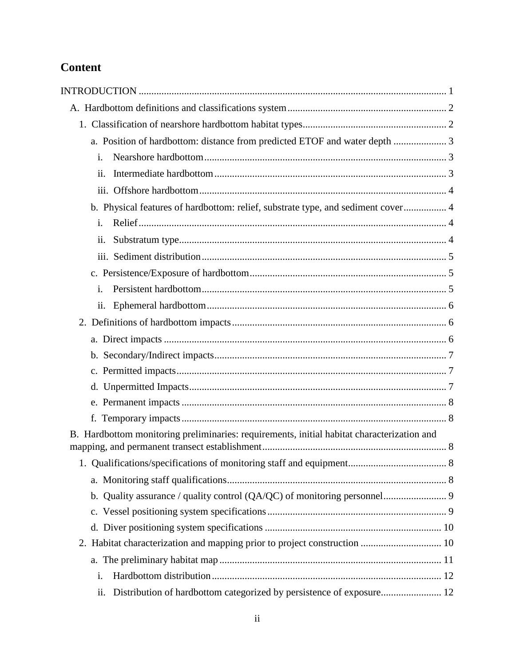# **Content**

| i.                                                                                         |  |
|--------------------------------------------------------------------------------------------|--|
| ii.                                                                                        |  |
|                                                                                            |  |
| b. Physical features of hardbottom: relief, substrate type, and sediment cover 4           |  |
| i.                                                                                         |  |
| ii.                                                                                        |  |
|                                                                                            |  |
|                                                                                            |  |
| i.                                                                                         |  |
| $\overline{\mathbf{11}}$ .                                                                 |  |
|                                                                                            |  |
|                                                                                            |  |
|                                                                                            |  |
|                                                                                            |  |
|                                                                                            |  |
|                                                                                            |  |
|                                                                                            |  |
| B. Hardbottom monitoring preliminaries: requirements, initial habitat characterization and |  |
|                                                                                            |  |
|                                                                                            |  |
|                                                                                            |  |
|                                                                                            |  |
|                                                                                            |  |
|                                                                                            |  |
|                                                                                            |  |
|                                                                                            |  |
| i.                                                                                         |  |
| Distribution of hardbottom categorized by persistence of exposure 12<br>ii.                |  |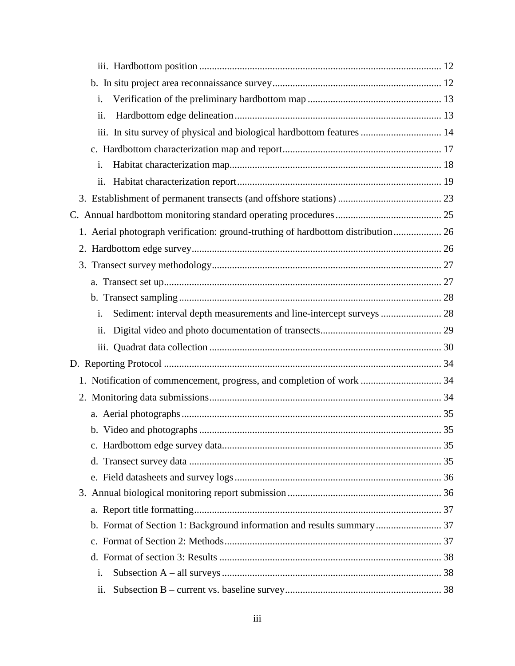| i.                                                                               |  |  |  |  |  |  |  |
|----------------------------------------------------------------------------------|--|--|--|--|--|--|--|
| ii.                                                                              |  |  |  |  |  |  |  |
| iii. In situ survey of physical and biological hardbottom features  14           |  |  |  |  |  |  |  |
|                                                                                  |  |  |  |  |  |  |  |
| i.                                                                               |  |  |  |  |  |  |  |
| ii.                                                                              |  |  |  |  |  |  |  |
|                                                                                  |  |  |  |  |  |  |  |
|                                                                                  |  |  |  |  |  |  |  |
| 1. Aerial photograph verification: ground-truthing of hardbottom distribution 26 |  |  |  |  |  |  |  |
|                                                                                  |  |  |  |  |  |  |  |
|                                                                                  |  |  |  |  |  |  |  |
|                                                                                  |  |  |  |  |  |  |  |
|                                                                                  |  |  |  |  |  |  |  |
| Sediment: interval depth measurements and line-intercept surveys  28<br>i.       |  |  |  |  |  |  |  |
| ii.                                                                              |  |  |  |  |  |  |  |
|                                                                                  |  |  |  |  |  |  |  |
|                                                                                  |  |  |  |  |  |  |  |
| 1. Notification of commencement, progress, and completion of work  34            |  |  |  |  |  |  |  |
|                                                                                  |  |  |  |  |  |  |  |
|                                                                                  |  |  |  |  |  |  |  |
|                                                                                  |  |  |  |  |  |  |  |
|                                                                                  |  |  |  |  |  |  |  |
|                                                                                  |  |  |  |  |  |  |  |
|                                                                                  |  |  |  |  |  |  |  |
|                                                                                  |  |  |  |  |  |  |  |
|                                                                                  |  |  |  |  |  |  |  |
| b. Format of Section 1: Background information and results summary 37            |  |  |  |  |  |  |  |
|                                                                                  |  |  |  |  |  |  |  |
|                                                                                  |  |  |  |  |  |  |  |
| i.                                                                               |  |  |  |  |  |  |  |
| ii.                                                                              |  |  |  |  |  |  |  |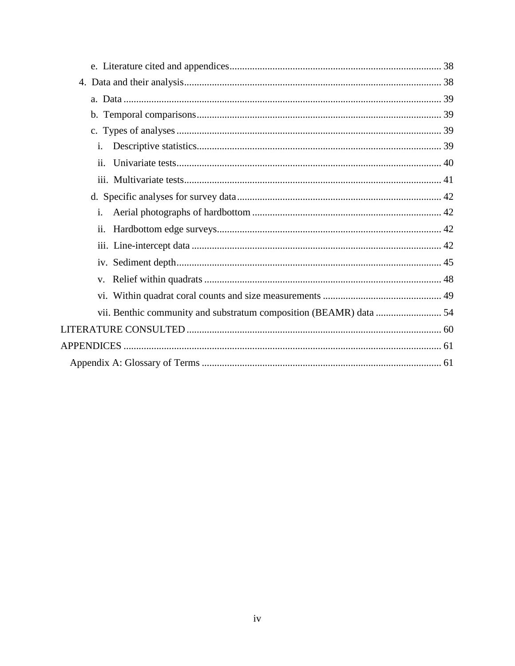| i.  |  |  |  |  |  |  |  |
|-----|--|--|--|--|--|--|--|
| ii. |  |  |  |  |  |  |  |
|     |  |  |  |  |  |  |  |
|     |  |  |  |  |  |  |  |
| i.  |  |  |  |  |  |  |  |
| ii. |  |  |  |  |  |  |  |
|     |  |  |  |  |  |  |  |
|     |  |  |  |  |  |  |  |
|     |  |  |  |  |  |  |  |
|     |  |  |  |  |  |  |  |
|     |  |  |  |  |  |  |  |
|     |  |  |  |  |  |  |  |
|     |  |  |  |  |  |  |  |
|     |  |  |  |  |  |  |  |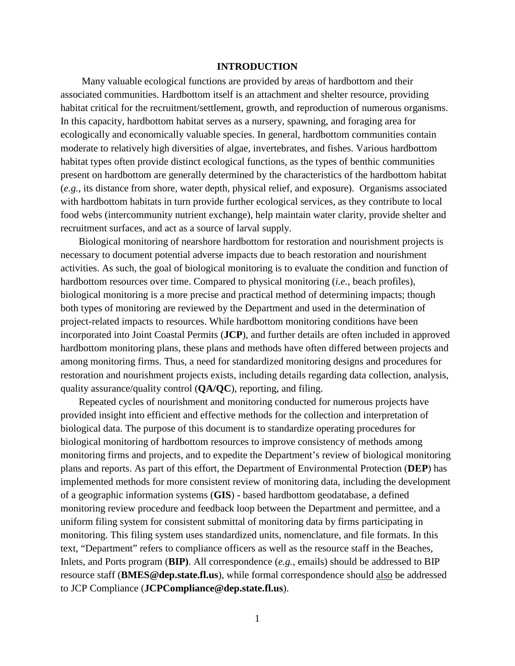# **INTRODUCTION**

<span id="page-5-0"></span>Many valuable ecological functions are provided by areas of hardbottom and their associated communities. Hardbottom itself is an attachment and shelter resource, providing habitat critical for the recruitment/settlement, growth, and reproduction of numerous organisms. In this capacity, hardbottom habitat serves as a nursery, spawning, and foraging area for ecologically and economically valuable species. In general, hardbottom communities contain moderate to relatively high diversities of algae, invertebrates, and fishes. Various hardbottom habitat types often provide distinct ecological functions, as the types of benthic communities present on hardbottom are generally determined by the characteristics of the hardbottom habitat (*e.g.*, its distance from shore, water depth, physical relief, and exposure). Organisms associated with hardbottom habitats in turn provide further ecological services, as they contribute to local food webs (intercommunity nutrient exchange), help maintain water clarity, provide shelter and recruitment surfaces, and act as a source of larval supply.

Biological monitoring of nearshore hardbottom for restoration and nourishment projects is necessary to document potential adverse impacts due to beach restoration and nourishment activities. As such, the goal of biological monitoring is to evaluate the condition and function of hardbottom resources over time. Compared to physical monitoring (*i.e.*, beach profiles), biological monitoring is a more precise and practical method of determining impacts; though both types of monitoring are reviewed by the Department and used in the determination of project-related impacts to resources. While hardbottom monitoring conditions have been incorporated into Joint Coastal Permits (**JCP**), and further details are often included in approved hardbottom monitoring plans, these plans and methods have often differed between projects and among monitoring firms. Thus, a need for standardized monitoring designs and procedures for restoration and nourishment projects exists, including details regarding data collection, analysis, quality assurance/quality control (**QA/QC**), reporting, and filing.

Repeated cycles of nourishment and monitoring conducted for numerous projects have provided insight into efficient and effective methods for the collection and interpretation of biological data. The purpose of this document is to standardize operating procedures for biological monitoring of hardbottom resources to improve consistency of methods among monitoring firms and projects, and to expedite the Department's review of biological monitoring plans and reports. As part of this effort, the Department of Environmental Protection (**DEP**) has implemented methods for more consistent review of monitoring data, including the development of a geographic information systems (**GIS**) **-** based hardbottom geodatabase, a defined monitoring review procedure and feedback loop between the Department and permittee, and a uniform filing system for consistent submittal of monitoring data by firms participating in monitoring. This filing system uses standardized units, nomenclature, and file formats. In this text, "Department" refers to compliance officers as well as the resource staff in the Beaches, Inlets, and Ports program (**BIP)**. All correspondence (*e.g.*, emails) should be addressed to BIP resource staff (**BMES@dep.state.fl.us**), while formal correspondence should also be addressed to JCP Compliance (**JCPCompliance@dep.state.fl.us**).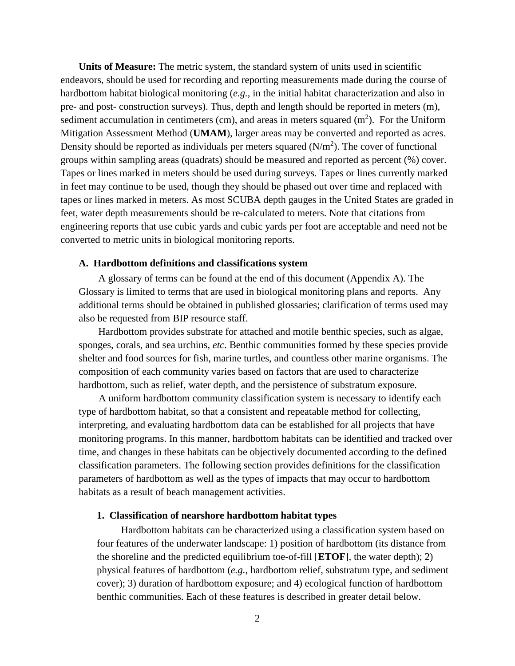**Units of Measure:** The metric system, the standard system of units used in scientific endeavors, should be used for recording and reporting measurements made during the course of hardbottom habitat biological monitoring (*e.g.*, in the initial habitat characterization and also in pre- and post- construction surveys). Thus, depth and length should be reported in meters (m), sediment accumulation in centimeters (cm), and areas in meters squared  $(m<sup>2</sup>)$ . For the Uniform Mitigation Assessment Method (**UMAM**), larger areas may be converted and reported as acres. Density should be reported as individuals per meters squared  $(N/m<sup>2</sup>)$ . The cover of functional groups within sampling areas (quadrats) should be measured and reported as percent (%) cover. Tapes or lines marked in meters should be used during surveys. Tapes or lines currently marked in feet may continue to be used, though they should be phased out over time and replaced with tapes or lines marked in meters. As most SCUBA depth gauges in the United States are graded in feet, water depth measurements should be re-calculated to meters. Note that citations from engineering reports that use cubic yards and cubic yards per foot are acceptable and need not be converted to metric units in biological monitoring reports.

#### <span id="page-6-0"></span>**A. Hardbottom definitions and classifications system**

A glossary of terms can be found at the end of this document (Appendix A). The Glossary is limited to terms that are used in biological monitoring plans and reports. Any additional terms should be obtained in published glossaries; clarification of terms used may also be requested from BIP resource staff.

Hardbottom provides substrate for attached and motile benthic species, such as algae, sponges, corals, and sea urchins, *etc*. Benthic communities formed by these species provide shelter and food sources for fish, marine turtles, and countless other marine organisms. The composition of each community varies based on factors that are used to characterize hardbottom, such as relief, water depth, and the persistence of substratum exposure.

A uniform hardbottom community classification system is necessary to identify each type of hardbottom habitat, so that a consistent and repeatable method for collecting, interpreting, and evaluating hardbottom data can be established for all projects that have monitoring programs. In this manner, hardbottom habitats can be identified and tracked over time, and changes in these habitats can be objectively documented according to the defined classification parameters. The following section provides definitions for the classification parameters of hardbottom as well as the types of impacts that may occur to hardbottom habitats as a result of beach management activities.

# <span id="page-6-1"></span>**1. Classification of nearshore hardbottom habitat types**

Hardbottom habitats can be characterized using a classification system based on four features of the underwater landscape: 1) position of hardbottom (its distance from the shoreline and the predicted equilibrium toe-of-fill [**ETOF**], the water depth); 2) physical features of hardbottom (*e.g.*, hardbottom relief, substratum type, and sediment cover); 3) duration of hardbottom exposure; and 4) ecological function of hardbottom benthic communities. Each of these features is described in greater detail below.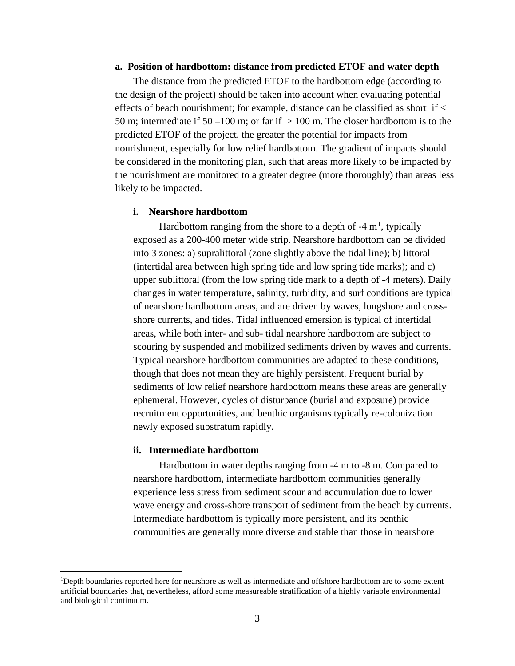#### <span id="page-7-0"></span>**a. Position of hardbottom: distance from predicted ETOF and water depth**

The distance from the predicted ETOF to the hardbottom edge (according to the design of the project) should be taken into account when evaluating potential effects of beach nourishment; for example, distance can be classified as short if < 50 m; intermediate if 50 –100 m; or far if  $> 100$  m. The closer hardbottom is to the predicted ETOF of the project, the greater the potential for impacts from nourishment, especially for low relief hardbottom. The gradient of impacts should be considered in the monitoring plan, such that areas more likely to be impacted by the nourishment are monitored to a greater degree (more thoroughly) than areas less likely to be impacted.

#### <span id="page-7-1"></span>**i. Nearshore hardbottom**

Hardbottom ranging from the shore to a depth of  $-4 \text{ m}^1$  $-4 \text{ m}^1$ , typically exposed as a 200-400 meter wide strip. Nearshore hardbottom can be divided into 3 zones: a) supralittoral (zone slightly above the tidal line); b) littoral (intertidal area between high spring tide and low spring tide marks); and c) upper sublittoral (from the low spring tide mark to a depth of -4 meters). Daily changes in water temperature, salinity, turbidity, and surf conditions are typical of nearshore hardbottom areas, and are driven by waves, longshore and crossshore currents, and tides. Tidal influenced emersion is typical of intertidal areas, while both inter- and sub- tidal nearshore hardbottom are subject to scouring by suspended and mobilized sediments driven by waves and currents. Typical nearshore hardbottom communities are adapted to these conditions, though that does not mean they are highly persistent. Frequent burial by sediments of low relief nearshore hardbottom means these areas are generally ephemeral. However, cycles of disturbance (burial and exposure) provide recruitment opportunities, and benthic organisms typically re-colonization newly exposed substratum rapidly.

#### <span id="page-7-2"></span>**ii. Intermediate hardbottom**

Hardbottom in water depths ranging from -4 m to -8 m. Compared to nearshore hardbottom, intermediate hardbottom communities generally experience less stress from sediment scour and accumulation due to lower wave energy and cross-shore transport of sediment from the beach by currents. Intermediate hardbottom is typically more persistent, and its benthic communities are generally more diverse and stable than those in nearshore

<span id="page-7-3"></span> $\frac{1}{1}$ <sup>1</sup>Depth boundaries reported here for nearshore as well as intermediate and offshore hardbottom are to some extent artificial boundaries that, nevertheless, afford some measureable stratification of a highly variable environmental and biological continuum.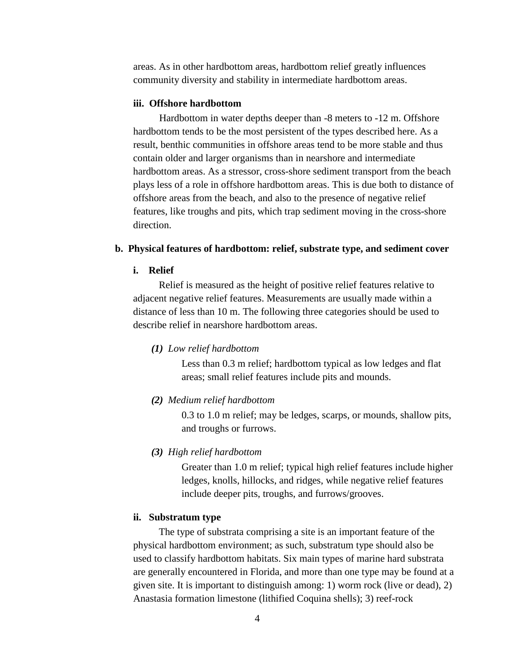areas. As in other hardbottom areas, hardbottom relief greatly influences community diversity and stability in intermediate hardbottom areas.

# <span id="page-8-0"></span>**iii. Offshore hardbottom**

Hardbottom in water depths deeper than -8 meters to -12 m. Offshore hardbottom tends to be the most persistent of the types described here. As a result, benthic communities in offshore areas tend to be more stable and thus contain older and larger organisms than in nearshore and intermediate hardbottom areas. As a stressor, cross-shore sediment transport from the beach plays less of a role in offshore hardbottom areas. This is due both to distance of offshore areas from the beach, and also to the presence of negative relief features, like troughs and pits, which trap sediment moving in the cross-shore direction.

#### <span id="page-8-2"></span><span id="page-8-1"></span>**b. Physical features of hardbottom: relief, substrate type, and sediment cover**

# **i. Relief**

Relief is measured as the height of positive relief features relative to adjacent negative relief features. Measurements are usually made within a distance of less than 10 m. The following three categories should be used to describe relief in nearshore hardbottom areas.

*(1) Low relief hardbottom*

Less than 0.3 m relief; hardbottom typical as low ledges and flat areas; small relief features include pits and mounds.

*(2) Medium relief hardbottom*

0.3 to 1.0 m relief; may be ledges, scarps, or mounds, shallow pits, and troughs or furrows.

*(3) High relief hardbottom*

Greater than 1.0 m relief; typical high relief features include higher ledges, knolls, hillocks, and ridges, while negative relief features include deeper pits, troughs, and furrows/grooves.

# <span id="page-8-3"></span>**ii. Substratum type**

The type of substrata comprising a site is an important feature of the physical hardbottom environment; as such, substratum type should also be used to classify hardbottom habitats. Six main types of marine hard substrata are generally encountered in Florida, and more than one type may be found at a given site. It is important to distinguish among: 1) worm rock (live or dead), 2) Anastasia formation limestone (lithified Coquina shells); 3) reef-rock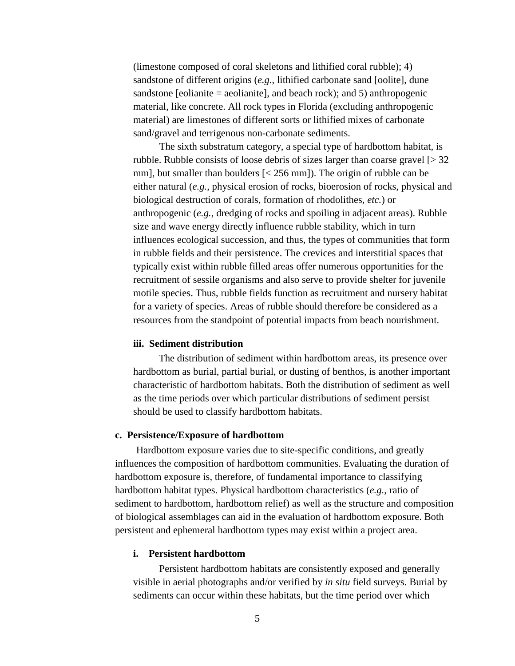(limestone composed of coral skeletons and lithified coral rubble); 4) sandstone of different origins (*e.g.*, lithified carbonate sand [oolite], dune sandstone [eolianite = aeolianite], and beach rock); and 5) anthropogenic material, like concrete. All rock types in Florida (excluding anthropogenic material) are limestones of different sorts or lithified mixes of carbonate sand/gravel and terrigenous non-carbonate sediments.

The sixth substratum category, a special type of hardbottom habitat, is rubble. Rubble consists of loose debris of sizes larger than coarse gravel  $\lceil$  > 32 mm], but smaller than boulders  $\lceil$  < 256 mm]). The origin of rubble can be either natural (*e.g.*, physical erosion of rocks, bioerosion of rocks, physical and biological destruction of corals, formation of rhodolithes, *etc.*) or anthropogenic (*e.g.*, dredging of rocks and spoiling in adjacent areas). Rubble size and wave energy directly influence rubble stability, which in turn influences ecological succession, and thus, the types of communities that form in rubble fields and their persistence. The crevices and interstitial spaces that typically exist within rubble filled areas offer numerous opportunities for the recruitment of sessile organisms and also serve to provide shelter for juvenile motile species. Thus, rubble fields function as recruitment and nursery habitat for a variety of species. Areas of rubble should therefore be considered as a resources from the standpoint of potential impacts from beach nourishment.

# <span id="page-9-0"></span>**iii. Sediment distribution**

The distribution of sediment within hardbottom areas, its presence over hardbottom as burial, partial burial, or dusting of benthos, is another important characteristic of hardbottom habitats. Both the distribution of sediment as well as the time periods over which particular distributions of sediment persist should be used to classify hardbottom habitats.

# <span id="page-9-1"></span>**c. Persistence/Exposure of hardbottom**

Hardbottom exposure varies due to site-specific conditions, and greatly influences the composition of hardbottom communities. Evaluating the duration of hardbottom exposure is, therefore, of fundamental importance to classifying hardbottom habitat types. Physical hardbottom characteristics (*e.g.*, ratio of sediment to hardbottom, hardbottom relief) as well as the structure and composition of biological assemblages can aid in the evaluation of hardbottom exposure. Both persistent and ephemeral hardbottom types may exist within a project area.

#### <span id="page-9-2"></span>**i. Persistent hardbottom**

Persistent hardbottom habitats are consistently exposed and generally visible in aerial photographs and/or verified by *in situ* field surveys. Burial by sediments can occur within these habitats, but the time period over which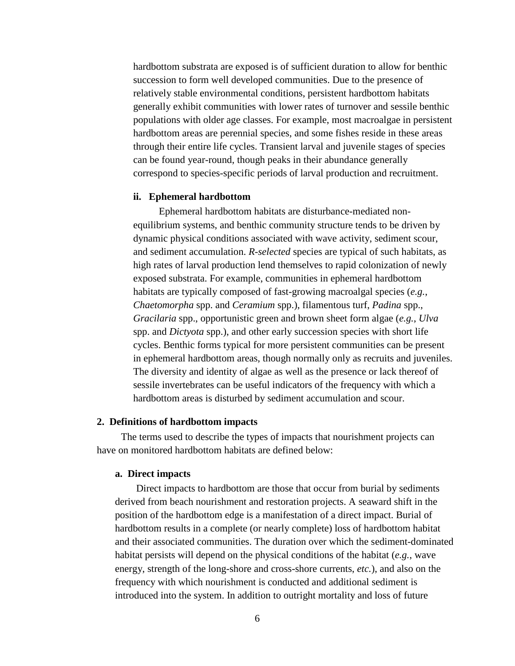hardbottom substrata are exposed is of sufficient duration to allow for benthic succession to form well developed communities. Due to the presence of relatively stable environmental conditions, persistent hardbottom habitats generally exhibit communities with lower rates of turnover and sessile benthic populations with older age classes. For example, most macroalgae in persistent hardbottom areas are perennial species, and some fishes reside in these areas through their entire life cycles. Transient larval and juvenile stages of species can be found year-round, though peaks in their abundance generally correspond to species-specific periods of larval production and recruitment.

#### <span id="page-10-0"></span>**ii. Ephemeral hardbottom**

Ephemeral hardbottom habitats are disturbance-mediated nonequilibrium systems, and benthic community structure tends to be driven by dynamic physical conditions associated with wave activity, sediment scour, and sediment accumulation. *R-selected* species are typical of such habitats, as high rates of larval production lend themselves to rapid colonization of newly exposed substrata. For example, communities in ephemeral hardbottom habitats are typically composed of fast-growing macroalgal species (*e.g.*, *Chaetomorpha* spp. and *Ceramium* spp.), filamentous turf, *Padina* spp., *Gracilaria* spp., opportunistic green and brown sheet form algae (*e.g.*, *Ulva* spp. and *Dictyota* spp.), and other early succession species with short life cycles. Benthic forms typical for more persistent communities can be present in ephemeral hardbottom areas, though normally only as recruits and juveniles. The diversity and identity of algae as well as the presence or lack thereof of sessile invertebrates can be useful indicators of the frequency with which a hardbottom areas is disturbed by sediment accumulation and scour.

# <span id="page-10-1"></span>**2. Definitions of hardbottom impacts**

<span id="page-10-2"></span>The terms used to describe the types of impacts that nourishment projects can have on monitored hardbottom habitats are defined below:

#### **a. Direct impacts**

Direct impacts to hardbottom are those that occur from burial by sediments derived from beach nourishment and restoration projects. A seaward shift in the position of the hardbottom edge is a manifestation of a direct impact. Burial of hardbottom results in a complete (or nearly complete) loss of hardbottom habitat and their associated communities. The duration over which the sediment-dominated habitat persists will depend on the physical conditions of the habitat (*e.g.*, wave energy, strength of the long-shore and cross-shore currents, *etc.*), and also on the frequency with which nourishment is conducted and additional sediment is introduced into the system. In addition to outright mortality and loss of future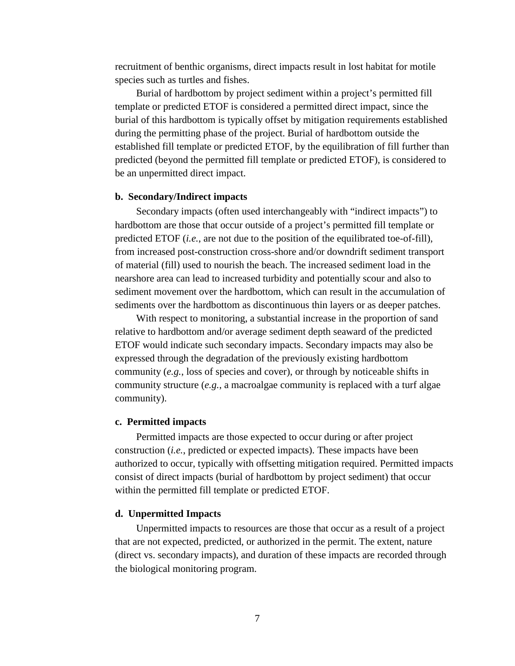recruitment of benthic organisms, direct impacts result in lost habitat for motile species such as turtles and fishes.

Burial of hardbottom by project sediment within a project's permitted fill template or predicted ETOF is considered a permitted direct impact, since the burial of this hardbottom is typically offset by mitigation requirements established during the permitting phase of the project. Burial of hardbottom outside the established fill template or predicted ETOF, by the equilibration of fill further than predicted (beyond the permitted fill template or predicted ETOF), is considered to be an unpermitted direct impact.

#### <span id="page-11-0"></span>**b. Secondary/Indirect impacts**

Secondary impacts (often used interchangeably with "indirect impacts") to hardbottom are those that occur outside of a project's permitted fill template or predicted ETOF (*i.e.*, are not due to the position of the equilibrated toe-of-fill), from increased post-construction cross-shore and/or downdrift sediment transport of material (fill) used to nourish the beach. The increased sediment load in the nearshore area can lead to increased turbidity and potentially scour and also to sediment movement over the hardbottom, which can result in the accumulation of sediments over the hardbottom as discontinuous thin layers or as deeper patches.

With respect to monitoring, a substantial increase in the proportion of sand relative to hardbottom and/or average sediment depth seaward of the predicted ETOF would indicate such secondary impacts. Secondary impacts may also be expressed through the degradation of the previously existing hardbottom community (*e.g.*, loss of species and cover), or through by noticeable shifts in community structure (*e.g.*, a macroalgae community is replaced with a turf algae community).

#### <span id="page-11-1"></span>**c. Permitted impacts**

Permitted impacts are those expected to occur during or after project construction (*i.e.*, predicted or expected impacts). These impacts have been authorized to occur, typically with offsetting mitigation required. Permitted impacts consist of direct impacts (burial of hardbottom by project sediment) that occur within the permitted fill template or predicted ETOF.

# <span id="page-11-2"></span>**d. Unpermitted Impacts**

Unpermitted impacts to resources are those that occur as a result of a project that are not expected, predicted, or authorized in the permit. The extent, nature (direct vs. secondary impacts), and duration of these impacts are recorded through the biological monitoring program.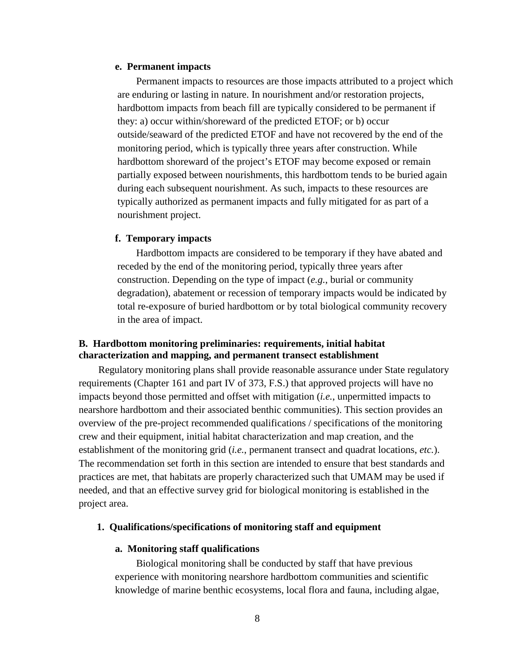#### <span id="page-12-0"></span>**e. Permanent impacts**

Permanent impacts to resources are those impacts attributed to a project which are enduring or lasting in nature. In nourishment and/or restoration projects, hardbottom impacts from beach fill are typically considered to be permanent if they: a) occur within/shoreward of the predicted ETOF; or b) occur outside/seaward of the predicted ETOF and have not recovered by the end of the monitoring period, which is typically three years after construction. While hardbottom shoreward of the project's ETOF may become exposed or remain partially exposed between nourishments, this hardbottom tends to be buried again during each subsequent nourishment. As such, impacts to these resources are typically authorized as permanent impacts and fully mitigated for as part of a nourishment project.

#### <span id="page-12-1"></span>**f. Temporary impacts**

Hardbottom impacts are considered to be temporary if they have abated and receded by the end of the monitoring period, typically three years after construction. Depending on the type of impact (*e.g.*, burial or community degradation), abatement or recession of temporary impacts would be indicated by total re-exposure of buried hardbottom or by total biological community recovery in the area of impact.

# <span id="page-12-2"></span>**B. Hardbottom monitoring preliminaries: requirements, initial habitat characterization and mapping, and permanent transect establishment**

Regulatory monitoring plans shall provide reasonable assurance under State regulatory requirements (Chapter 161 and part IV of 373, F.S.) that approved projects will have no impacts beyond those permitted and offset with mitigation (*i.e.*, unpermitted impacts to nearshore hardbottom and their associated benthic communities). This section provides an overview of the pre-project recommended qualifications / specifications of the monitoring crew and their equipment, initial habitat characterization and map creation, and the establishment of the monitoring grid (*i.e.*, permanent transect and quadrat locations, *etc.*). The recommendation set forth in this section are intended to ensure that best standards and practices are met, that habitats are properly characterized such that UMAM may be used if needed, and that an effective survey grid for biological monitoring is established in the project area.

# <span id="page-12-4"></span><span id="page-12-3"></span>**1. Qualifications/specifications of monitoring staff and equipment**

#### **a. Monitoring staff qualifications**

Biological monitoring shall be conducted by staff that have previous experience with monitoring nearshore hardbottom communities and scientific knowledge of marine benthic ecosystems, local flora and fauna, including algae,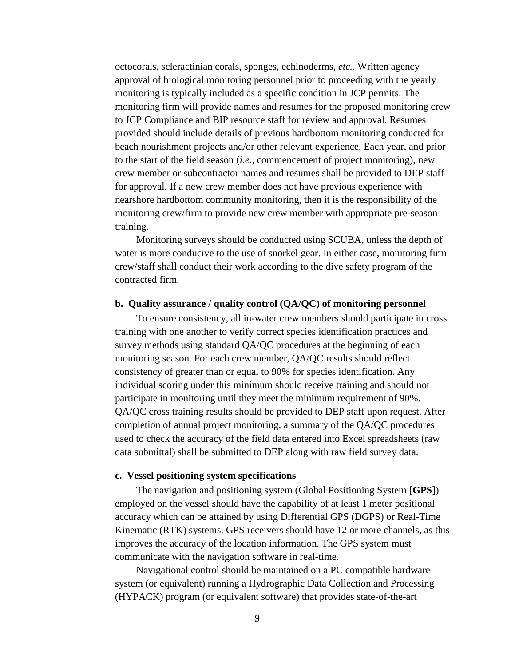octocorals, scleractinian corals, sponges, echinoderms, *etc.*. Written agency approval of biological monitoring personnel prior to proceeding with the yearly monitoring is typically included as a specific condition in JCP permits. The monitoring firm will provide names and resumes for the proposed monitoring crew to JCP Compliance and BIP resource staff for review and approval. Resumes provided should include details of previous hardbottom monitoring conducted for beach nourishment projects and/or other relevant experience. Each year, and prior to the start of the field season (*i.e.*, commencement of project monitoring), new crew member or subcontractor names and resumes shall be provided to DEP staff for approval. If a new crew member does not have previous experience with nearshore hardbottom community monitoring, then it is the responsibility of the monitoring crew/firm to provide new crew member with appropriate pre-season training.

Monitoring surveys should be conducted using SCUBA, unless the depth of water is more conducive to the use of snorkel gear. In either case, monitoring firm crew/staff shall conduct their work according to the dive safety program of the contracted firm.

#### <span id="page-13-0"></span>**b. Quality assurance / quality control (QA/QC) of monitoring personnel**

To ensure consistency, all in-water crew members should participate in cross training with one another to verify correct species identification practices and survey methods using standard QA/QC procedures at the beginning of each monitoring season. For each crew member, QA/QC results should reflect consistency of greater than or equal to 90% for species identification. Any individual scoring under this minimum should receive training and should not participate in monitoring until they meet the minimum requirement of 90%. QA/QC cross training results should be provided to DEP staff upon request. After completion of annual project monitoring, a summary of the QA/QC procedures used to check the accuracy of the field data entered into Excel spreadsheets (raw data submittal) shall be submitted to DEP along with raw field survey data.

#### <span id="page-13-1"></span>**c. Vessel positioning system specifications**

The navigation and positioning system (Global Positioning System [**GPS**]) employed on the vessel should have the capability of at least 1 meter positional accuracy which can be attained by using Differential GPS (DGPS) or Real-Time Kinematic (RTK) systems. GPS receivers should have 12 or more channels, as this improves the accuracy of the location information. The GPS system must communicate with the navigation software in real-time.

Navigational control should be maintained on a PC compatible hardware system (or equivalent) running a Hydrographic Data Collection and Processing (HYPACK) program (or equivalent software) that provides state-of-the-art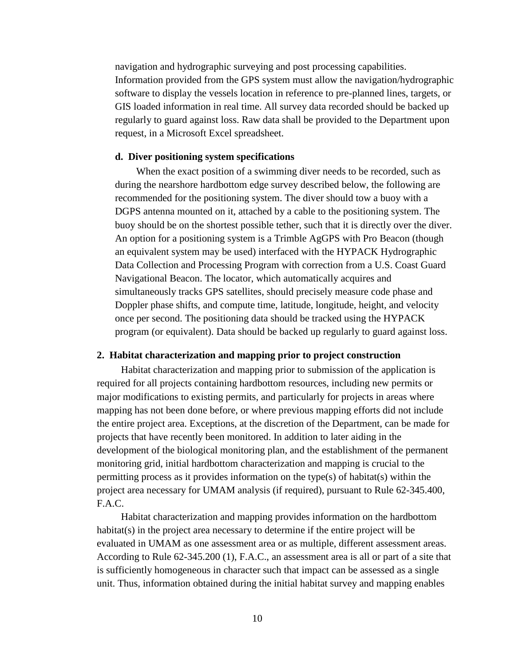navigation and hydrographic surveying and post processing capabilities. Information provided from the GPS system must allow the navigation/hydrographic software to display the vessels location in reference to pre-planned lines, targets, or GIS loaded information in real time. All survey data recorded should be backed up regularly to guard against loss. Raw data shall be provided to the Department upon request, in a Microsoft Excel spreadsheet.

# <span id="page-14-0"></span>**d. Diver positioning system specifications**

When the exact position of a swimming diver needs to be recorded, such as during the nearshore hardbottom edge survey described below, the following are recommended for the positioning system. The diver should tow a buoy with a DGPS antenna mounted on it, attached by a cable to the positioning system. The buoy should be on the shortest possible tether, such that it is directly over the diver. An option for a positioning system is a Trimble AgGPS with Pro Beacon (though an equivalent system may be used) interfaced with the HYPACK Hydrographic Data Collection and Processing Program with correction from a U.S. Coast Guard Navigational Beacon. The locator, which automatically acquires and simultaneously tracks GPS satellites, should precisely measure code phase and Doppler phase shifts, and compute time, latitude, longitude, height, and velocity once per second. The positioning data should be tracked using the HYPACK program (or equivalent). Data should be backed up regularly to guard against loss.

# <span id="page-14-1"></span>**2. Habitat characterization and mapping prior to project construction**

Habitat characterization and mapping prior to submission of the application is required for all projects containing hardbottom resources, including new permits or major modifications to existing permits, and particularly for projects in areas where mapping has not been done before, or where previous mapping efforts did not include the entire project area. Exceptions, at the discretion of the Department, can be made for projects that have recently been monitored. In addition to later aiding in the development of the biological monitoring plan, and the establishment of the permanent monitoring grid, initial hardbottom characterization and mapping is crucial to the permitting process as it provides information on the type(s) of habitat(s) within the project area necessary for UMAM analysis (if required), pursuant to Rule 62-345.400, F.A.C.

Habitat characterization and mapping provides information on the hardbottom habitat(s) in the project area necessary to determine if the entire project will be evaluated in UMAM as one assessment area or as multiple, different assessment areas. According to Rule 62-345.200 (1), F.A.C., an assessment area is all or part of a site that is sufficiently homogeneous in character such that impact can be assessed as a single unit. Thus, information obtained during the initial habitat survey and mapping enables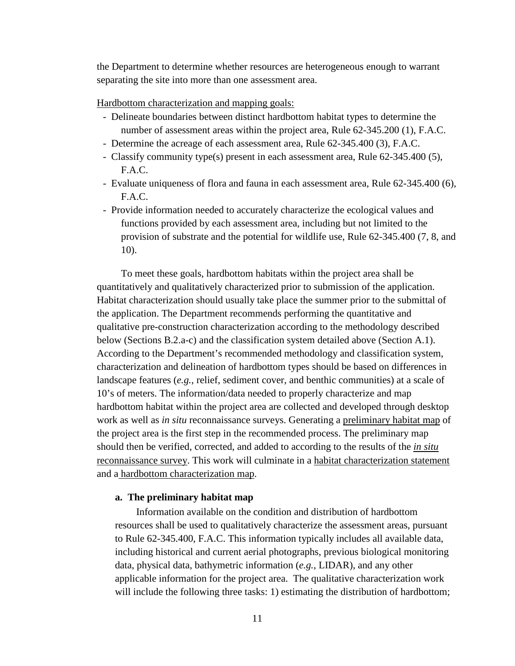the Department to determine whether resources are heterogeneous enough to warrant separating the site into more than one assessment area.

Hardbottom characterization and mapping goals:

- Delineate boundaries between distinct hardbottom habitat types to determine the number of assessment areas within the project area, Rule 62-345.200 (1), F.A.C.
- Determine the acreage of each assessment area, Rule 62-345.400 (3), F.A.C.
- Classify community type(s) present in each assessment area, Rule 62-345.400 (5), F.A.C.
- Evaluate uniqueness of flora and fauna in each assessment area, Rule 62-345.400 (6), F.A.C.
- Provide information needed to accurately characterize the ecological values and functions provided by each assessment area, including but not limited to the provision of substrate and the potential for wildlife use, Rule 62-345.400 (7, 8, and 10).

To meet these goals, hardbottom habitats within the project area shall be quantitatively and qualitatively characterized prior to submission of the application. Habitat characterization should usually take place the summer prior to the submittal of the application. The Department recommends performing the quantitative and qualitative pre-construction characterization according to the methodology described below (Sections B.2.a-c) and the classification system detailed above (Section A.1). According to the Department's recommended methodology and classification system, characterization and delineation of hardbottom types should be based on differences in landscape features (*e.g.*, relief, sediment cover, and benthic communities) at a scale of 10's of meters. The information/data needed to properly characterize and map hardbottom habitat within the project area are collected and developed through desktop work as well as *in situ* reconnaissance surveys. Generating a preliminary habitat map of the project area is the first step in the recommended process. The preliminary map should then be verified, corrected, and added to according to the results of the *in situ* reconnaissance survey. This work will culminate in a habitat characterization statement and a hardbottom characterization map.

# <span id="page-15-0"></span>**a. The preliminary habitat map**

Information available on the condition and distribution of hardbottom resources shall be used to qualitatively characterize the assessment areas, pursuant to Rule 62-345.400, F.A.C. This information typically includes all available data, including historical and current aerial photographs, previous biological monitoring data, physical data, bathymetric information (*e.g.*, LIDAR), and any other applicable information for the project area. The qualitative characterization work will include the following three tasks: 1) estimating the distribution of hardbottom;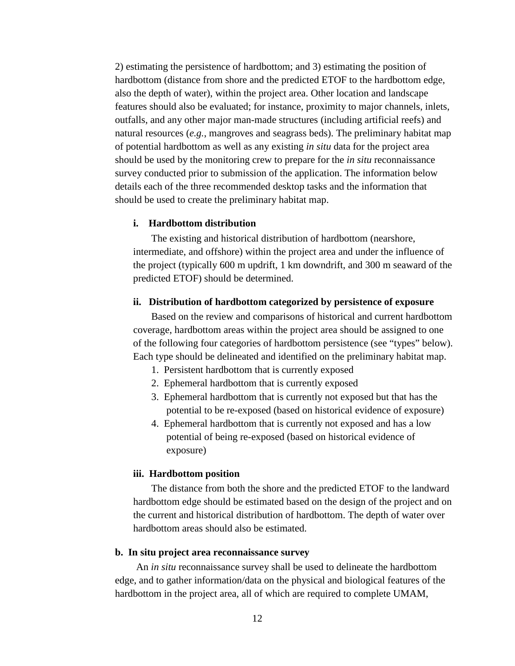2) estimating the persistence of hardbottom; and 3) estimating the position of hardbottom (distance from shore and the predicted ETOF to the hardbottom edge, also the depth of water), within the project area. Other location and landscape features should also be evaluated; for instance, proximity to major channels, inlets, outfalls, and any other major man-made structures (including artificial reefs) and natural resources (*e.g.*, mangroves and seagrass beds). The preliminary habitat map of potential hardbottom as well as any existing *in situ* data for the project area should be used by the monitoring crew to prepare for the *in situ* reconnaissance survey conducted prior to submission of the application. The information below details each of the three recommended desktop tasks and the information that should be used to create the preliminary habitat map.

# <span id="page-16-0"></span>**i. Hardbottom distribution**

The existing and historical distribution of hardbottom (nearshore, intermediate, and offshore) within the project area and under the influence of the project (typically 600 m updrift, 1 km downdrift, and 300 m seaward of the predicted ETOF) should be determined.

#### <span id="page-16-1"></span>**ii. Distribution of hardbottom categorized by persistence of exposure**

Based on the review and comparisons of historical and current hardbottom coverage, hardbottom areas within the project area should be assigned to one of the following four categories of hardbottom persistence (see "types" below). Each type should be delineated and identified on the preliminary habitat map.

- 1. Persistent hardbottom that is currently exposed
- 2. Ephemeral hardbottom that is currently exposed
- 3. Ephemeral hardbottom that is currently not exposed but that has the potential to be re-exposed (based on historical evidence of exposure)
- 4. Ephemeral hardbottom that is currently not exposed and has a low potential of being re-exposed (based on historical evidence of exposure)

#### <span id="page-16-2"></span>**iii. Hardbottom position**

The distance from both the shore and the predicted ETOF to the landward hardbottom edge should be estimated based on the design of the project and on the current and historical distribution of hardbottom. The depth of water over hardbottom areas should also be estimated.

#### <span id="page-16-3"></span>**b. In situ project area reconnaissance survey**

An *in situ* reconnaissance survey shall be used to delineate the hardbottom edge, and to gather information/data on the physical and biological features of the hardbottom in the project area, all of which are required to complete UMAM,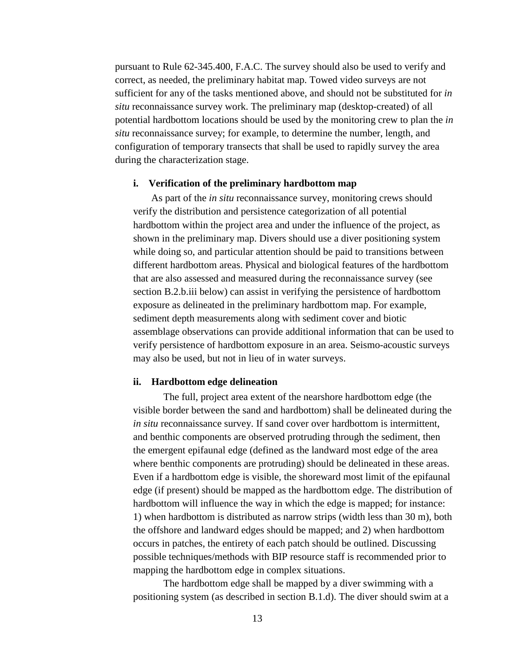pursuant to Rule 62-345.400, F.A.C. The survey should also be used to verify and correct, as needed, the preliminary habitat map. Towed video surveys are not sufficient for any of the tasks mentioned above, and should not be substituted for *in situ* reconnaissance survey work. The preliminary map (desktop-created) of all potential hardbottom locations should be used by the monitoring crew to plan the *in situ* reconnaissance survey; for example, to determine the number, length, and configuration of temporary transects that shall be used to rapidly survey the area during the characterization stage.

#### <span id="page-17-0"></span>**i. Verification of the preliminary hardbottom map**

As part of the *in situ* reconnaissance survey, monitoring crews should verify the distribution and persistence categorization of all potential hardbottom within the project area and under the influence of the project, as shown in the preliminary map. Divers should use a diver positioning system while doing so, and particular attention should be paid to transitions between different hardbottom areas. Physical and biological features of the hardbottom that are also assessed and measured during the reconnaissance survey (see section B.2.b.iii below) can assist in verifying the persistence of hardbottom exposure as delineated in the preliminary hardbottom map. For example, sediment depth measurements along with sediment cover and biotic assemblage observations can provide additional information that can be used to verify persistence of hardbottom exposure in an area. Seismo-acoustic surveys may also be used, but not in lieu of in water surveys.

#### <span id="page-17-1"></span>**ii. Hardbottom edge delineation**

The full, project area extent of the nearshore hardbottom edge (the visible border between the sand and hardbottom) shall be delineated during the *in situ* reconnaissance survey. If sand cover over hardbottom is intermittent, and benthic components are observed protruding through the sediment, then the emergent epifaunal edge (defined as the landward most edge of the area where benthic components are protruding) should be delineated in these areas. Even if a hardbottom edge is visible, the shoreward most limit of the epifaunal edge (if present) should be mapped as the hardbottom edge. The distribution of hardbottom will influence the way in which the edge is mapped; for instance: 1) when hardbottom is distributed as narrow strips (width less than 30 m), both the offshore and landward edges should be mapped; and 2) when hardbottom occurs in patches, the entirety of each patch should be outlined. Discussing possible techniques/methods with BIP resource staff is recommended prior to mapping the hardbottom edge in complex situations.

The hardbottom edge shall be mapped by a diver swimming with a positioning system (as described in section B.1.d). The diver should swim at a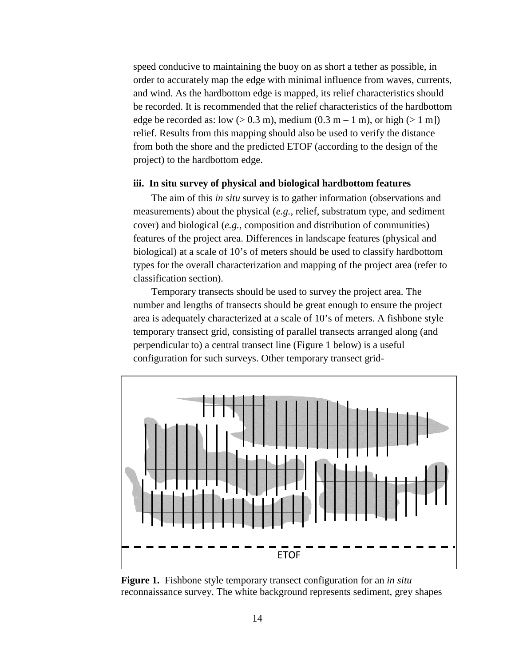speed conducive to maintaining the buoy on as short a tether as possible, in order to accurately map the edge with minimal influence from waves, currents, and wind. As the hardbottom edge is mapped, its relief characteristics should be recorded. It is recommended that the relief characteristics of the hardbottom edge be recorded as: low  $(> 0.3 \text{ m})$ , medium  $(0.3 \text{ m} - 1 \text{ m})$ , or high  $(> 1 \text{ m})$ relief. Results from this mapping should also be used to verify the distance from both the shore and the predicted ETOF (according to the design of the project) to the hardbottom edge.

#### <span id="page-18-0"></span>**iii. In situ survey of physical and biological hardbottom features**

The aim of this *in situ* survey is to gather information (observations and measurements) about the physical (*e.g.*, relief, substratum type, and sediment cover) and biological (*e.g.*, composition and distribution of communities) features of the project area. Differences in landscape features (physical and biological) at a scale of 10's of meters should be used to classify hardbottom types for the overall characterization and mapping of the project area (refer to classification section).

Temporary transects should be used to survey the project area. The number and lengths of transects should be great enough to ensure the project area is adequately characterized at a scale of 10's of meters. A fishbone style temporary transect grid, consisting of parallel transects arranged along (and perpendicular to) a central transect line (Figure 1 below) is a useful configuration for such surveys. Other temporary transect grid-



**Figure 1.** Fishbone style temporary transect configuration for an *in situ* reconnaissance survey. The white background represents sediment, grey shapes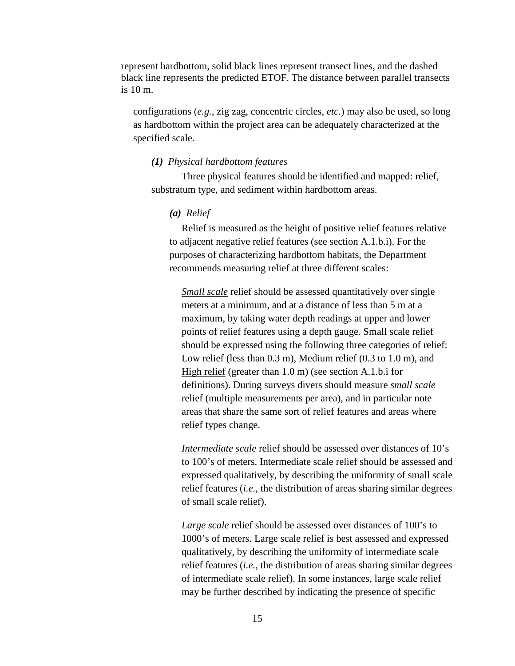represent hardbottom, solid black lines represent transect lines, and the dashed black line represents the predicted ETOF. The distance between parallel transects is 10 m.

configurations (*e.g.*, zig zag, concentric circles, *etc.*) may also be used, so long as hardbottom within the project area can be adequately characterized at the specified scale.

#### *(1) Physical hardbottom features*

Three physical features should be identified and mapped: relief, substratum type, and sediment within hardbottom areas.

#### *(a) Relief*

Relief is measured as the height of positive relief features relative to adjacent negative relief features (see section A.1.b.i). For the purposes of characterizing hardbottom habitats, the Department recommends measuring relief at three different scales:

*Small scale* relief should be assessed quantitatively over single meters at a minimum, and at a distance of less than 5 m at a maximum, by taking water depth readings at upper and lower points of relief features using a depth gauge. Small scale relief should be expressed using the following three categories of relief: Low relief (less than 0.3 m), Medium relief (0.3 to 1.0 m), and High relief (greater than 1.0 m) (see section A.1.b.i for definitions). During surveys divers should measure *small scale* relief (multiple measurements per area), and in particular note areas that share the same sort of relief features and areas where relief types change.

*Intermediate scale* relief should be assessed over distances of 10's to 100's of meters. Intermediate scale relief should be assessed and expressed qualitatively, by describing the uniformity of small scale relief features (*i.e.*, the distribution of areas sharing similar degrees of small scale relief).

*Large scale* relief should be assessed over distances of 100's to 1000's of meters. Large scale relief is best assessed and expressed qualitatively, by describing the uniformity of intermediate scale relief features (*i.e.*, the distribution of areas sharing similar degrees of intermediate scale relief). In some instances, large scale relief may be further described by indicating the presence of specific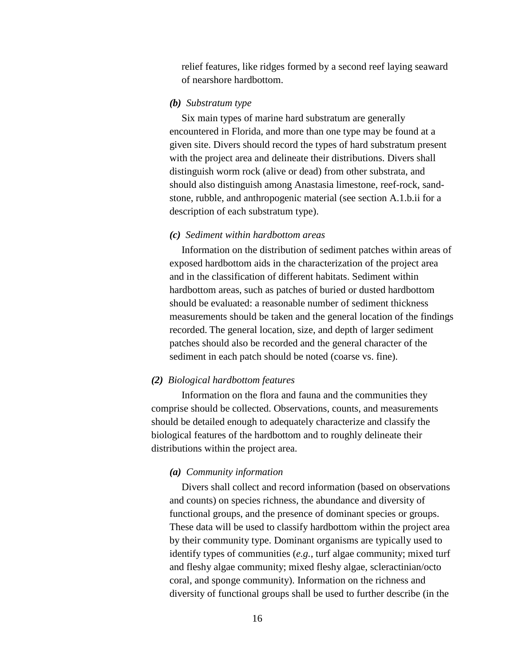relief features, like ridges formed by a second reef laying seaward of nearshore hardbottom.

# *(b) Substratum type*

Six main types of marine hard substratum are generally encountered in Florida, and more than one type may be found at a given site. Divers should record the types of hard substratum present with the project area and delineate their distributions. Divers shall distinguish worm rock (alive or dead) from other substrata, and should also distinguish among Anastasia limestone, reef-rock, sandstone, rubble, and anthropogenic material (see section A.1.b.ii for a description of each substratum type).

#### *(c) Sediment within hardbottom areas*

Information on the distribution of sediment patches within areas of exposed hardbottom aids in the characterization of the project area and in the classification of different habitats. Sediment within hardbottom areas, such as patches of buried or dusted hardbottom should be evaluated: a reasonable number of sediment thickness measurements should be taken and the general location of the findings recorded. The general location, size, and depth of larger sediment patches should also be recorded and the general character of the sediment in each patch should be noted (coarse vs. fine).

# *(2) Biological hardbottom features*

Information on the flora and fauna and the communities they comprise should be collected. Observations, counts, and measurements should be detailed enough to adequately characterize and classify the biological features of the hardbottom and to roughly delineate their distributions within the project area.

#### *(a) Community information*

Divers shall collect and record information (based on observations and counts) on species richness, the abundance and diversity of functional groups, and the presence of dominant species or groups. These data will be used to classify hardbottom within the project area by their community type. Dominant organisms are typically used to identify types of communities (*e.g.*, turf algae community; mixed turf and fleshy algae community; mixed fleshy algae, scleractinian/octo coral, and sponge community). Information on the richness and diversity of functional groups shall be used to further describe (in the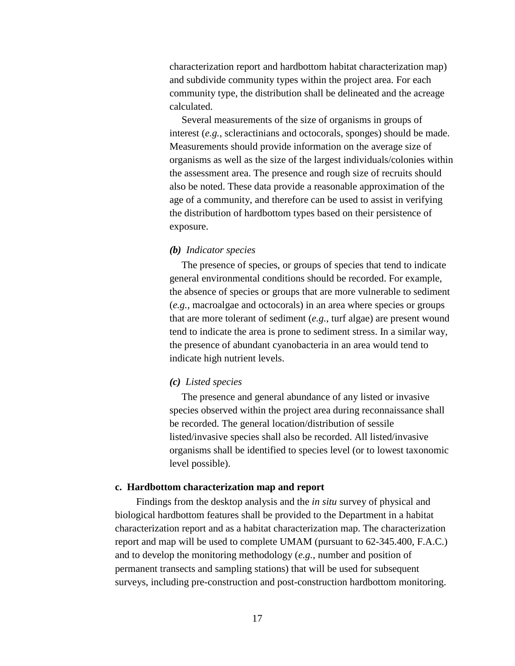characterization report and hardbottom habitat characterization map) and subdivide community types within the project area. For each community type, the distribution shall be delineated and the acreage calculated.

Several measurements of the size of organisms in groups of interest (*e.g.*, scleractinians and octocorals, sponges) should be made. Measurements should provide information on the average size of organisms as well as the size of the largest individuals/colonies within the assessment area. The presence and rough size of recruits should also be noted. These data provide a reasonable approximation of the age of a community, and therefore can be used to assist in verifying the distribution of hardbottom types based on their persistence of exposure.

#### *(b) Indicator species*

The presence of species, or groups of species that tend to indicate general environmental conditions should be recorded. For example, the absence of species or groups that are more vulnerable to sediment (*e.g.*, macroalgae and octocorals) in an area where species or groups that are more tolerant of sediment (*e.g.*, turf algae) are present wound tend to indicate the area is prone to sediment stress. In a similar way, the presence of abundant cyanobacteria in an area would tend to indicate high nutrient levels.

#### *(c) Listed species*

The presence and general abundance of any listed or invasive species observed within the project area during reconnaissance shall be recorded. The general location/distribution of sessile listed/invasive species shall also be recorded. All listed/invasive organisms shall be identified to species level (or to lowest taxonomic level possible).

# <span id="page-21-0"></span>**c. Hardbottom characterization map and report**

Findings from the desktop analysis and the *in situ* survey of physical and biological hardbottom features shall be provided to the Department in a habitat characterization report and as a habitat characterization map. The characterization report and map will be used to complete UMAM (pursuant to 62-345.400, F.A.C.) and to develop the monitoring methodology (*e.g.*, number and position of permanent transects and sampling stations) that will be used for subsequent surveys, including pre-construction and post-construction hardbottom monitoring.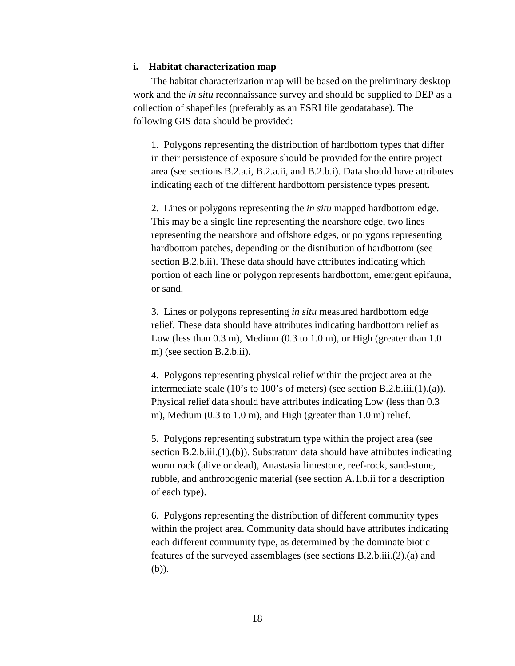## <span id="page-22-0"></span>**i. Habitat characterization map**

The habitat characterization map will be based on the preliminary desktop work and the *in situ* reconnaissance survey and should be supplied to DEP as a collection of shapefiles (preferably as an ESRI file geodatabase). The following GIS data should be provided:

1. Polygons representing the distribution of hardbottom types that differ in their persistence of exposure should be provided for the entire project area (see sections B.2.a.i, B.2.a.ii, and B.2.b.i). Data should have attributes indicating each of the different hardbottom persistence types present.

2. Lines or polygons representing the *in situ* mapped hardbottom edge. This may be a single line representing the nearshore edge, two lines representing the nearshore and offshore edges, or polygons representing hardbottom patches, depending on the distribution of hardbottom (see section B.2.b.ii). These data should have attributes indicating which portion of each line or polygon represents hardbottom, emergent epifauna, or sand.

3. Lines or polygons representing *in situ* measured hardbottom edge relief. These data should have attributes indicating hardbottom relief as Low (less than  $0.3$  m), Medium  $(0.3 \text{ to } 1.0 \text{ m})$ , or High (greater than  $1.0$ ) m) (see section B.2.b.ii).

4. Polygons representing physical relief within the project area at the intermediate scale (10's to 100's of meters) (see section B.2.b.iii.(1).(a)). Physical relief data should have attributes indicating Low (less than 0.3 m), Medium (0.3 to 1.0 m), and High (greater than 1.0 m) relief.

5. Polygons representing substratum type within the project area (see section B.2.b.iii.(1).(b)). Substratum data should have attributes indicating worm rock (alive or dead), Anastasia limestone, reef-rock, sand-stone, rubble, and anthropogenic material (see section A.1.b.ii for a description of each type).

6. Polygons representing the distribution of different community types within the project area. Community data should have attributes indicating each different community type, as determined by the dominate biotic features of the surveyed assemblages (see sections B.2.b.iii.(2).(a) and (b)).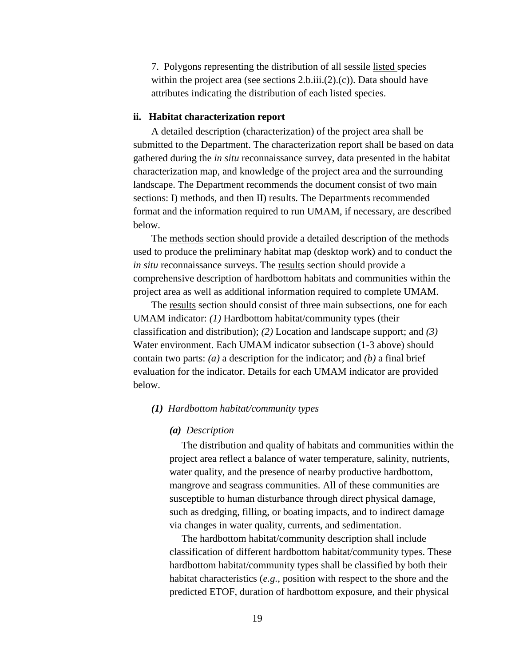7. Polygons representing the distribution of all sessile listed species within the project area (see sections 2.b.iii.(2).(c)). Data should have attributes indicating the distribution of each listed species.

# <span id="page-23-0"></span>**ii. Habitat characterization report**

A detailed description (characterization) of the project area shall be submitted to the Department. The characterization report shall be based on data gathered during the *in situ* reconnaissance survey, data presented in the habitat characterization map, and knowledge of the project area and the surrounding landscape. The Department recommends the document consist of two main sections: I) methods, and then II) results. The Departments recommended format and the information required to run UMAM, if necessary, are described below.

The methods section should provide a detailed description of the methods used to produce the preliminary habitat map (desktop work) and to conduct the *in situ* reconnaissance surveys. The results section should provide a comprehensive description of hardbottom habitats and communities within the project area as well as additional information required to complete UMAM.

The results section should consist of three main subsections, one for each UMAM indicator: *(1)* Hardbottom habitat/community types (their classification and distribution); *(2)* Location and landscape support; and *(3)* Water environment. Each UMAM indicator subsection (1-3 above) should contain two parts: *(a)* a description for the indicator; and *(b)* a final brief evaluation for the indicator. Details for each UMAM indicator are provided below.

#### *(1) Hardbottom habitat/community types*

#### *(a) Description*

The distribution and quality of habitats and communities within the project area reflect a balance of water temperature, salinity, nutrients, water quality, and the presence of nearby productive hardbottom, mangrove and seagrass communities. All of these communities are susceptible to human disturbance through direct physical damage, such as dredging, filling, or boating impacts, and to indirect damage via changes in water quality, currents, and sedimentation.

The hardbottom habitat/community description shall include classification of different hardbottom habitat/community types. These hardbottom habitat/community types shall be classified by both their habitat characteristics (*e.g.*, position with respect to the shore and the predicted ETOF, duration of hardbottom exposure, and their physical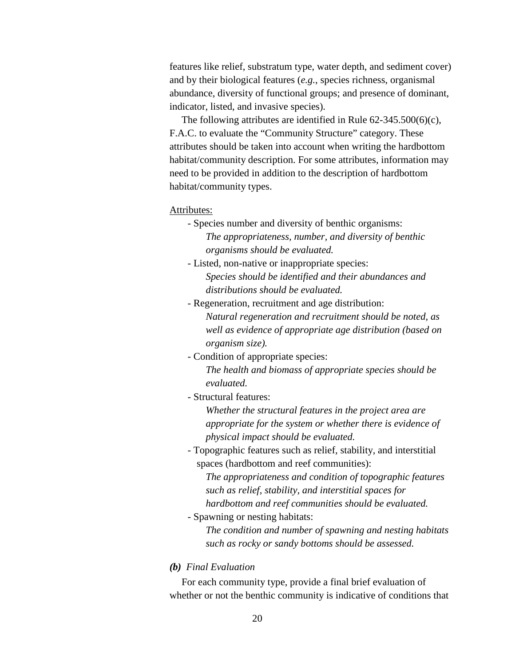features like relief, substratum type, water depth, and sediment cover) and by their biological features (*e.g.*, species richness, organismal abundance, diversity of functional groups; and presence of dominant, indicator, listed, and invasive species).

The following attributes are identified in Rule 62-345.500(6)(c), F.A.C. to evaluate the "Community Structure" category. These attributes should be taken into account when writing the hardbottom habitat/community description. For some attributes, information may need to be provided in addition to the description of hardbottom habitat/community types.

#### Attributes:

- Species number and diversity of benthic organisms: *The appropriateness, number, and diversity of benthic organisms should be evaluated.*
- Listed, non-native or inappropriate species: *Species should be identified and their abundances and distributions should be evaluated.*
- Regeneration, recruitment and age distribution: *Natural regeneration and recruitment should be noted, as well as evidence of appropriate age distribution (based on organism size).*
- Condition of appropriate species: *The health and biomass of appropriate species should be evaluated.*
- Structural features:

*Whether the structural features in the project area are appropriate for the system or whether there is evidence of physical impact should be evaluated.*

- Topographic features such as relief, stability, and interstitial spaces (hardbottom and reef communities):

*The appropriateness and condition of topographic features such as relief, stability, and interstitial spaces for hardbottom and reef communities should be evaluated.*

- Spawning or nesting habitats:

*The condition and number of spawning and nesting habitats such as rocky or sandy bottoms should be assessed.* 

# *(b) Final Evaluation*

For each community type, provide a final brief evaluation of whether or not the benthic community is indicative of conditions that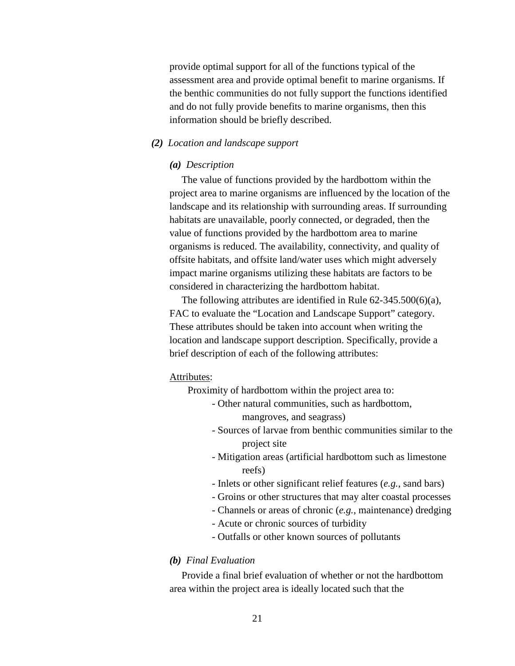provide optimal support for all of the functions typical of the assessment area and provide optimal benefit to marine organisms. If the benthic communities do not fully support the functions identified and do not fully provide benefits to marine organisms, then this information should be briefly described.

# *(2) Location and landscape support*

#### *(a) Description*

The value of functions provided by the hardbottom within the project area to marine organisms are influenced by the location of the landscape and its relationship with surrounding areas. If surrounding habitats are unavailable, poorly connected, or degraded, then the value of functions provided by the hardbottom area to marine organisms is reduced. The availability, connectivity, and quality of offsite habitats, and offsite land/water uses which might adversely impact marine organisms utilizing these habitats are factors to be considered in characterizing the hardbottom habitat.

The following attributes are identified in Rule 62-345.500(6)(a), FAC to evaluate the "Location and Landscape Support" category. These attributes should be taken into account when writing the location and landscape support description. Specifically, provide a brief description of each of the following attributes:

#### Attributes:

Proximity of hardbottom within the project area to:

- Other natural communities, such as hardbottom, mangroves, and seagrass)
- Sources of larvae from benthic communities similar to the project site
- Mitigation areas (artificial hardbottom such as limestone reefs)
- Inlets or other significant relief features (*e.g.*, sand bars)
- Groins or other structures that may alter coastal processes
- Channels or areas of chronic (*e.g.*, maintenance) dredging
- Acute or chronic sources of turbidity
- Outfalls or other known sources of pollutants

# *(b) Final Evaluation*

Provide a final brief evaluation of whether or not the hardbottom area within the project area is ideally located such that the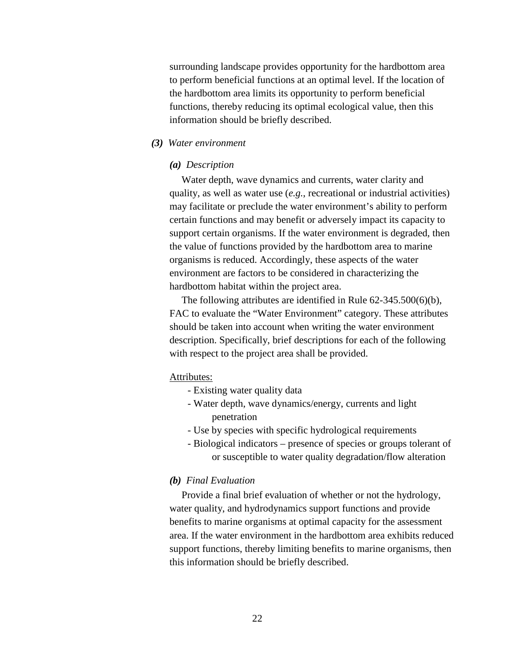surrounding landscape provides opportunity for the hardbottom area to perform beneficial functions at an optimal level. If the location of the hardbottom area limits its opportunity to perform beneficial functions, thereby reducing its optimal ecological value, then this information should be briefly described.

# *(3) Water environment*

#### *(a) Description*

Water depth, wave dynamics and currents, water clarity and quality, as well as water use (*e.g.*, recreational or industrial activities) may facilitate or preclude the water environment's ability to perform certain functions and may benefit or adversely impact its capacity to support certain organisms. If the water environment is degraded, then the value of functions provided by the hardbottom area to marine organisms is reduced. Accordingly, these aspects of the water environment are factors to be considered in characterizing the hardbottom habitat within the project area.

The following attributes are identified in Rule 62-345.500(6)(b), FAC to evaluate the "Water Environment" category. These attributes should be taken into account when writing the water environment description. Specifically, brief descriptions for each of the following with respect to the project area shall be provided.

#### Attributes:

- Existing water quality data
- Water depth, wave dynamics/energy, currents and light penetration
- Use by species with specific hydrological requirements
- Biological indicators presence of species or groups tolerant of or susceptible to water quality degradation/flow alteration

# *(b) Final Evaluation*

Provide a final brief evaluation of whether or not the hydrology, water quality, and hydrodynamics support functions and provide benefits to marine organisms at optimal capacity for the assessment area. If the water environment in the hardbottom area exhibits reduced support functions, thereby limiting benefits to marine organisms, then this information should be briefly described.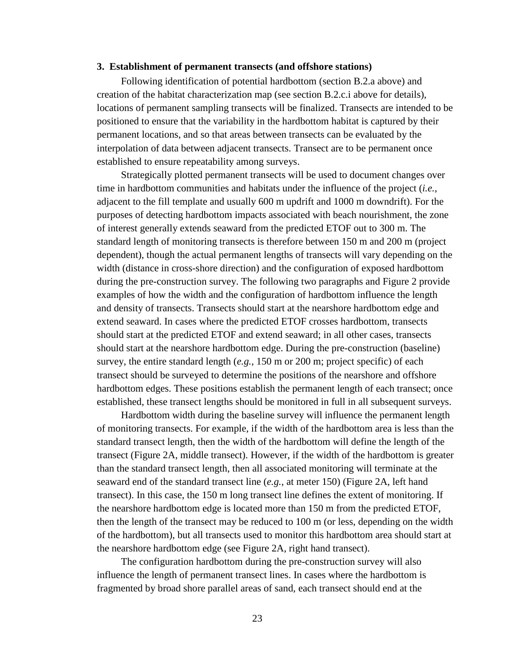#### <span id="page-27-0"></span>**3. Establishment of permanent transects (and offshore stations)**

Following identification of potential hardbottom (section B.2.a above) and creation of the habitat characterization map (see section B.2.c.i above for details), locations of permanent sampling transects will be finalized. Transects are intended to be positioned to ensure that the variability in the hardbottom habitat is captured by their permanent locations, and so that areas between transects can be evaluated by the interpolation of data between adjacent transects. Transect are to be permanent once established to ensure repeatability among surveys.

Strategically plotted permanent transects will be used to document changes over time in hardbottom communities and habitats under the influence of the project (*i.e.*, adjacent to the fill template and usually 600 m updrift and 1000 m downdrift). For the purposes of detecting hardbottom impacts associated with beach nourishment, the zone of interest generally extends seaward from the predicted ETOF out to 300 m. The standard length of monitoring transects is therefore between 150 m and 200 m (project dependent), though the actual permanent lengths of transects will vary depending on the width (distance in cross-shore direction) and the configuration of exposed hardbottom during the pre-construction survey. The following two paragraphs and Figure 2 provide examples of how the width and the configuration of hardbottom influence the length and density of transects. Transects should start at the nearshore hardbottom edge and extend seaward. In cases where the predicted ETOF crosses hardbottom, transects should start at the predicted ETOF and extend seaward; in all other cases, transects should start at the nearshore hardbottom edge. During the pre-construction (baseline) survey, the entire standard length (*e.g.*, 150 m or 200 m; project specific) of each transect should be surveyed to determine the positions of the nearshore and offshore hardbottom edges. These positions establish the permanent length of each transect; once established, these transect lengths should be monitored in full in all subsequent surveys.

Hardbottom width during the baseline survey will influence the permanent length of monitoring transects. For example, if the width of the hardbottom area is less than the standard transect length, then the width of the hardbottom will define the length of the transect (Figure 2A, middle transect). However, if the width of the hardbottom is greater than the standard transect length, then all associated monitoring will terminate at the seaward end of the standard transect line (*e.g.*, at meter 150) (Figure 2A, left hand transect). In this case, the 150 m long transect line defines the extent of monitoring. If the nearshore hardbottom edge is located more than 150 m from the predicted ETOF, then the length of the transect may be reduced to 100 m (or less, depending on the width of the hardbottom), but all transects used to monitor this hardbottom area should start at the nearshore hardbottom edge (see Figure 2A, right hand transect).

The configuration hardbottom during the pre-construction survey will also influence the length of permanent transect lines. In cases where the hardbottom is fragmented by broad shore parallel areas of sand, each transect should end at the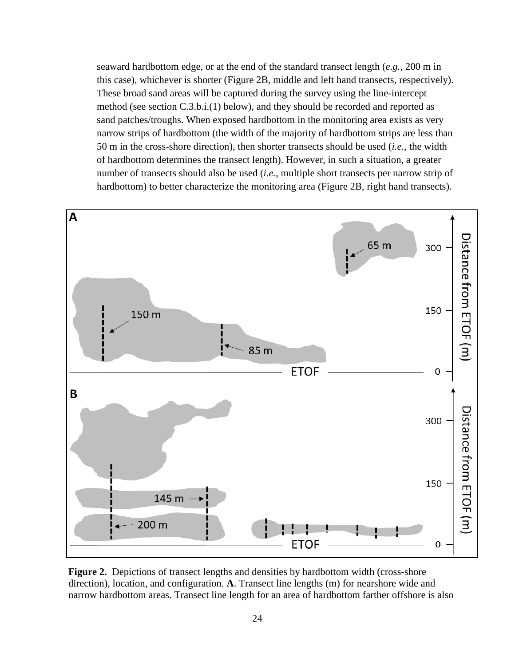seaward hardbottom edge, or at the end of the standard transect length (*e.g.*, 200 m in this case), whichever is shorter (Figure 2B, middle and left hand transects, respectively). These broad sand areas will be captured during the survey using the line-intercept method (see section C.3.b.i.(1) below), and they should be recorded and reported as sand patches/troughs. When exposed hardbottom in the monitoring area exists as very narrow strips of hardbottom (the width of the majority of hardbottom strips are less than 50 m in the cross-shore direction), then shorter transects should be used (*i.e.*, the width of hardbottom determines the transect length). However, in such a situation, a greater number of transects should also be used (*i.e.*, multiple short transects per narrow strip of hardbottom) to better characterize the monitoring area (Figure 2B, right hand transects).



**Figure 2.** Depictions of transect lengths and densities by hardbottom width (cross-shore direction), location, and configuration. **A**. Transect line lengths (m) for nearshore wide and narrow hardbottom areas. Transect line length for an area of hardbottom farther offshore is also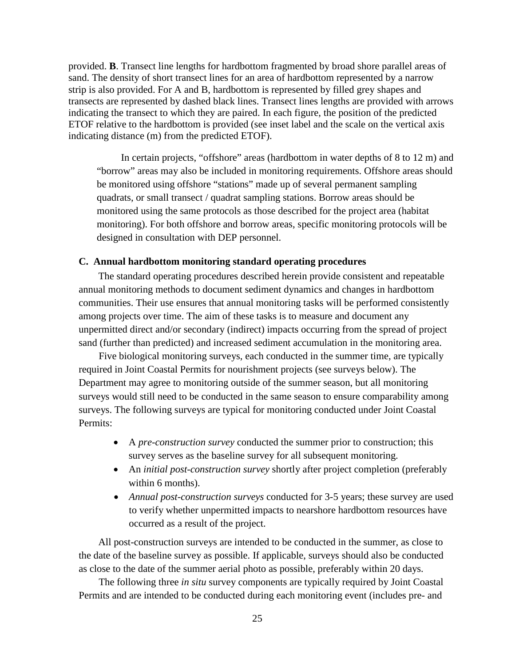provided. **B**. Transect line lengths for hardbottom fragmented by broad shore parallel areas of sand. The density of short transect lines for an area of hardbottom represented by a narrow strip is also provided. For A and B, hardbottom is represented by filled grey shapes and transects are represented by dashed black lines. Transect lines lengths are provided with arrows indicating the transect to which they are paired. In each figure, the position of the predicted ETOF relative to the hardbottom is provided (see inset label and the scale on the vertical axis indicating distance (m) from the predicted ETOF).

In certain projects, "offshore" areas (hardbottom in water depths of 8 to 12 m) and "borrow" areas may also be included in monitoring requirements. Offshore areas should be monitored using offshore "stations" made up of several permanent sampling quadrats, or small transect / quadrat sampling stations. Borrow areas should be monitored using the same protocols as those described for the project area (habitat monitoring). For both offshore and borrow areas, specific monitoring protocols will be designed in consultation with DEP personnel.

#### <span id="page-29-0"></span>**C. Annual hardbottom monitoring standard operating procedures**

The standard operating procedures described herein provide consistent and repeatable annual monitoring methods to document sediment dynamics and changes in hardbottom communities. Their use ensures that annual monitoring tasks will be performed consistently among projects over time. The aim of these tasks is to measure and document any unpermitted direct and/or secondary (indirect) impacts occurring from the spread of project sand (further than predicted) and increased sediment accumulation in the monitoring area.

Five biological monitoring surveys, each conducted in the summer time, are typically required in Joint Coastal Permits for nourishment projects (see surveys below). The Department may agree to monitoring outside of the summer season, but all monitoring surveys would still need to be conducted in the same season to ensure comparability among surveys. The following surveys are typical for monitoring conducted under Joint Coastal Permits:

- A *pre-construction survey* conducted the summer prior to construction; this survey serves as the baseline survey for all subsequent monitoring.
- An *initial post-construction survey* shortly after project completion (preferably within 6 months).
- *Annual post-construction surveys* conducted for 3-5 years; these survey are used to verify whether unpermitted impacts to nearshore hardbottom resources have occurred as a result of the project.

All post-construction surveys are intended to be conducted in the summer, as close to the date of the baseline survey as possible. If applicable, surveys should also be conducted as close to the date of the summer aerial photo as possible, preferably within 20 days.

The following three *in situ* survey components are typically required by Joint Coastal Permits and are intended to be conducted during each monitoring event (includes pre- and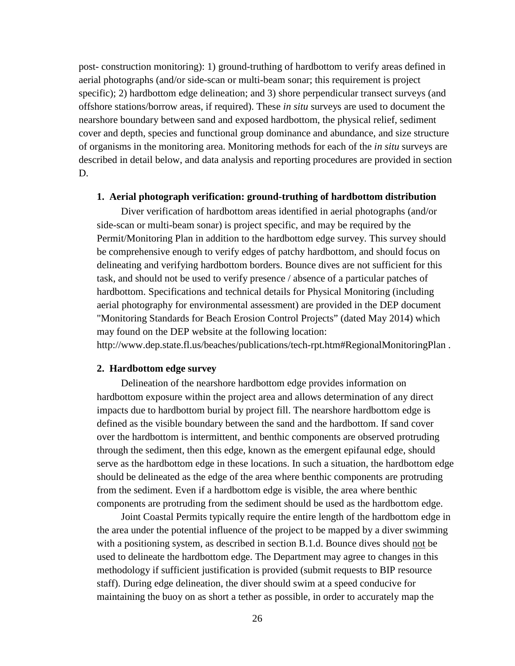post- construction monitoring): 1) ground-truthing of hardbottom to verify areas defined in aerial photographs (and/or side-scan or multi-beam sonar; this requirement is project specific); 2) hardbottom edge delineation; and 3) shore perpendicular transect surveys (and offshore stations/borrow areas, if required). These *in situ* surveys are used to document the nearshore boundary between sand and exposed hardbottom, the physical relief, sediment cover and depth, species and functional group dominance and abundance, and size structure of organisms in the monitoring area. Monitoring methods for each of the *in situ* surveys are described in detail below, and data analysis and reporting procedures are provided in section D.

#### <span id="page-30-0"></span>**1. Aerial photograph verification: ground-truthing of hardbottom distribution**

Diver verification of hardbottom areas identified in aerial photographs (and/or side-scan or multi-beam sonar) is project specific, and may be required by the Permit/Monitoring Plan in addition to the hardbottom edge survey. This survey should be comprehensive enough to verify edges of patchy hardbottom, and should focus on delineating and verifying hardbottom borders. Bounce dives are not sufficient for this task, and should not be used to verify presence / absence of a particular patches of hardbottom. Specifications and technical details for Physical Monitoring (including aerial photography for environmental assessment) are provided in the DEP document "Monitoring Standards for Beach Erosion Control Projects" (dated May 2014) which may found on the DEP website at the following location:

http://www.dep.state.fl.us/beaches/publications/tech-rpt.htm#RegionalMonitoringPlan .

#### <span id="page-30-1"></span>**2. Hardbottom edge survey**

Delineation of the nearshore hardbottom edge provides information on hardbottom exposure within the project area and allows determination of any direct impacts due to hardbottom burial by project fill. The nearshore hardbottom edge is defined as the visible boundary between the sand and the hardbottom. If sand cover over the hardbottom is intermittent, and benthic components are observed protruding through the sediment, then this edge, known as the emergent epifaunal edge, should serve as the hardbottom edge in these locations. In such a situation, the hardbottom edge should be delineated as the edge of the area where benthic components are protruding from the sediment. Even if a hardbottom edge is visible, the area where benthic components are protruding from the sediment should be used as the hardbottom edge.

Joint Coastal Permits typically require the entire length of the hardbottom edge in the area under the potential influence of the project to be mapped by a diver swimming with a positioning system, as described in section B.1.d. Bounce dives should not be used to delineate the hardbottom edge. The Department may agree to changes in this methodology if sufficient justification is provided (submit requests to BIP resource staff). During edge delineation, the diver should swim at a speed conducive for maintaining the buoy on as short a tether as possible, in order to accurately map the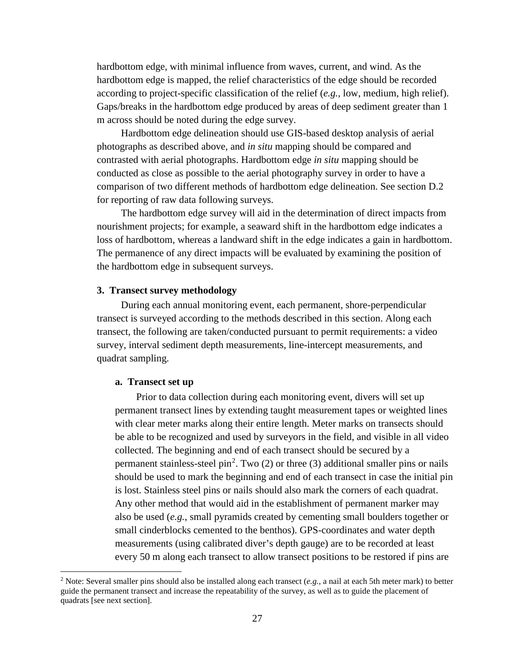hardbottom edge, with minimal influence from waves, current, and wind. As the hardbottom edge is mapped, the relief characteristics of the edge should be recorded according to project-specific classification of the relief (*e.g.*, low, medium, high relief). Gaps/breaks in the hardbottom edge produced by areas of deep sediment greater than 1 m across should be noted during the edge survey.

Hardbottom edge delineation should use GIS-based desktop analysis of aerial photographs as described above, and *in situ* mapping should be compared and contrasted with aerial photographs. Hardbottom edge *in situ* mapping should be conducted as close as possible to the aerial photography survey in order to have a comparison of two different methods of hardbottom edge delineation. See section D.2 for reporting of raw data following surveys.

The hardbottom edge survey will aid in the determination of direct impacts from nourishment projects; for example, a seaward shift in the hardbottom edge indicates a loss of hardbottom, whereas a landward shift in the edge indicates a gain in hardbottom. The permanence of any direct impacts will be evaluated by examining the position of the hardbottom edge in subsequent surveys.

#### <span id="page-31-0"></span>**3. Transect survey methodology**

During each annual monitoring event, each permanent, shore-perpendicular transect is surveyed according to the methods described in this section. Along each transect, the following are taken/conducted pursuant to permit requirements: a video survey, interval sediment depth measurements, line-intercept measurements, and quadrat sampling.

#### <span id="page-31-1"></span>**a. Transect set up**

Prior to data collection during each monitoring event, divers will set up permanent transect lines by extending taught measurement tapes or weighted lines with clear meter marks along their entire length. Meter marks on transects should be able to be recognized and used by surveyors in the field, and visible in all video collected. The beginning and end of each transect should be secured by a permanent stainless-steel  $pin^2$  $pin^2$ . Two (2) or three (3) additional smaller pins or nails should be used to mark the beginning and end of each transect in case the initial pin is lost. Stainless steel pins or nails should also mark the corners of each quadrat. Any other method that would aid in the establishment of permanent marker may also be used (*e.g.*, small pyramids created by cementing small boulders together or small cinderblocks cemented to the benthos). GPS-coordinates and water depth measurements (using calibrated diver's depth gauge) are to be recorded at least every 50 m along each transect to allow transect positions to be restored if pins are

<span id="page-31-2"></span> <sup>2</sup> Note: Several smaller pins should also be installed along each transect (*e.g.*, a nail at each 5th meter mark) to better guide the permanent transect and increase the repeatability of the survey, as well as to guide the placement of quadrats [see next section].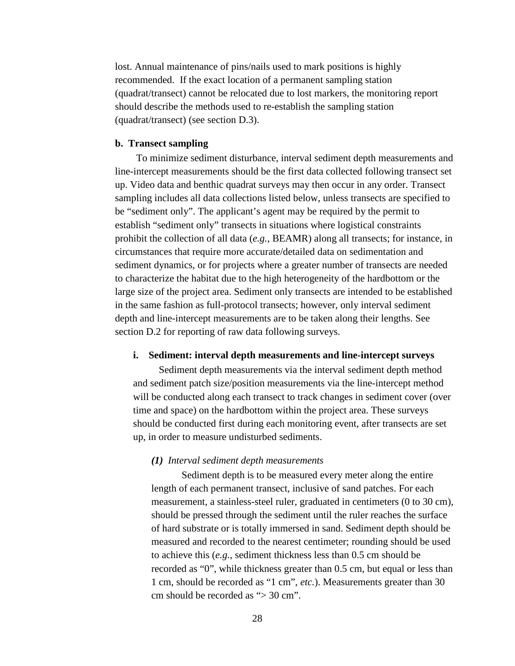lost. Annual maintenance of pins/nails used to mark positions is highly recommended. If the exact location of a permanent sampling station (quadrat/transect) cannot be relocated due to lost markers, the monitoring report should describe the methods used to re-establish the sampling station (quadrat/transect) (see section D.3).

#### <span id="page-32-0"></span>**b. Transect sampling**

To minimize sediment disturbance, interval sediment depth measurements and line-intercept measurements should be the first data collected following transect set up. Video data and benthic quadrat surveys may then occur in any order. Transect sampling includes all data collections listed below, unless transects are specified to be "sediment only". The applicant's agent may be required by the permit to establish "sediment only" transects in situations where logistical constraints prohibit the collection of all data (*e.g.*, BEAMR) along all transects; for instance, in circumstances that require more accurate/detailed data on sedimentation and sediment dynamics, or for projects where a greater number of transects are needed to characterize the habitat due to the high heterogeneity of the hardbottom or the large size of the project area. Sediment only transects are intended to be established in the same fashion as full-protocol transects; however, only interval sediment depth and line-intercept measurements are to be taken along their lengths. See section D.2 for reporting of raw data following surveys.

# <span id="page-32-1"></span>**i. Sediment: interval depth measurements and line-intercept surveys**

Sediment depth measurements via the interval sediment depth method and sediment patch size/position measurements via the line-intercept method will be conducted along each transect to track changes in sediment cover (over time and space) on the hardbottom within the project area. These surveys should be conducted first during each monitoring event, after transects are set up, in order to measure undisturbed sediments.

#### *(1) Interval sediment depth measurements*

Sediment depth is to be measured every meter along the entire length of each permanent transect, inclusive of sand patches. For each measurement, a stainless-steel ruler, graduated in centimeters (0 to 30 cm), should be pressed through the sediment until the ruler reaches the surface of hard substrate or is totally immersed in sand. Sediment depth should be measured and recorded to the nearest centimeter; rounding should be used to achieve this (*e.g.*, sediment thickness less than 0.5 cm should be recorded as "0", while thickness greater than 0.5 cm, but equal or less than 1 cm, should be recorded as "1 cm", *etc.*). Measurements greater than 30 cm should be recorded as "> 30 cm".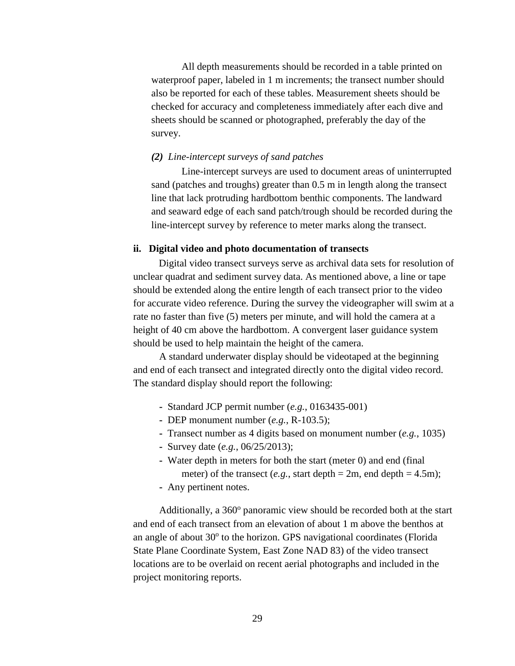All depth measurements should be recorded in a table printed on waterproof paper, labeled in 1 m increments; the transect number should also be reported for each of these tables. Measurement sheets should be checked for accuracy and completeness immediately after each dive and sheets should be scanned or photographed, preferably the day of the survey.

## *(2) Line-intercept surveys of sand patches*

Line-intercept surveys are used to document areas of uninterrupted sand (patches and troughs) greater than 0.5 m in length along the transect line that lack protruding hardbottom benthic components. The landward and seaward edge of each sand patch/trough should be recorded during the line-intercept survey by reference to meter marks along the transect.

#### <span id="page-33-0"></span>**ii. Digital video and photo documentation of transects**

Digital video transect surveys serve as archival data sets for resolution of unclear quadrat and sediment survey data. As mentioned above, a line or tape should be extended along the entire length of each transect prior to the video for accurate video reference. During the survey the videographer will swim at a rate no faster than five (5) meters per minute, and will hold the camera at a height of 40 cm above the hardbottom. A convergent laser guidance system should be used to help maintain the height of the camera.

A standard underwater display should be videotaped at the beginning and end of each transect and integrated directly onto the digital video record. The standard display should report the following:

- Standard JCP permit number (*e.g.*, 0163435-001)
- DEP monument number (*e.g.*, R-103.5);
- Transect number as 4 digits based on monument number (*e.g.*, 1035)
- Survey date (*e.g.*, 06/25/2013);
- Water depth in meters for both the start (meter 0) and end (final meter) of the transect (*e.g.*, start depth =  $2m$ , end depth =  $4.5m$ );
- Any pertinent notes.

Additionally, a  $360^\circ$  panoramic view should be recorded both at the start and end of each transect from an elevation of about 1 m above the benthos at an angle of about  $30^{\circ}$  to the horizon. GPS navigational coordinates (Florida State Plane Coordinate System, East Zone NAD 83) of the video transect locations are to be overlaid on recent aerial photographs and included in the project monitoring reports.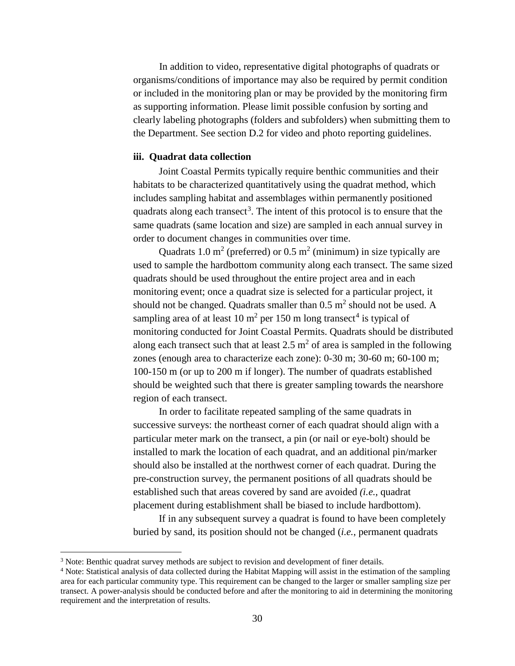In addition to video, representative digital photographs of quadrats or organisms/conditions of importance may also be required by permit condition or included in the monitoring plan or may be provided by the monitoring firm as supporting information. Please limit possible confusion by sorting and clearly labeling photographs (folders and subfolders) when submitting them to the Department. See section D.2 for video and photo reporting guidelines.

# <span id="page-34-0"></span>**iii. Quadrat data collection**

Joint Coastal Permits typically require benthic communities and their habitats to be characterized quantitatively using the quadrat method, which includes sampling habitat and assemblages within permanently positioned quadrats along each transect<sup>[3](#page-34-1)</sup>. The intent of this protocol is to ensure that the same quadrats (same location and size) are sampled in each annual survey in order to document changes in communities over time.

Quadrats 1.0 m<sup>2</sup> (preferred) or 0.5 m<sup>2</sup> (minimum) in size typically are used to sample the hardbottom community along each transect. The same sized quadrats should be used throughout the entire project area and in each monitoring event; once a quadrat size is selected for a particular project, it should not be changed. Quadrats smaller than  $0.5 \text{ m}^2$  should not be used. A sampling area of at least 10  $m^2$  per 150 m long transect<sup>[4](#page-34-2)</sup> is typical of monitoring conducted for Joint Coastal Permits. Quadrats should be distributed along each transect such that at least  $2.5 \text{ m}^2$  of area is sampled in the following zones (enough area to characterize each zone): 0-30 m; 30-60 m; 60-100 m; 100-150 m (or up to 200 m if longer). The number of quadrats established should be weighted such that there is greater sampling towards the nearshore region of each transect.

In order to facilitate repeated sampling of the same quadrats in successive surveys: the northeast corner of each quadrat should align with a particular meter mark on the transect, a pin (or nail or eye-bolt) should be installed to mark the location of each quadrat, and an additional pin/marker should also be installed at the northwest corner of each quadrat. During the pre-construction survey, the permanent positions of all quadrats should be established such that areas covered by sand are avoided *(i.e.*, quadrat placement during establishment shall be biased to include hardbottom).

If in any subsequent survey a quadrat is found to have been completely buried by sand, its position should not be changed (*i.e.*, permanent quadrats

<span id="page-34-1"></span><sup>&</sup>lt;sup>3</sup> Note: Benthic quadrat survey methods are subject to revision and development of finer details.

<span id="page-34-2"></span><sup>4</sup> Note: Statistical analysis of data collected during the Habitat Mapping will assist in the estimation of the sampling area for each particular community type. This requirement can be changed to the larger or smaller sampling size per transect. A power-analysis should be conducted before and after the monitoring to aid in determining the monitoring requirement and the interpretation of results.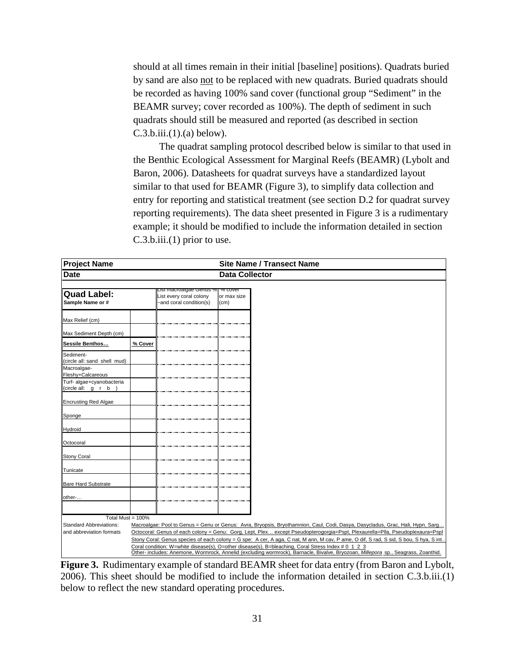should at all times remain in their initial [baseline] positions). Quadrats buried by sand are also not to be replaced with new quadrats. Buried quadrats should be recorded as having 100% sand cover (functional group "Sediment" in the BEAMR survey; cover recorded as 100%). The depth of sediment in such quadrats should still be measured and reported (as described in section  $C.3.b.iii.(1).(a) below).$ 

The quadrat sampling protocol described below is similar to that used in the Benthic Ecological Assessment for Marginal Reefs (BEAMR) (Lybolt and Baron, 2006). Datasheets for quadrat surveys have a standardized layout similar to that used for BEAMR (Figure 3), to simplify data collection and entry for reporting and statistical treatment (see section D.2 for quadrat survey reporting requirements). The data sheet presented in Figure 3 is a rudimentary example; it should be modified to include the information detailed in section C.3.b.iii.(1) prior to use.

| <b>Project Name</b>                             |                                                                                                                                                                                                                                              | <b>Site Name / Transect Name</b>                                             |                                |                                                                                                                                   |  |  |
|-------------------------------------------------|----------------------------------------------------------------------------------------------------------------------------------------------------------------------------------------------------------------------------------------------|------------------------------------------------------------------------------|--------------------------------|-----------------------------------------------------------------------------------------------------------------------------------|--|--|
| <b>Date</b>                                     |                                                                                                                                                                                                                                              |                                                                              | <b>Data Collector</b>          |                                                                                                                                   |  |  |
| <b>Quad Label:</b><br>Sample Name or #          |                                                                                                                                                                                                                                              | ust macroaigae Genus %<br>List every coral colony<br>-and coral condition(s) | % cover<br>or max size<br>(cm) |                                                                                                                                   |  |  |
| Max Relief (cm)                                 |                                                                                                                                                                                                                                              |                                                                              |                                |                                                                                                                                   |  |  |
| Max Sediment Depth (cm)                         |                                                                                                                                                                                                                                              |                                                                              |                                |                                                                                                                                   |  |  |
| Sessile Benthos                                 | % Cover                                                                                                                                                                                                                                      |                                                                              |                                |                                                                                                                                   |  |  |
| Sediment-<br>(circle all: sand shell mud)       |                                                                                                                                                                                                                                              |                                                                              |                                |                                                                                                                                   |  |  |
| Macroalgae-<br>Fleshy+Calcareous                |                                                                                                                                                                                                                                              |                                                                              |                                |                                                                                                                                   |  |  |
| Turf- algae+cyanobacteria<br>(circle all: g r b |                                                                                                                                                                                                                                              |                                                                              |                                |                                                                                                                                   |  |  |
| <b>Encrusting Red Algae</b>                     |                                                                                                                                                                                                                                              |                                                                              |                                |                                                                                                                                   |  |  |
| Sponge                                          |                                                                                                                                                                                                                                              |                                                                              |                                |                                                                                                                                   |  |  |
| Hydroid                                         |                                                                                                                                                                                                                                              |                                                                              |                                |                                                                                                                                   |  |  |
| Octocoral                                       |                                                                                                                                                                                                                                              |                                                                              |                                |                                                                                                                                   |  |  |
| <b>Stony Coral</b>                              |                                                                                                                                                                                                                                              |                                                                              |                                |                                                                                                                                   |  |  |
| Tunicate                                        |                                                                                                                                                                                                                                              |                                                                              |                                |                                                                                                                                   |  |  |
| <b>Bare Hard Substrate</b>                      |                                                                                                                                                                                                                                              |                                                                              |                                |                                                                                                                                   |  |  |
| other-                                          |                                                                                                                                                                                                                                              |                                                                              |                                |                                                                                                                                   |  |  |
|                                                 |                                                                                                                                                                                                                                              |                                                                              |                                |                                                                                                                                   |  |  |
| Total Must = 100%                               |                                                                                                                                                                                                                                              |                                                                              |                                |                                                                                                                                   |  |  |
| <b>Standard Abbreviations:</b>                  | Macroalgae: Pool to Genus = Genu or Genus: Avra, Bryopsis, Bryothamnion, Caul, Codi, Dasya, Dasycladus, Grac, Hali, Hypn, Sarg                                                                                                               |                                                                              |                                |                                                                                                                                   |  |  |
| and abbreviation formats                        | Octocoral: Genus of each colony = Genu: Gorg, Lept, Plex except Pseudopterogorgia=Pspt, Plexaurella=Plla, Pseudoplexaura=Pspl                                                                                                                |                                                                              |                                |                                                                                                                                   |  |  |
|                                                 | Stony Coral: Genus species of each colony = G spe: A cer, A aga, C nat, M ann, M cav, P ame, O dif, S rad, S sid, S bou, S hya, S int.<br>Coral condition: W=white disease(s), O=other disease(s), B=bleaching, Coral Stress Index # 0 1 2 3 |                                                                              |                                |                                                                                                                                   |  |  |
|                                                 |                                                                                                                                                                                                                                              |                                                                              |                                | Other- includes: Anemone, Wormrock, Annelid (excluding wormrock), Barnacle, Bivalve, Bryozoan, Millepora sp., Seagrass, Zoanthid. |  |  |

**Figure 3.** Rudimentary example of standard BEAMR sheet for data entry (from Baron and Lybolt, 2006). This sheet should be modified to include the information detailed in section C.3.b.iii.(1) below to reflect the new standard operating procedures.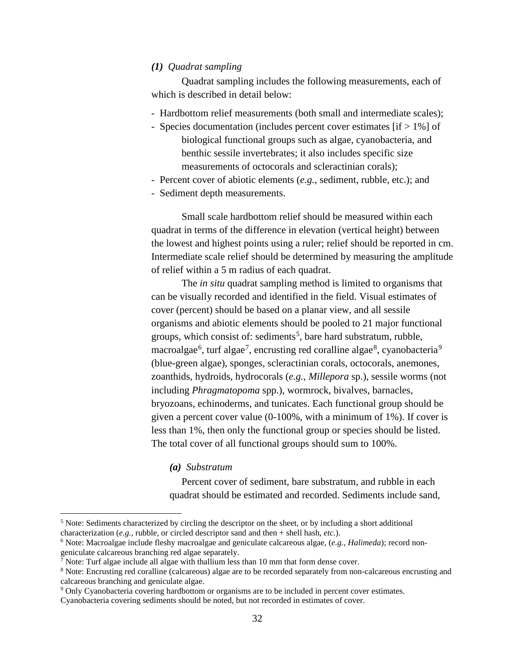## *(1) Quadrat sampling*

Quadrat sampling includes the following measurements, each of which is described in detail below:

- Hardbottom relief measurements (both small and intermediate scales);
- Species documentation (includes percent cover estimates [if > 1%] of biological functional groups such as algae, cyanobacteria, and benthic sessile invertebrates; it also includes specific size measurements of octocorals and scleractinian corals);
- Percent cover of abiotic elements (*e.g.*, sediment, rubble, etc.); and
- Sediment depth measurements.

Small scale hardbottom relief should be measured within each quadrat in terms of the difference in elevation (vertical height) between the lowest and highest points using a ruler; relief should be reported in cm. Intermediate scale relief should be determined by measuring the amplitude of relief within a 5 m radius of each quadrat.

The *in situ* quadrat sampling method is limited to organisms that can be visually recorded and identified in the field. Visual estimates of cover (percent) should be based on a planar view, and all sessile organisms and abiotic elements should be pooled to 21 major functional groups, which consist of: sediments<sup>[5](#page-36-0)</sup>, bare hard substratum, rubble, macroalgae $^6$  $^6$ , turf algae $^7$  $^7$ , encrusting red coralline algae $^8$  $^8$ , cyanobacteria $^9$  $^9$ (blue-green algae), sponges, scleractinian corals, octocorals, anemones, zoanthids, hydroids, hydrocorals (*e.g.*, *Millepora* sp.), sessile worms (not including *Phragmatopoma* spp.), wormrock, bivalves, barnacles, bryozoans, echinoderms, and tunicates. Each functional group should be given a percent cover value (0-100%, with a minimum of 1%). If cover is less than 1%, then only the functional group or species should be listed. The total cover of all functional groups should sum to 100%.

## *(a) Substratum*

Percent cover of sediment, bare substratum, and rubble in each quadrat should be estimated and recorded. Sediments include sand,

<span id="page-36-0"></span><sup>&</sup>lt;sup>5</sup> Note: Sediments characterized by circling the descriptor on the sheet, or by including a short additional characterization (*e.g.*, rubble, or circled descriptor sand and then + shell hash, *etc.*).

<span id="page-36-1"></span><sup>&</sup>lt;sup>6</sup> Note: Macroalgae include fleshy macroalgae and geniculate calcareous algae, (*e.g., Halimeda*); record nongeniculate calcareous branching red algae separately.<br>
<sup>7</sup> Note: Turf algae include all algae with thallium less than 10 mm that form dense cover.<br>
<sup>8</sup> Note: Encrusting red coralline (calcareous) algae are to be recorded

<span id="page-36-2"></span>

<span id="page-36-3"></span>calcareous branching and geniculate algae.

<span id="page-36-4"></span><sup>9</sup> Only Cyanobacteria covering hardbottom or organisms are to be included in percent cover estimates.

Cyanobacteria covering sediments should be noted, but not recorded in estimates of cover.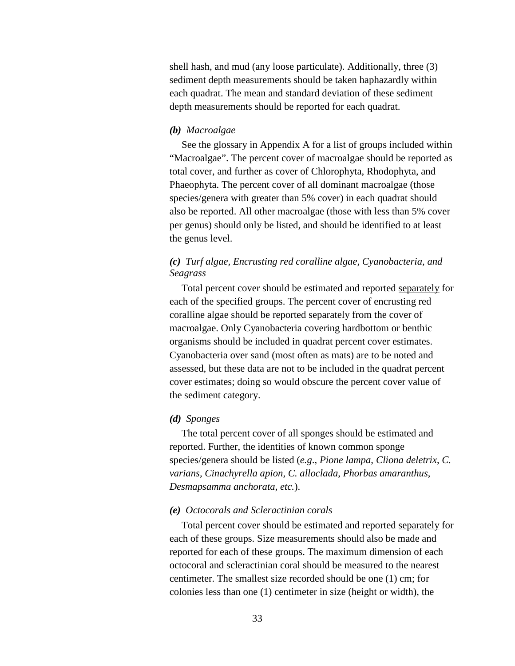shell hash, and mud (any loose particulate). Additionally, three (3) sediment depth measurements should be taken haphazardly within each quadrat. The mean and standard deviation of these sediment depth measurements should be reported for each quadrat.

### *(b) Macroalgae*

See the glossary in Appendix A for a list of groups included within "Macroalgae". The percent cover of macroalgae should be reported as total cover, and further as cover of Chlorophyta, Rhodophyta, and Phaeophyta. The percent cover of all dominant macroalgae (those species/genera with greater than 5% cover) in each quadrat should also be reported. All other macroalgae (those with less than 5% cover per genus) should only be listed, and should be identified to at least the genus level.

## *(c) Turf algae, Encrusting red coralline algae, Cyanobacteria, and Seagrass*

Total percent cover should be estimated and reported separately for each of the specified groups. The percent cover of encrusting red coralline algae should be reported separately from the cover of macroalgae. Only Cyanobacteria covering hardbottom or benthic organisms should be included in quadrat percent cover estimates. Cyanobacteria over sand (most often as mats) are to be noted and assessed, but these data are not to be included in the quadrat percent cover estimates; doing so would obscure the percent cover value of the sediment category.

#### *(d) Sponges*

The total percent cover of all sponges should be estimated and reported. Further, the identities of known common sponge species/genera should be listed (*e.g*., *Pione lampa*, *Cliona deletrix*, *C. varians, Cinachyrella apion*, *C. alloclada*, *Phorbas amaranthus*, *Desmapsamma anchorata*, *etc.*).

### *(e) Octocorals and Scleractinian corals*

Total percent cover should be estimated and reported separately for each of these groups. Size measurements should also be made and reported for each of these groups. The maximum dimension of each octocoral and scleractinian coral should be measured to the nearest centimeter. The smallest size recorded should be one (1) cm; for colonies less than one (1) centimeter in size (height or width), the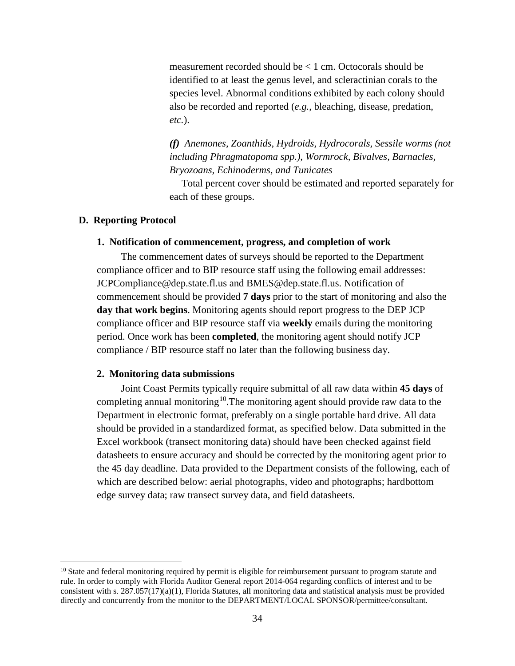measurement recorded should be < 1 cm. Octocorals should be identified to at least the genus level, and scleractinian corals to the species level. Abnormal conditions exhibited by each colony should also be recorded and reported (*e.g.*, bleaching, disease, predation, *etc.*).

*(f) Anemones, Zoanthids, Hydroids, Hydrocorals, Sessile worms (not including Phragmatopoma spp.), Wormrock, Bivalves, Barnacles, Bryozoans, Echinoderms, and Tunicates*

Total percent cover should be estimated and reported separately for each of these groups.

### **D. Reporting Protocol**

### **1. Notification of commencement, progress, and completion of work**

The commencement dates of surveys should be reported to the Department compliance officer and to BIP resource staff using the following email addresses: JCPCompliance@dep.state.fl.us and BMES@dep.state.fl.us. Notification of commencement should be provided **7 days** prior to the start of monitoring and also the **day that work begins**. Monitoring agents should report progress to the DEP JCP compliance officer and BIP resource staff via **weekly** emails during the monitoring period. Once work has been **completed**, the monitoring agent should notify JCP compliance / BIP resource staff no later than the following business day.

### **2. Monitoring data submissions**

Joint Coast Permits typically require submittal of all raw data within **45 days** of completing annual monitoring<sup>[10](#page-38-0)</sup>. The monitoring agent should provide raw data to the Department in electronic format, preferably on a single portable hard drive. All data should be provided in a standardized format, as specified below. Data submitted in the Excel workbook (transect monitoring data) should have been checked against field datasheets to ensure accuracy and should be corrected by the monitoring agent prior to the 45 day deadline. Data provided to the Department consists of the following, each of which are described below: aerial photographs, video and photographs; hardbottom edge survey data; raw transect survey data, and field datasheets.

<span id="page-38-0"></span> $10$  State and federal monitoring required by permit is eligible for reimbursement pursuant to program statute and rule. In order to comply with Florida Auditor General report 2014-064 regarding conflicts of interest and to be consistent with s.  $287.057(17)(a)(1)$ , Florida Statutes, all monitoring data and statistical analysis must be provided directly and concurrently from the monitor to the DEPARTMENT/LOCAL SPONSOR/permittee/consultant.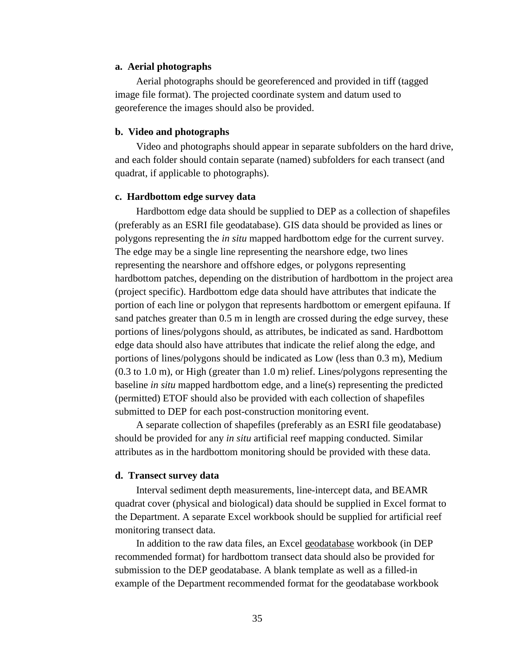### **a. Aerial photographs**

Aerial photographs should be georeferenced and provided in tiff (tagged image file format). The projected coordinate system and datum used to georeference the images should also be provided.

### **b. Video and photographs**

Video and photographs should appear in separate subfolders on the hard drive, and each folder should contain separate (named) subfolders for each transect (and quadrat, if applicable to photographs).

### **c. Hardbottom edge survey data**

Hardbottom edge data should be supplied to DEP as a collection of shapefiles (preferably as an ESRI file geodatabase). GIS data should be provided as lines or polygons representing the *in situ* mapped hardbottom edge for the current survey. The edge may be a single line representing the nearshore edge, two lines representing the nearshore and offshore edges, or polygons representing hardbottom patches, depending on the distribution of hardbottom in the project area (project specific). Hardbottom edge data should have attributes that indicate the portion of each line or polygon that represents hardbottom or emergent epifauna. If sand patches greater than 0.5 m in length are crossed during the edge survey, these portions of lines/polygons should, as attributes, be indicated as sand. Hardbottom edge data should also have attributes that indicate the relief along the edge, and portions of lines/polygons should be indicated as Low (less than 0.3 m), Medium (0.3 to 1.0 m), or High (greater than 1.0 m) relief. Lines/polygons representing the baseline *in situ* mapped hardbottom edge, and a line(s) representing the predicted (permitted) ETOF should also be provided with each collection of shapefiles submitted to DEP for each post-construction monitoring event.

A separate collection of shapefiles (preferably as an ESRI file geodatabase) should be provided for any *in situ* artificial reef mapping conducted. Similar attributes as in the hardbottom monitoring should be provided with these data.

#### **d. Transect survey data**

Interval sediment depth measurements, line-intercept data, and BEAMR quadrat cover (physical and biological) data should be supplied in Excel format to the Department. A separate Excel workbook should be supplied for artificial reef monitoring transect data.

In addition to the raw data files, an Excel geodatabase workbook (in DEP recommended format) for hardbottom transect data should also be provided for submission to the DEP geodatabase. A blank template as well as a filled-in example of the Department recommended format for the geodatabase workbook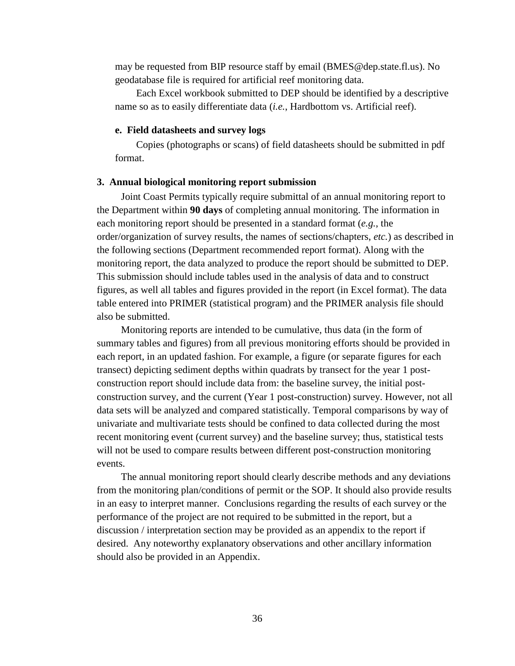may be requested from BIP resource staff by email (BMES@dep.state.fl.us). No geodatabase file is required for artificial reef monitoring data.

Each Excel workbook submitted to DEP should be identified by a descriptive name so as to easily differentiate data (*i.e.*, Hardbottom vs. Artificial reef).

#### **e. Field datasheets and survey logs**

Copies (photographs or scans) of field datasheets should be submitted in pdf format.

#### **3. Annual biological monitoring report submission**

Joint Coast Permits typically require submittal of an annual monitoring report to the Department within **90 days** of completing annual monitoring. The information in each monitoring report should be presented in a standard format (*e.g.*, the order/organization of survey results, the names of sections/chapters, *etc.*) as described in the following sections (Department recommended report format). Along with the monitoring report, the data analyzed to produce the report should be submitted to DEP. This submission should include tables used in the analysis of data and to construct figures, as well all tables and figures provided in the report (in Excel format). The data table entered into PRIMER (statistical program) and the PRIMER analysis file should also be submitted.

Monitoring reports are intended to be cumulative, thus data (in the form of summary tables and figures) from all previous monitoring efforts should be provided in each report, in an updated fashion. For example, a figure (or separate figures for each transect) depicting sediment depths within quadrats by transect for the year 1 postconstruction report should include data from: the baseline survey, the initial postconstruction survey, and the current (Year 1 post-construction) survey. However, not all data sets will be analyzed and compared statistically. Temporal comparisons by way of univariate and multivariate tests should be confined to data collected during the most recent monitoring event (current survey) and the baseline survey; thus, statistical tests will not be used to compare results between different post-construction monitoring events.

The annual monitoring report should clearly describe methods and any deviations from the monitoring plan/conditions of permit or the SOP. It should also provide results in an easy to interpret manner. Conclusions regarding the results of each survey or the performance of the project are not required to be submitted in the report, but a discussion / interpretation section may be provided as an appendix to the report if desired. Any noteworthy explanatory observations and other ancillary information should also be provided in an Appendix.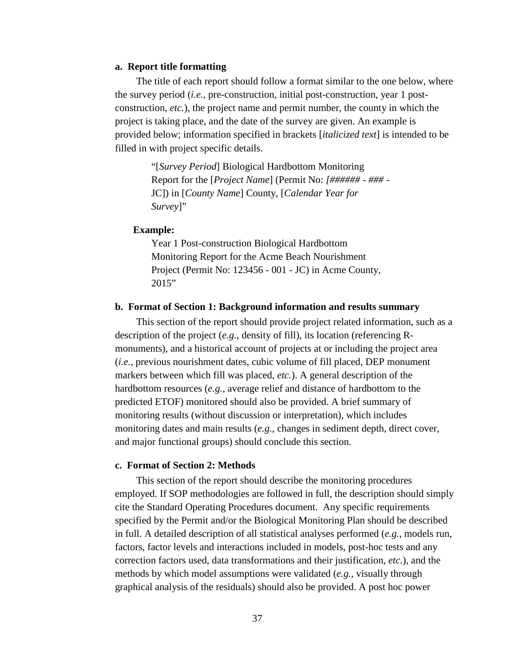### **a. Report title formatting**

The title of each report should follow a format similar to the one below, where the survey period (*i.e.*, pre-construction, initial post-construction, year 1 postconstruction, *etc.*), the project name and permit number, the county in which the project is taking place, and the date of the survey are given. An example is provided below; information specified in brackets [*italicized text*] is intended to be filled in with project specific details.

> "[*Survey Period*] Biological Hardbottom Monitoring Report for the [*Project Name*] (Permit No: *[###### - ### -* JC]) in [*County Name*] County, [*Calendar Year for Survey*]"

### **Example:**

Year 1 Post-construction Biological Hardbottom Monitoring Report for the Acme Beach Nourishment Project (Permit No: 123456 - 001 - JC) in Acme County, 2015"

## **b. Format of Section 1: Background information and results summary**

This section of the report should provide project related information, such as a description of the project (*e.g.*, density of fill), its location (referencing Rmonuments), and a historical account of projects at or including the project area (*i.e.*, previous nourishment dates, cubic volume of fill placed, DEP monument markers between which fill was placed, *etc.*). A general description of the hardbottom resources (*e.g.*, average relief and distance of hardbottom to the predicted ETOF) monitored should also be provided. A brief summary of monitoring results (without discussion or interpretation), which includes monitoring dates and main results (*e.g.*, changes in sediment depth, direct cover, and major functional groups) should conclude this section.

### **c. Format of Section 2: Methods**

This section of the report should describe the monitoring procedures employed. If SOP methodologies are followed in full, the description should simply cite the Standard Operating Procedures document. Any specific requirements specified by the Permit and/or the Biological Monitoring Plan should be described in full. A detailed description of all statistical analyses performed (*e.g.*, models run, factors, factor levels and interactions included in models, post-hoc tests and any correction factors used, data transformations and their justification, *etc.*), and the methods by which model assumptions were validated (*e.g.*, visually through graphical analysis of the residuals) should also be provided. A post hoc power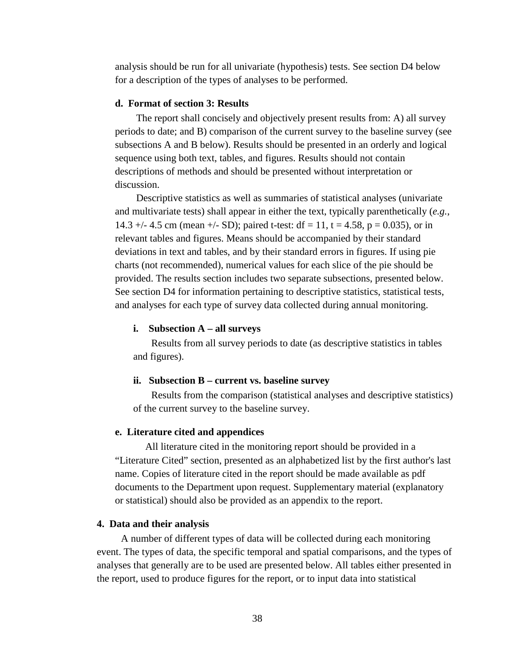analysis should be run for all univariate (hypothesis) tests. See section D4 below for a description of the types of analyses to be performed.

### **d. Format of section 3: Results**

The report shall concisely and objectively present results from: A) all survey periods to date; and B) comparison of the current survey to the baseline survey (see subsections A and B below). Results should be presented in an orderly and logical sequence using both text, tables, and figures. Results should not contain descriptions of methods and should be presented without interpretation or discussion.

Descriptive statistics as well as summaries of statistical analyses (univariate and multivariate tests) shall appear in either the text, typically parenthetically (*e.g.*, 14.3 +/- 4.5 cm (mean +/- SD); paired t-test:  $df = 11$ ,  $t = 4.58$ ,  $p = 0.035$ ), or in relevant tables and figures. Means should be accompanied by their standard deviations in text and tables, and by their standard errors in figures. If using pie charts (not recommended), numerical values for each slice of the pie should be provided. The results section includes two separate subsections, presented below. See section D4 for information pertaining to descriptive statistics, statistical tests, and analyses for each type of survey data collected during annual monitoring.

#### **i. Subsection A – all surveys**

Results from all survey periods to date (as descriptive statistics in tables and figures).

### **ii. Subsection B – current vs. baseline survey**

Results from the comparison (statistical analyses and descriptive statistics) of the current survey to the baseline survey.

#### **e. Literature cited and appendices**

All literature cited in the monitoring report should be provided in a "Literature Cited" section, presented as an alphabetized list by the first author's last name. Copies of literature cited in the report should be made available as pdf documents to the Department upon request. Supplementary material (explanatory or statistical) should also be provided as an appendix to the report.

#### **4. Data and their analysis**

A number of different types of data will be collected during each monitoring event. The types of data, the specific temporal and spatial comparisons, and the types of analyses that generally are to be used are presented below. All tables either presented in the report, used to produce figures for the report, or to input data into statistical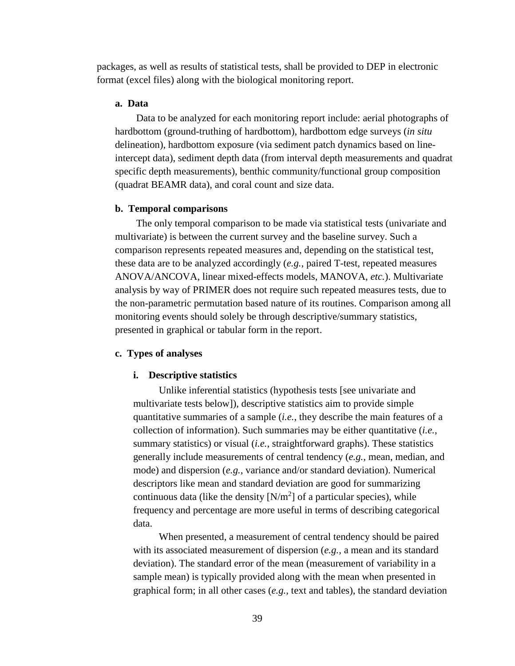packages, as well as results of statistical tests, shall be provided to DEP in electronic format (excel files) along with the biological monitoring report.

## **a. Data**

Data to be analyzed for each monitoring report include: aerial photographs of hardbottom (ground-truthing of hardbottom), hardbottom edge surveys (*in situ* delineation), hardbottom exposure (via sediment patch dynamics based on lineintercept data), sediment depth data (from interval depth measurements and quadrat specific depth measurements), benthic community/functional group composition (quadrat BEAMR data), and coral count and size data.

#### **b. Temporal comparisons**

The only temporal comparison to be made via statistical tests (univariate and multivariate) is between the current survey and the baseline survey. Such a comparison represents repeated measures and, depending on the statistical test, these data are to be analyzed accordingly (*e.g.*, paired T-test, repeated measures ANOVA/ANCOVA, linear mixed-effects models, MANOVA, *etc.*). Multivariate analysis by way of PRIMER does not require such repeated measures tests, due to the non-parametric permutation based nature of its routines. Comparison among all monitoring events should solely be through descriptive/summary statistics, presented in graphical or tabular form in the report.

### **c. Types of analyses**

#### **i. Descriptive statistics**

Unlike inferential statistics (hypothesis tests [see univariate and multivariate tests below]), descriptive statistics aim to provide simple quantitative summaries of a sample (*i.e.*, they describe the main features of a collection of information). Such summaries may be either quantitative (*i.e.*, summary statistics) or visual (*i.e.*, straightforward graphs). These statistics generally include measurements of central tendency (*e.g.*, mean, median, and mode) and dispersion (*e.g.*, variance and/or standard deviation). Numerical descriptors like mean and standard deviation are good for summarizing continuous data (like the density  $[N/m^2]$  of a particular species), while frequency and percentage are more useful in terms of describing categorical data.

When presented, a measurement of central tendency should be paired with its associated measurement of dispersion (*e.g.*, a mean and its standard deviation). The standard error of the mean (measurement of variability in a sample mean) is typically provided along with the mean when presented in graphical form; in all other cases (*e.g.*, text and tables), the standard deviation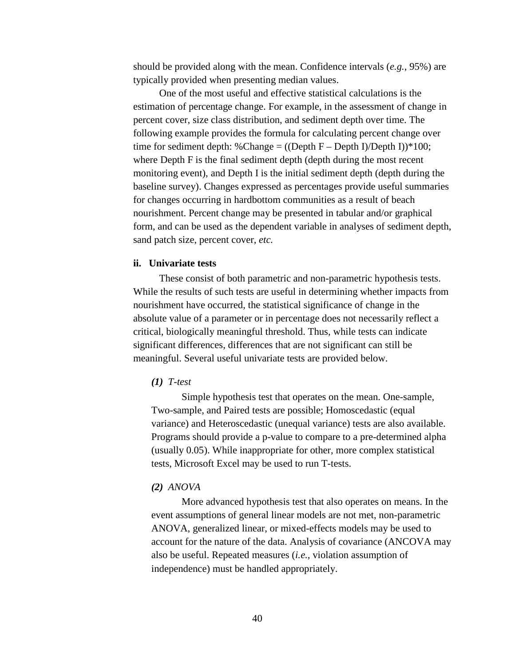should be provided along with the mean. Confidence intervals (*e.g.*, 95%) are typically provided when presenting median values.

One of the most useful and effective statistical calculations is the estimation of percentage change. For example, in the assessment of change in percent cover, size class distribution, and sediment depth over time. The following example provides the formula for calculating percent change over time for sediment depth: %Change =  $($ Oepth F – Depth I $)$ Depth I $)$  \*100; where Depth F is the final sediment depth (depth during the most recent monitoring event), and Depth I is the initial sediment depth (depth during the baseline survey). Changes expressed as percentages provide useful summaries for changes occurring in hardbottom communities as a result of beach nourishment. Percent change may be presented in tabular and/or graphical form, and can be used as the dependent variable in analyses of sediment depth, sand patch size, percent cover, *etc.*

### **ii. Univariate tests**

These consist of both parametric and non-parametric hypothesis tests. While the results of such tests are useful in determining whether impacts from nourishment have occurred, the statistical significance of change in the absolute value of a parameter or in percentage does not necessarily reflect a critical, biologically meaningful threshold. Thus, while tests can indicate significant differences, differences that are not significant can still be meaningful. Several useful univariate tests are provided below.

### *(1) T-test*

Simple hypothesis test that operates on the mean. One-sample, Two-sample, and Paired tests are possible; Homoscedastic (equal variance) and Heteroscedastic (unequal variance) tests are also available. Programs should provide a p-value to compare to a pre-determined alpha (usually 0.05). While inappropriate for other, more complex statistical tests, Microsoft Excel may be used to run T-tests.

### *(2) ANOVA*

More advanced hypothesis test that also operates on means. In the event assumptions of general linear models are not met, non-parametric ANOVA, generalized linear, or mixed-effects models may be used to account for the nature of the data. Analysis of covariance (ANCOVA may also be useful. Repeated measures (*i.e.*, violation assumption of independence) must be handled appropriately.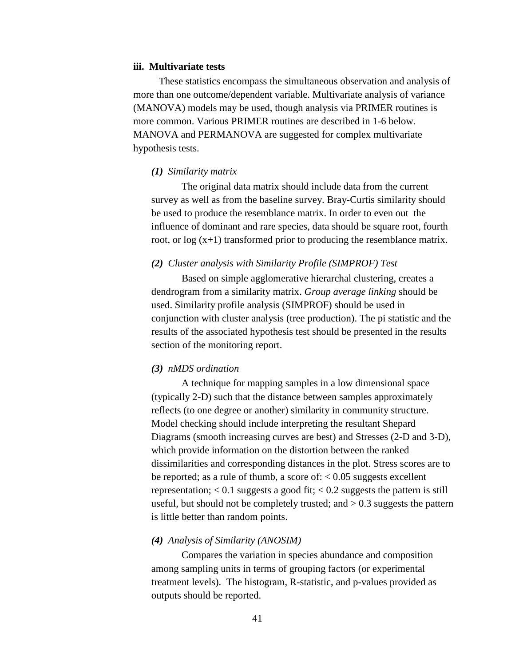#### **iii. Multivariate tests**

These statistics encompass the simultaneous observation and analysis of more than one outcome/dependent variable. Multivariate analysis of variance (MANOVA) models may be used, though analysis via PRIMER routines is more common. Various PRIMER routines are described in 1-6 below. MANOVA and PERMANOVA are suggested for complex multivariate hypothesis tests.

#### *(1) Similarity matrix*

The original data matrix should include data from the current survey as well as from the baseline survey. Bray-Curtis similarity should be used to produce the resemblance matrix. In order to even out the influence of dominant and rare species, data should be square root, fourth root, or log (x+1) transformed prior to producing the resemblance matrix.

### *(2) Cluster analysis with Similarity Profile (SIMPROF) Test*

Based on simple agglomerative hierarchal clustering, creates a dendrogram from a similarity matrix. *Group average linking* should be used. Similarity profile analysis (SIMPROF) should be used in conjunction with cluster analysis (tree production). The pi statistic and the results of the associated hypothesis test should be presented in the results section of the monitoring report.

#### *(3) nMDS ordination*

A technique for mapping samples in a low dimensional space (typically 2-D) such that the distance between samples approximately reflects (to one degree or another) similarity in community structure. Model checking should include interpreting the resultant Shepard Diagrams (smooth increasing curves are best) and Stresses (2-D and 3-D), which provide information on the distortion between the ranked dissimilarities and corresponding distances in the plot. Stress scores are to be reported; as a rule of thumb, a score of:  $< 0.05$  suggests excellent representation;  $< 0.1$  suggests a good fit;  $< 0.2$  suggests the pattern is still useful, but should not be completely trusted; and  $> 0.3$  suggests the pattern is little better than random points.

## *(4) Analysis of Similarity (ANOSIM)*

Compares the variation in species abundance and composition among sampling units in terms of grouping factors (or experimental treatment levels). The histogram, R-statistic, and p-values provided as outputs should be reported.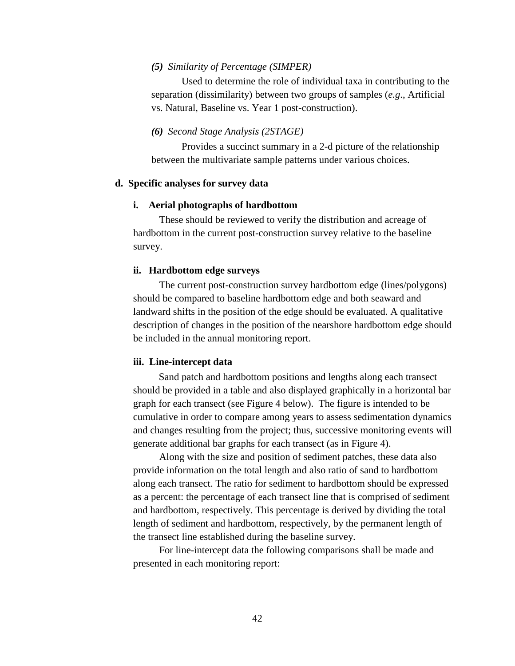### *(5) Similarity of Percentage (SIMPER)*

Used to determine the role of individual taxa in contributing to the separation (dissimilarity) between two groups of samples (*e.g*., Artificial vs. Natural, Baseline vs. Year 1 post-construction).

### *(6) Second Stage Analysis (2STAGE)*

Provides a succinct summary in a 2-d picture of the relationship between the multivariate sample patterns under various choices.

### **d. Specific analyses for survey data**

### **i. Aerial photographs of hardbottom**

These should be reviewed to verify the distribution and acreage of hardbottom in the current post-construction survey relative to the baseline survey.

### **ii. Hardbottom edge surveys**

The current post-construction survey hardbottom edge (lines/polygons) should be compared to baseline hardbottom edge and both seaward and landward shifts in the position of the edge should be evaluated. A qualitative description of changes in the position of the nearshore hardbottom edge should be included in the annual monitoring report.

### **iii. Line-intercept data**

Sand patch and hardbottom positions and lengths along each transect should be provided in a table and also displayed graphically in a horizontal bar graph for each transect (see Figure 4 below). The figure is intended to be cumulative in order to compare among years to assess sedimentation dynamics and changes resulting from the project; thus, successive monitoring events will generate additional bar graphs for each transect (as in Figure 4).

Along with the size and position of sediment patches, these data also provide information on the total length and also ratio of sand to hardbottom along each transect. The ratio for sediment to hardbottom should be expressed as a percent: the percentage of each transect line that is comprised of sediment and hardbottom, respectively. This percentage is derived by dividing the total length of sediment and hardbottom, respectively, by the permanent length of the transect line established during the baseline survey.

For line-intercept data the following comparisons shall be made and presented in each monitoring report: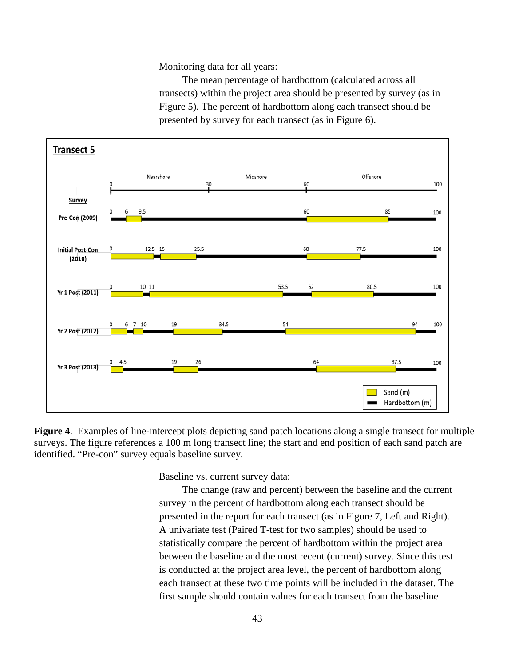Monitoring data for all years:

The mean percentage of hardbottom (calculated across all transects) within the project area should be presented by survey (as in Figure 5). The percent of hardbottom along each transect should be presented by survey for each transect (as in Figure 6).



**Figure 4**. Examples of line-intercept plots depicting sand patch locations along a single transect for multiple surveys. The figure references a 100 m long transect line; the start and end position of each sand patch are identified. "Pre-con" survey equals baseline survey.

Baseline vs. current survey data:

The change (raw and percent) between the baseline and the current survey in the percent of hardbottom along each transect should be presented in the report for each transect (as in Figure 7, Left and Right). A univariate test (Paired T-test for two samples) should be used to statistically compare the percent of hardbottom within the project area between the baseline and the most recent (current) survey. Since this test is conducted at the project area level, the percent of hardbottom along each transect at these two time points will be included in the dataset. The first sample should contain values for each transect from the baseline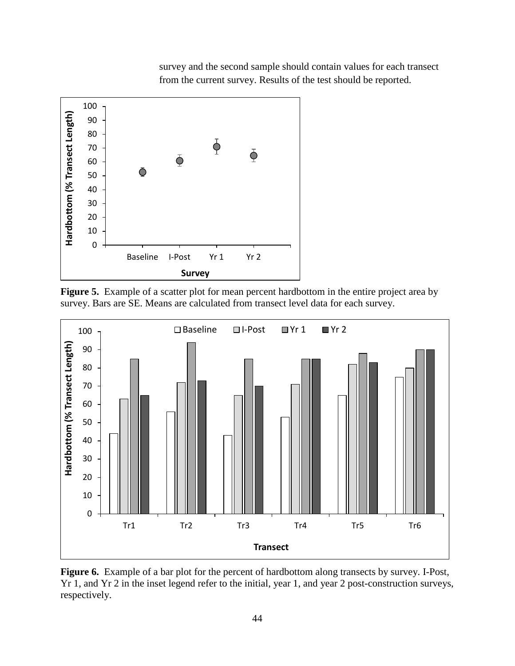

survey and the second sample should contain values for each transect from the current survey. Results of the test should be reported.

**Figure 5.** Example of a scatter plot for mean percent hardbottom in the entire project area by survey. Bars are SE. Means are calculated from transect level data for each survey.



**Figure 6.** Example of a bar plot for the percent of hardbottom along transects by survey. I-Post, Yr 1, and Yr 2 in the inset legend refer to the initial, year 1, and year 2 post-construction surveys, respectively.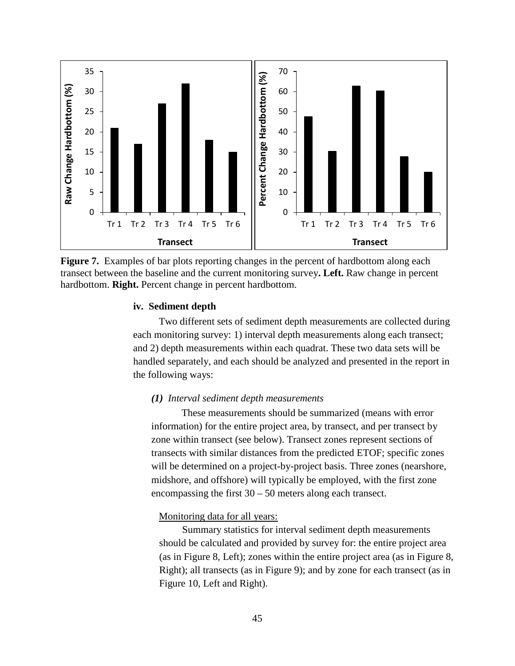

**Figure 7.** Examples of bar plots reporting changes in the percent of hardbottom along each transect between the baseline and the current monitoring survey**. Left.** Raw change in percent hardbottom. **Right.** Percent change in percent hardbottom.

### **iv. Sediment depth**

Two different sets of sediment depth measurements are collected during each monitoring survey: 1) interval depth measurements along each transect; and 2) depth measurements within each quadrat. These two data sets will be handled separately, and each should be analyzed and presented in the report in the following ways:

### *(1) Interval sediment depth measurements*

These measurements should be summarized (means with error information) for the entire project area, by transect, and per transect by zone within transect (see below). Transect zones represent sections of transects with similar distances from the predicted ETOF; specific zones will be determined on a project-by-project basis. Three zones (nearshore, midshore, and offshore) will typically be employed, with the first zone encompassing the first 30 – 50 meters along each transect.

## Monitoring data for all years:

Summary statistics for interval sediment depth measurements should be calculated and provided by survey for: the entire project area (as in Figure 8, Left); zones within the entire project area (as in Figure 8, Right); all transects (as in Figure 9); and by zone for each transect (as in Figure 10, Left and Right).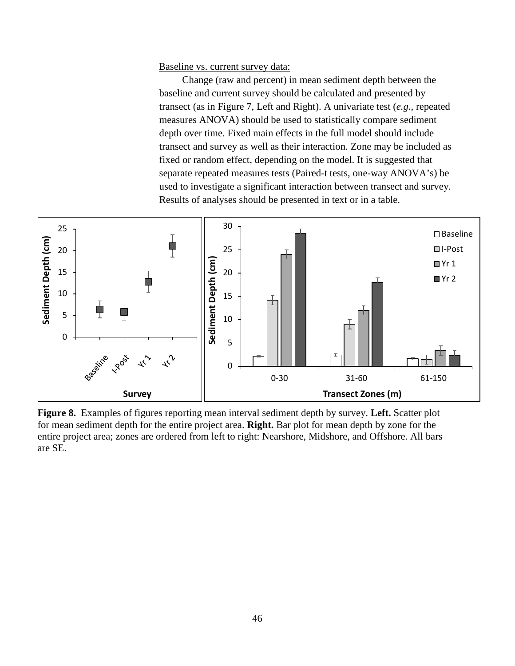Baseline vs. current survey data:

Change (raw and percent) in mean sediment depth between the baseline and current survey should be calculated and presented by transect (as in Figure 7, Left and Right). A univariate test (*e.g.*, repeated measures ANOVA) should be used to statistically compare sediment depth over time. Fixed main effects in the full model should include transect and survey as well as their interaction. Zone may be included as fixed or random effect, depending on the model. It is suggested that separate repeated measures tests (Paired-t tests, one-way ANOVA's) be used to investigate a significant interaction between transect and survey. Results of analyses should be presented in text or in a table.



**Figure 8.** Examples of figures reporting mean interval sediment depth by survey. **Left.** Scatter plot for mean sediment depth for the entire project area. **Right.** Bar plot for mean depth by zone for the entire project area; zones are ordered from left to right: Nearshore, Midshore, and Offshore. All bars are SE.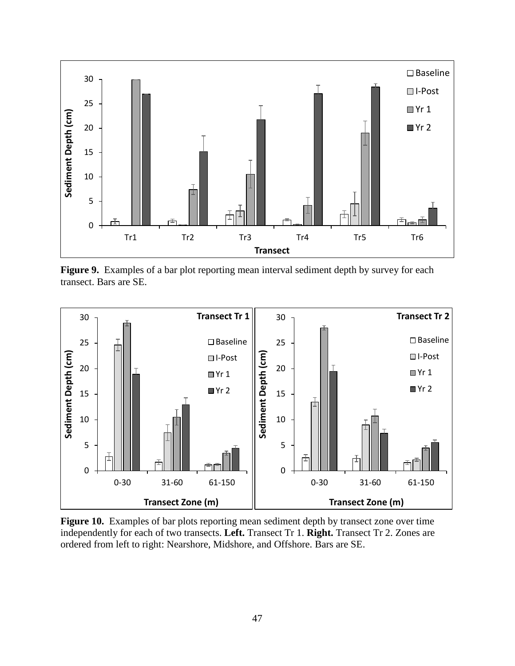

**Figure 9.** Examples of a bar plot reporting mean interval sediment depth by survey for each transect. Bars are SE.



**Figure 10.** Examples of bar plots reporting mean sediment depth by transect zone over time independently for each of two transects. **Left.** Transect Tr 1. **Right.** Transect Tr 2. Zones are ordered from left to right: Nearshore, Midshore, and Offshore. Bars are SE.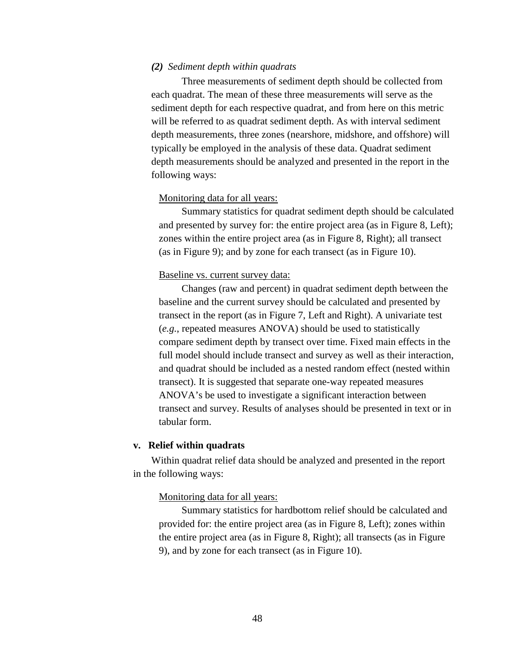### *(2) Sediment depth within quadrats*

Three measurements of sediment depth should be collected from each quadrat. The mean of these three measurements will serve as the sediment depth for each respective quadrat, and from here on this metric will be referred to as quadrat sediment depth. As with interval sediment depth measurements, three zones (nearshore, midshore, and offshore) will typically be employed in the analysis of these data. Quadrat sediment depth measurements should be analyzed and presented in the report in the following ways:

## Monitoring data for all years:

Summary statistics for quadrat sediment depth should be calculated and presented by survey for: the entire project area (as in Figure 8, Left); zones within the entire project area (as in Figure 8, Right); all transect (as in Figure 9); and by zone for each transect (as in Figure 10).

### Baseline vs. current survey data:

Changes (raw and percent) in quadrat sediment depth between the baseline and the current survey should be calculated and presented by transect in the report (as in Figure 7, Left and Right). A univariate test (*e.g.*, repeated measures ANOVA) should be used to statistically compare sediment depth by transect over time. Fixed main effects in the full model should include transect and survey as well as their interaction, and quadrat should be included as a nested random effect (nested within transect). It is suggested that separate one-way repeated measures ANOVA's be used to investigate a significant interaction between transect and survey. Results of analyses should be presented in text or in tabular form.

### **v. Relief within quadrats**

Within quadrat relief data should be analyzed and presented in the report in the following ways:

### Monitoring data for all years:

Summary statistics for hardbottom relief should be calculated and provided for: the entire project area (as in Figure 8, Left); zones within the entire project area (as in Figure 8, Right); all transects (as in Figure 9), and by zone for each transect (as in Figure 10).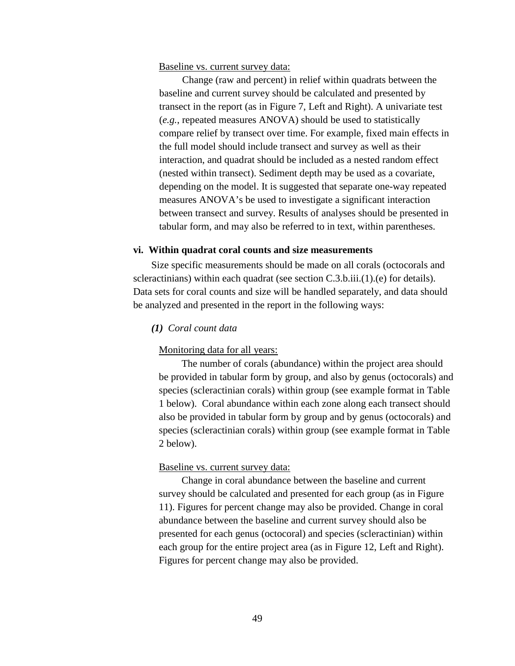### Baseline vs. current survey data:

Change (raw and percent) in relief within quadrats between the baseline and current survey should be calculated and presented by transect in the report (as in Figure 7, Left and Right). A univariate test (*e.g.*, repeated measures ANOVA) should be used to statistically compare relief by transect over time. For example, fixed main effects in the full model should include transect and survey as well as their interaction, and quadrat should be included as a nested random effect (nested within transect). Sediment depth may be used as a covariate, depending on the model. It is suggested that separate one-way repeated measures ANOVA's be used to investigate a significant interaction between transect and survey. Results of analyses should be presented in tabular form, and may also be referred to in text, within parentheses.

### **vi. Within quadrat coral counts and size measurements**

Size specific measurements should be made on all corals (octocorals and scleractinians) within each quadrat (see section C.3.b.iii.(1).(e) for details). Data sets for coral counts and size will be handled separately, and data should be analyzed and presented in the report in the following ways:

## *(1) Coral count data*

### Monitoring data for all years:

The number of corals (abundance) within the project area should be provided in tabular form by group, and also by genus (octocorals) and species (scleractinian corals) within group (see example format in Table 1 below). Coral abundance within each zone along each transect should also be provided in tabular form by group and by genus (octocorals) and species (scleractinian corals) within group (see example format in Table 2 below).

## Baseline vs. current survey data:

Change in coral abundance between the baseline and current survey should be calculated and presented for each group (as in Figure 11). Figures for percent change may also be provided. Change in coral abundance between the baseline and current survey should also be presented for each genus (octocoral) and species (scleractinian) within each group for the entire project area (as in Figure 12, Left and Right). Figures for percent change may also be provided.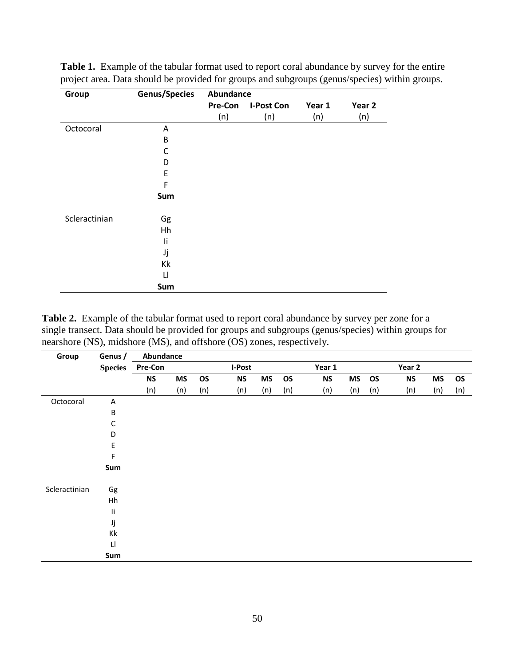| Group         | <b>Genus/Species</b> | Abundance      |                   |        |                   |  |  |  |
|---------------|----------------------|----------------|-------------------|--------|-------------------|--|--|--|
|               |                      | <b>Pre-Con</b> | <b>I-Post Con</b> | Year 1 | Year <sub>2</sub> |  |  |  |
|               |                      | (n)            | (n)               | (n)    | (n)               |  |  |  |
| Octocoral     | Α                    |                |                   |        |                   |  |  |  |
|               | B                    |                |                   |        |                   |  |  |  |
|               | C                    |                |                   |        |                   |  |  |  |
|               | D                    |                |                   |        |                   |  |  |  |
|               | E                    |                |                   |        |                   |  |  |  |
|               | F                    |                |                   |        |                   |  |  |  |
|               | Sum                  |                |                   |        |                   |  |  |  |
| Scleractinian | Gg                   |                |                   |        |                   |  |  |  |
|               | Hh                   |                |                   |        |                   |  |  |  |
|               | li                   |                |                   |        |                   |  |  |  |
|               | Jj                   |                |                   |        |                   |  |  |  |
|               | Kk                   |                |                   |        |                   |  |  |  |
|               | $\mathsf{L}$         |                |                   |        |                   |  |  |  |
|               | Sum                  |                |                   |        |                   |  |  |  |

**Table 1.** Example of the tabular format used to report coral abundance by survey for the entire project area. Data should be provided for groups and subgroups (genus/species) within groups.

**Table 2.** Example of the tabular format used to report coral abundance by survey per zone for a single transect. Data should be provided for groups and subgroups (genus/species) within groups for nearshore (NS), midshore (MS), and offshore (OS) zones, respectively.

| Group         | Genus /                    | Abundance |           |           |           |           |           |           |           |     |           |           |           |
|---------------|----------------------------|-----------|-----------|-----------|-----------|-----------|-----------|-----------|-----------|-----|-----------|-----------|-----------|
|               | <b>Species</b>             | Pre-Con   |           |           | I-Post    |           |           | Year 1    |           |     | Year 2    |           |           |
|               |                            | <b>NS</b> | <b>MS</b> | <b>OS</b> | <b>NS</b> | <b>MS</b> | <b>OS</b> | <b>NS</b> | <b>MS</b> | OS  | <b>NS</b> | <b>MS</b> | <b>OS</b> |
|               |                            | (n)       | (n)       | (n)       | (n)       | (n)       | (n)       | (n)       | (n)       | (n) | (n)       | (n)       | (n)       |
| Octocoral     | A                          |           |           |           |           |           |           |           |           |     |           |           |           |
|               | $\sf B$                    |           |           |           |           |           |           |           |           |     |           |           |           |
|               | $\mathsf C$                |           |           |           |           |           |           |           |           |     |           |           |           |
|               | D                          |           |           |           |           |           |           |           |           |     |           |           |           |
|               | $\mathsf E$                |           |           |           |           |           |           |           |           |     |           |           |           |
|               | F                          |           |           |           |           |           |           |           |           |     |           |           |           |
|               | Sum                        |           |           |           |           |           |           |           |           |     |           |           |           |
| Scleractinian | Gg                         |           |           |           |           |           |           |           |           |     |           |           |           |
|               | Hh                         |           |           |           |           |           |           |           |           |     |           |           |           |
|               | $\mathop{\rm li}\nolimits$ |           |           |           |           |           |           |           |           |     |           |           |           |
|               | Jj                         |           |           |           |           |           |           |           |           |     |           |           |           |
|               | Кk                         |           |           |           |           |           |           |           |           |     |           |           |           |
|               | $\sqcup$                   |           |           |           |           |           |           |           |           |     |           |           |           |
|               | Sum                        |           |           |           |           |           |           |           |           |     |           |           |           |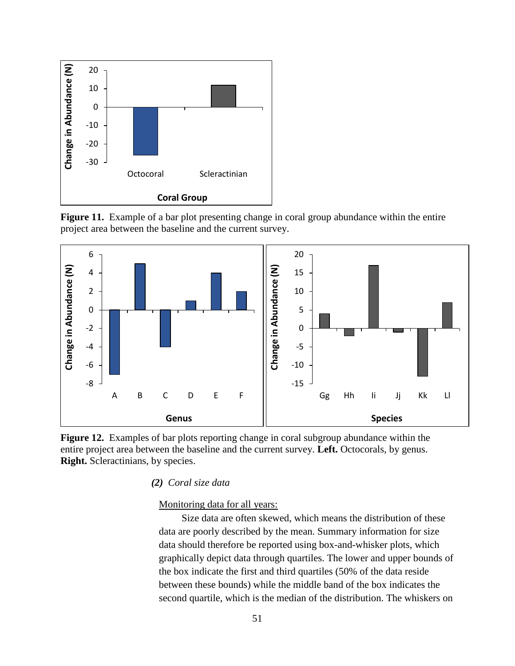

**Figure 11.** Example of a bar plot presenting change in coral group abundance within the entire project area between the baseline and the current survey.





*(2) Coral size data*

## Monitoring data for all years:

Size data are often skewed, which means the distribution of these data are poorly described by the mean. Summary information for size data should therefore be reported using box-and-whisker plots, which graphically depict data through quartiles. The lower and upper bounds of the box indicate the first and third quartiles (50% of the data reside between these bounds) while the middle band of the box indicates the second quartile, which is the median of the distribution. The whiskers on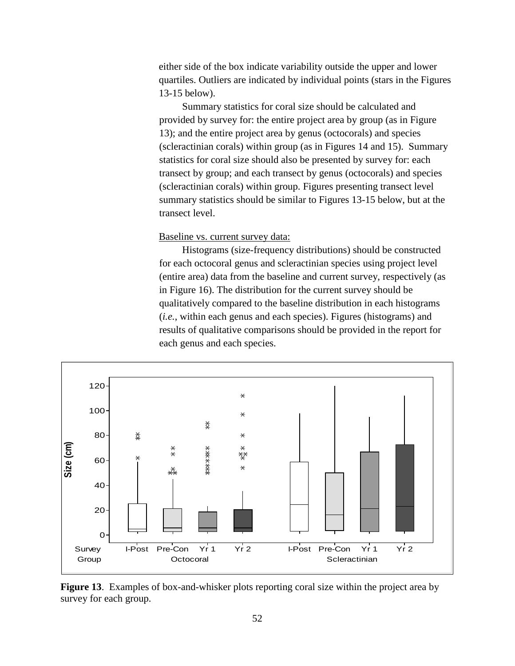either side of the box indicate variability outside the upper and lower quartiles. Outliers are indicated by individual points (stars in the Figures 13-15 below).

Summary statistics for coral size should be calculated and provided by survey for: the entire project area by group (as in Figure 13); and the entire project area by genus (octocorals) and species (scleractinian corals) within group (as in Figures 14 and 15). Summary statistics for coral size should also be presented by survey for: each transect by group; and each transect by genus (octocorals) and species (scleractinian corals) within group. Figures presenting transect level summary statistics should be similar to Figures 13-15 below, but at the transect level.

## Baseline vs. current survey data:

Histograms (size-frequency distributions) should be constructed for each octocoral genus and scleractinian species using project level (entire area) data from the baseline and current survey, respectively (as in Figure 16). The distribution for the current survey should be qualitatively compared to the baseline distribution in each histograms (*i.e.*, within each genus and each species). Figures (histograms) and results of qualitative comparisons should be provided in the report for each genus and each species.



**Figure 13**. Examples of box-and-whisker plots reporting coral size within the project area by survey for each group.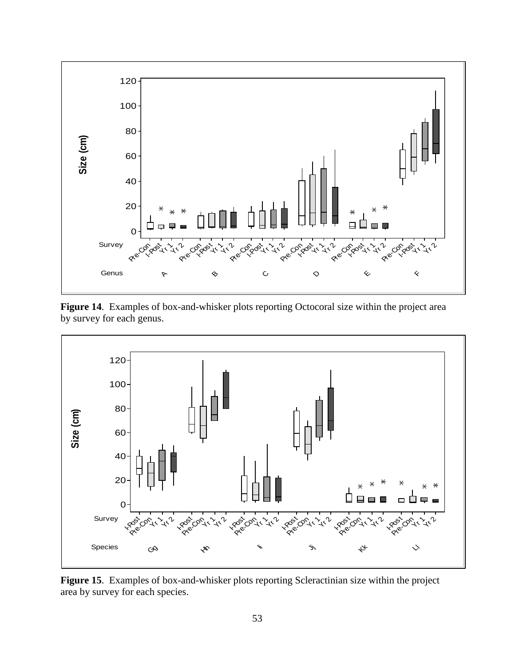

**Figure 14**. Examples of box-and-whisker plots reporting Octocoral size within the project area by survey for each genus.



**Figure 15**. Examples of box-and-whisker plots reporting Scleractinian size within the project area by survey for each species.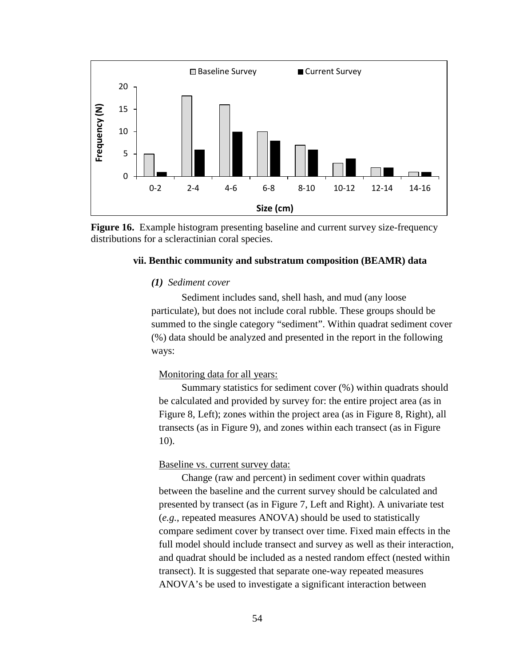

**Figure 16.** Example histogram presenting baseline and current survey size-frequency distributions for a scleractinian coral species.

## **vii. Benthic community and substratum composition (BEAMR) data**

## *(1) Sediment cover*

Sediment includes sand, shell hash, and mud (any loose particulate), but does not include coral rubble. These groups should be summed to the single category "sediment". Within quadrat sediment cover (%) data should be analyzed and presented in the report in the following ways:

## Monitoring data for all years:

Summary statistics for sediment cover (%) within quadrats should be calculated and provided by survey for: the entire project area (as in Figure 8, Left); zones within the project area (as in Figure 8, Right), all transects (as in Figure 9), and zones within each transect (as in Figure 10).

### Baseline vs. current survey data:

Change (raw and percent) in sediment cover within quadrats between the baseline and the current survey should be calculated and presented by transect (as in Figure 7, Left and Right). A univariate test (*e.g.*, repeated measures ANOVA) should be used to statistically compare sediment cover by transect over time. Fixed main effects in the full model should include transect and survey as well as their interaction, and quadrat should be included as a nested random effect (nested within transect). It is suggested that separate one-way repeated measures ANOVA's be used to investigate a significant interaction between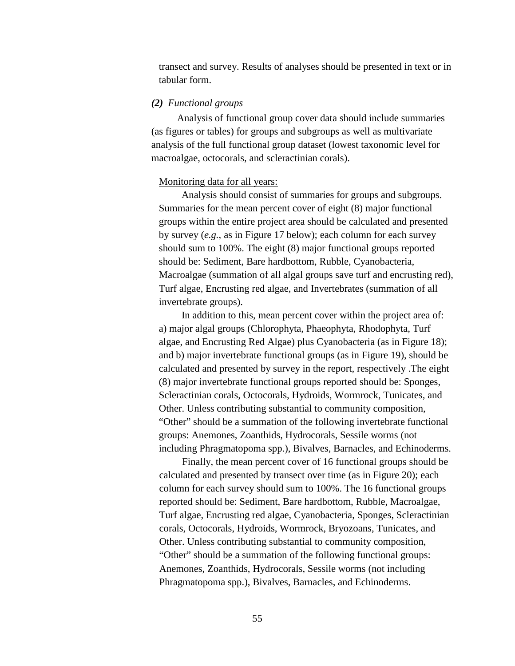transect and survey. Results of analyses should be presented in text or in tabular form.

## *(2) Functional groups*

Analysis of functional group cover data should include summaries (as figures or tables) for groups and subgroups as well as multivariate analysis of the full functional group dataset (lowest taxonomic level for macroalgae, octocorals, and scleractinian corals).

#### Monitoring data for all years:

Analysis should consist of summaries for groups and subgroups. Summaries for the mean percent cover of eight (8) major functional groups within the entire project area should be calculated and presented by survey (*e.g.*, as in Figure 17 below); each column for each survey should sum to 100%. The eight (8) major functional groups reported should be: Sediment, Bare hardbottom, Rubble, Cyanobacteria, Macroalgae (summation of all algal groups save turf and encrusting red), Turf algae, Encrusting red algae, and Invertebrates (summation of all invertebrate groups).

In addition to this, mean percent cover within the project area of: a) major algal groups (Chlorophyta, Phaeophyta, Rhodophyta, Turf algae, and Encrusting Red Algae) plus Cyanobacteria (as in Figure 18); and b) major invertebrate functional groups (as in Figure 19), should be calculated and presented by survey in the report, respectively .The eight (8) major invertebrate functional groups reported should be: Sponges, Scleractinian corals, Octocorals, Hydroids, Wormrock, Tunicates, and Other. Unless contributing substantial to community composition, "Other" should be a summation of the following invertebrate functional groups: Anemones, Zoanthids, Hydrocorals, Sessile worms (not including Phragmatopoma spp.), Bivalves, Barnacles, and Echinoderms.

Finally, the mean percent cover of 16 functional groups should be calculated and presented by transect over time (as in Figure 20); each column for each survey should sum to 100%. The 16 functional groups reported should be: Sediment, Bare hardbottom, Rubble, Macroalgae, Turf algae, Encrusting red algae, Cyanobacteria, Sponges, Scleractinian corals, Octocorals, Hydroids, Wormrock, Bryozoans, Tunicates, and Other. Unless contributing substantial to community composition, "Other" should be a summation of the following functional groups: Anemones, Zoanthids, Hydrocorals, Sessile worms (not including Phragmatopoma spp.), Bivalves, Barnacles, and Echinoderms.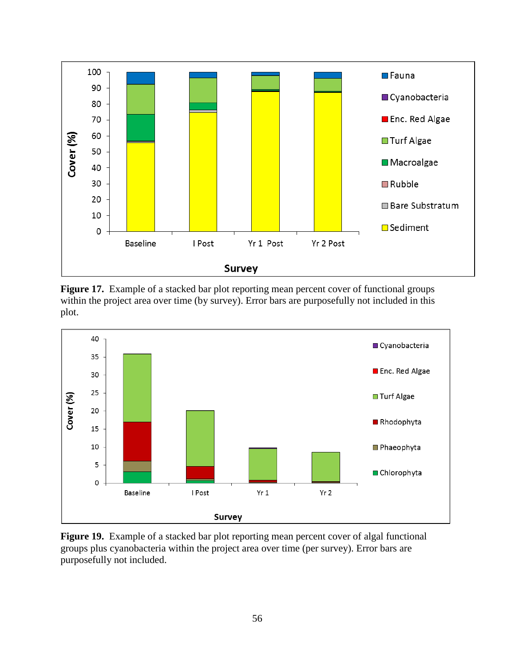

Figure 17. Example of a stacked bar plot reporting mean percent cover of functional groups within the project area over time (by survey). Error bars are purposefully not included in this plot.



**Figure 19.** Example of a stacked bar plot reporting mean percent cover of algal functional groups plus cyanobacteria within the project area over time (per survey). Error bars are purposefully not included.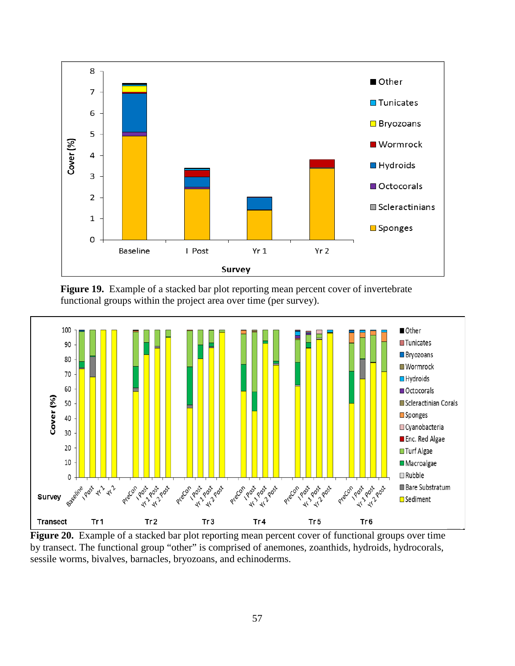

**Figure 19.** Example of a stacked bar plot reporting mean percent cover of invertebrate functional groups within the project area over time (per survey).



**Figure 20.** Example of a stacked bar plot reporting mean percent cover of functional groups over time by transect. The functional group "other" is comprised of anemones, zoanthids, hydroids, hydrocorals, sessile worms, bivalves, barnacles, bryozoans, and echinoderms.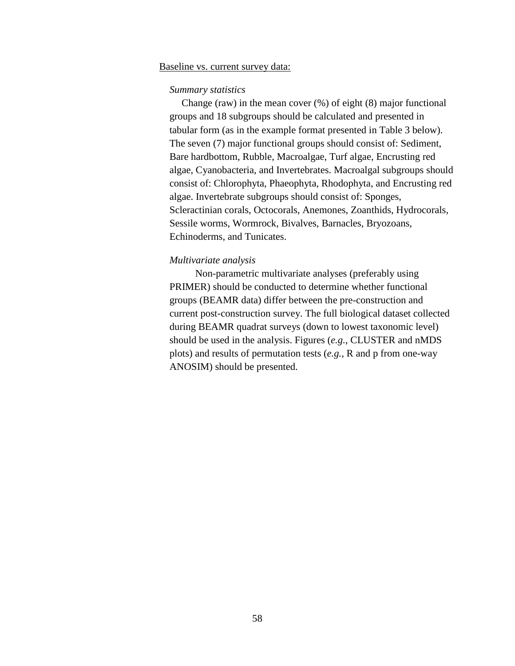### Baseline vs. current survey data:

### *Summary statistics*

Change (raw) in the mean cover (%) of eight (8) major functional groups and 18 subgroups should be calculated and presented in tabular form (as in the example format presented in Table 3 below). The seven (7) major functional groups should consist of: Sediment, Bare hardbottom, Rubble, Macroalgae, Turf algae, Encrusting red algae, Cyanobacteria, and Invertebrates. Macroalgal subgroups should consist of: Chlorophyta, Phaeophyta, Rhodophyta, and Encrusting red algae. Invertebrate subgroups should consist of: Sponges, Scleractinian corals, Octocorals, Anemones, Zoanthids, Hydrocorals, Sessile worms, Wormrock, Bivalves, Barnacles, Bryozoans, Echinoderms, and Tunicates.

### *Multivariate analysis*

Non-parametric multivariate analyses (preferably using PRIMER) should be conducted to determine whether functional groups (BEAMR data) differ between the pre-construction and current post-construction survey. The full biological dataset collected during BEAMR quadrat surveys (down to lowest taxonomic level) should be used in the analysis. Figures (*e.g.*, CLUSTER and nMDS plots) and results of permutation tests (*e.g.*, R and p from one-way ANOSIM) should be presented.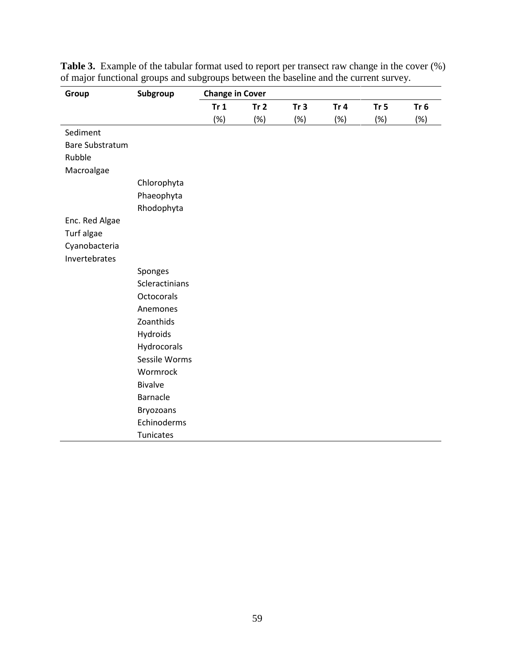| Group                  | Subgroup          | <b>Change in Cover</b> |                 |                 |                 |                 |        |  |
|------------------------|-------------------|------------------------|-----------------|-----------------|-----------------|-----------------|--------|--|
|                        |                   | Tr <sub>1</sub>        | Tr <sub>2</sub> | Tr <sub>3</sub> | Tr <sub>4</sub> | Tr <sub>5</sub> | Tr $6$ |  |
|                        |                   | (%)                    | (%)             | (%)             | (%)             | (%)             | $(\%)$ |  |
| Sediment               |                   |                        |                 |                 |                 |                 |        |  |
| <b>Bare Substratum</b> |                   |                        |                 |                 |                 |                 |        |  |
| Rubble                 |                   |                        |                 |                 |                 |                 |        |  |
| Macroalgae             |                   |                        |                 |                 |                 |                 |        |  |
|                        | Chlorophyta       |                        |                 |                 |                 |                 |        |  |
|                        | Phaeophyta        |                        |                 |                 |                 |                 |        |  |
|                        | Rhodophyta        |                        |                 |                 |                 |                 |        |  |
| Enc. Red Algae         |                   |                        |                 |                 |                 |                 |        |  |
| Turf algae             |                   |                        |                 |                 |                 |                 |        |  |
| Cyanobacteria          |                   |                        |                 |                 |                 |                 |        |  |
| Invertebrates          |                   |                        |                 |                 |                 |                 |        |  |
|                        | Sponges           |                        |                 |                 |                 |                 |        |  |
|                        | Scleractinians    |                        |                 |                 |                 |                 |        |  |
|                        | <b>Octocorals</b> |                        |                 |                 |                 |                 |        |  |
|                        | Anemones          |                        |                 |                 |                 |                 |        |  |
|                        | Zoanthids         |                        |                 |                 |                 |                 |        |  |
|                        | Hydroids          |                        |                 |                 |                 |                 |        |  |
|                        | Hydrocorals       |                        |                 |                 |                 |                 |        |  |
|                        | Sessile Worms     |                        |                 |                 |                 |                 |        |  |
|                        | Wormrock          |                        |                 |                 |                 |                 |        |  |
|                        | <b>Bivalve</b>    |                        |                 |                 |                 |                 |        |  |
|                        | <b>Barnacle</b>   |                        |                 |                 |                 |                 |        |  |
|                        | Bryozoans         |                        |                 |                 |                 |                 |        |  |
|                        | Echinoderms       |                        |                 |                 |                 |                 |        |  |
|                        | Tunicates         |                        |                 |                 |                 |                 |        |  |

**Table 3.** Example of the tabular format used to report per transect raw change in the cover (%) of major functional groups and subgroups between the baseline and the current survey.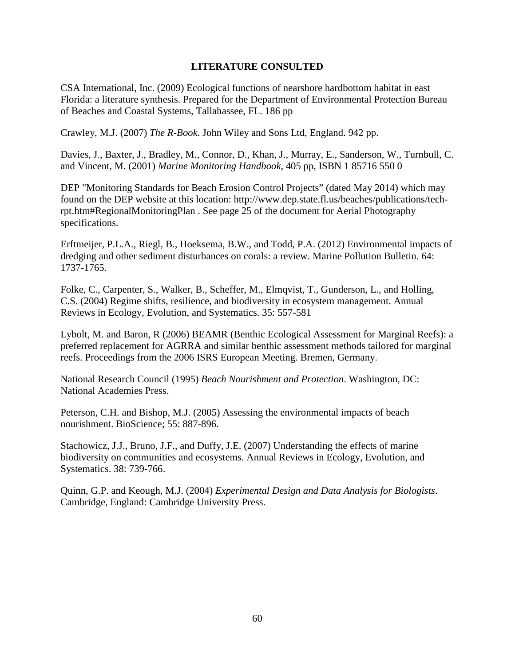## **LITERATURE CONSULTED**

CSA International, Inc. (2009) Ecological functions of nearshore hardbottom habitat in east Florida: a literature synthesis. Prepared for the Department of Environmental Protection Bureau of Beaches and Coastal Systems, Tallahassee, FL. 186 pp

Crawley, M.J. (2007) *The R-Book*. John Wiley and Sons Ltd, England. 942 pp.

Davies, J., Baxter, J., Bradley, M., Connor, D., Khan, J., Murray, E., Sanderson, W., Turnbull, C. and Vincent, M. (2001) *Marine Monitoring Handbook*, 405 pp, ISBN 1 85716 550 0

DEP "Monitoring Standards for Beach Erosion Control Projects" (dated May 2014) which may found on the DEP website at this location: http://www.dep.state.fl.us/beaches/publications/techrpt.htm#RegionalMonitoringPlan . See page 25 of the document for Aerial Photography specifications.

Erftmeijer, P.L.A., Riegl, B., Hoeksema, B.W., and Todd, P.A. (2012) Environmental impacts of dredging and other sediment disturbances on corals: a review. Marine Pollution Bulletin. 64: 1737-1765.

Folke, C., Carpenter, S., Walker, B., Scheffer, M., Elmqvist, T., Gunderson, L., and Holling, C.S. (2004) Regime shifts, resilience, and biodiversity in ecosystem management. Annual Reviews in Ecology, Evolution, and Systematics. 35: 557-581

Lybolt, M. and Baron, R (2006) BEAMR (Benthic Ecological Assessment for Marginal Reefs): a preferred replacement for AGRRA and similar benthic assessment methods tailored for marginal reefs. Proceedings from the 2006 ISRS European Meeting. Bremen, Germany.

National Research Council (1995) *Beach Nourishment and Protection*. Washington, DC: National Academies Press.

Peterson, C.H. and Bishop, M.J. (2005) Assessing the environmental impacts of beach nourishment. BioScience; 55: 887-896.

Stachowicz, J.J., Bruno, J.F., and Duffy, J.E. (2007) Understanding the effects of marine biodiversity on communities and ecosystems. Annual Reviews in Ecology, Evolution, and Systematics. 38: 739-766.

Quinn, G.P. and Keough, M.J. (2004) *Experimental Design and Data Analysis for Biologists*. Cambridge, England: Cambridge University Press.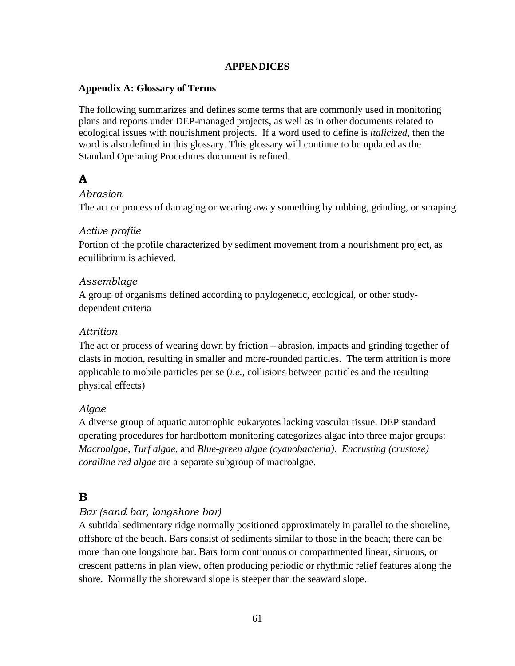## **APPENDICES**

## **Appendix A: Glossary of Terms**

The following summarizes and defines some terms that are commonly used in monitoring plans and reports under DEP-managed projects, as well as in other documents related to ecological issues with nourishment projects. If a word used to define is *italicized*, then the word is also defined in this glossary. This glossary will continue to be updated as the Standard Operating Procedures document is refined.

# **A**

## *Abrasion*

The act or process of damaging or wearing away something by rubbing, grinding, or scraping.

## *Active profile*

Portion of the profile characterized by sediment movement from a nourishment project, as equilibrium is achieved.

## *Assemblage*

A group of organisms defined according to phylogenetic, ecological, or other studydependent criteria

## *Attrition*

The act or process of wearing down by friction – abrasion, impacts and grinding together of clasts in motion, resulting in smaller and more-rounded particles. The term attrition is more applicable to mobile particles per se (*i.e.,* collisions between particles and the resulting physical effects)

## *Algae*

A diverse group of aquatic autotrophic eukaryotes lacking vascular tissue. DEP standard operating procedures for hardbottom monitoring categorizes algae into three major groups: *Macroalgae*, *Turf algae*, and *Blue-green algae (cyanobacteria)*. *Encrusting (crustose) coralline red algae* are a separate subgroup of macroalgae.

## **B**

## *Bar (sand bar, longshore bar)*

A subtidal sedimentary ridge normally positioned approximately in parallel to the shoreline, offshore of the beach. Bars consist of sediments similar to those in the beach; there can be more than one longshore bar. Bars form continuous or compartmented linear, sinuous, or crescent patterns in plan view, often producing periodic or rhythmic relief features along the shore. Normally the shoreward slope is steeper than the seaward slope.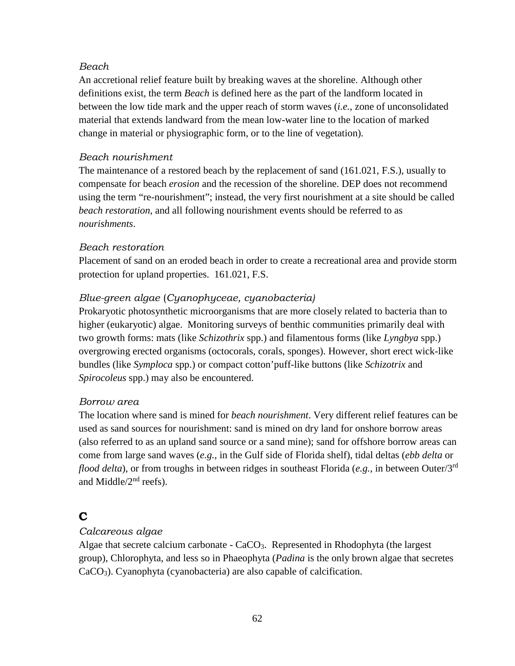## *Beach*

An accretional relief feature built by breaking waves at the shoreline. Although other definitions exist, the term *Beach* is defined here as the part of the landform located in between the low tide mark and the upper reach of storm waves (*i.e.*, zone of unconsolidated material that extends landward from the mean low-water line to the location of marked change in material or physiographic form, or to the line of vegetation).

## *Beach nourishment*

The maintenance of a restored beach by the replacement of sand (161.021, F.S.), usually to compensate for beach *erosion* and the recession of the shoreline. DEP does not recommend using the term "re-nourishment"; instead, the very first nourishment at a site should be called *beach restoration,* and all following nourishment events should be referred to as *nourishments*.

## *Beach restoration*

Placement of sand on an eroded beach in order to create a recreational area and provide storm protection for upland properties. 161.021, F.S.

## *Blue-green algae* (*Cyanophyceae, cyanobacteria)*

Prokaryotic photosynthetic microorganisms that are more closely related to bacteria than to higher (eukaryotic) algae. Monitoring surveys of benthic communities primarily deal with two growth forms: mats (like *Schizothrix* spp.) and filamentous forms (like *Lyngbya* spp.) overgrowing erected organisms (octocorals, corals, sponges). However, short erect wick-like bundles (like *Symploca* spp.) or compact cotton'puff-like buttons (like *Schizotrix* and *Spirocoleus* spp.) may also be encountered.

## *Borrow area*

The location where sand is mined for *beach nourishment*. Very different relief features can be used as sand sources for nourishment: sand is mined on dry land for onshore borrow areas (also referred to as an upland sand source or a sand mine); sand for offshore borrow areas can come from large sand waves (*e.g.,* in the Gulf side of Florida shelf), tidal deltas (*ebb delta* or *flood delta*), or from troughs in between ridges in southeast Florida (*e.g.*, in between Outer/3rd and Middle $/2<sup>nd</sup>$  reefs).

# **C**

## *Calcareous algae*

Algae that secrete calcium carbonate -  $CaCO<sub>3</sub>$ . Represented in Rhodophyta (the largest group), Chlorophyta, and less so in Phaeophyta (*Padina* is the only brown algae that secretes CaCO3). Cyanophyta (cyanobacteria) are also capable of calcification.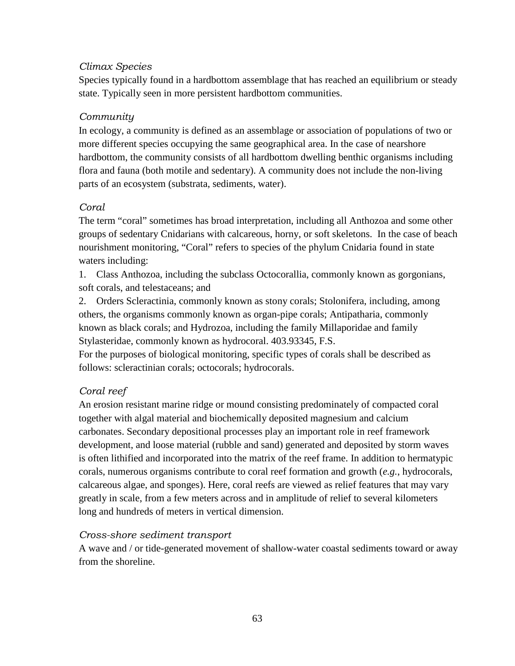## *Climax Species*

Species typically found in a hardbottom assemblage that has reached an equilibrium or steady state. Typically seen in more persistent hardbottom communities.

## *Community*

In ecology, a community is defined as an assemblage or association of populations of two or more different species occupying the same geographical area. In the case of nearshore hardbottom, the community consists of all hardbottom dwelling benthic organisms including flora and fauna (both motile and sedentary). A community does not include the non-living parts of an ecosystem (substrata, sediments, water).

## *Coral*

The term "coral" sometimes has broad interpretation, including all Anthozoa and some other groups of sedentary Cnidarians with calcareous, horny, or soft skeletons. In the case of beach nourishment monitoring, "Coral" refers to species of the phylum Cnidaria found in state waters including:

1. Class Anthozoa, including the subclass Octocorallia, commonly known as gorgonians, soft corals, and telestaceans; and

2. Orders Scleractinia, commonly known as stony corals; Stolonifera, including, among others, the organisms commonly known as organ-pipe corals; Antipatharia, commonly known as black corals; and Hydrozoa, including the family Millaporidae and family Stylasteridae, commonly known as hydrocoral. 403.93345, F.S.

For the purposes of biological monitoring, specific types of corals shall be described as follows: scleractinian corals; octocorals; hydrocorals.

## *Coral reef*

An erosion resistant marine ridge or mound consisting predominately of compacted coral together with algal material and biochemically deposited magnesium and calcium carbonates. Secondary depositional processes play an important role in reef framework development, and loose material (rubble and sand) generated and deposited by storm waves is often lithified and incorporated into the matrix of the reef frame. In addition to hermatypic corals, numerous organisms contribute to coral reef formation and growth (*e.g.*, hydrocorals, calcareous algae, and sponges). Here, coral reefs are viewed as relief features that may vary greatly in scale, from a few meters across and in amplitude of relief to several kilometers long and hundreds of meters in vertical dimension.

## *Cross-shore sediment transport*

A wave and / or tide-generated movement of shallow-water coastal sediments toward or away from the shoreline.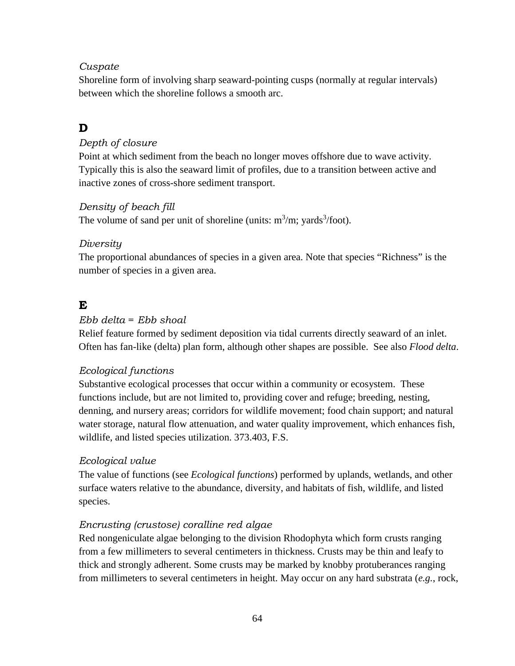## *Cuspate*

Shoreline form of involving sharp seaward-pointing cusps (normally at regular intervals) between which the shoreline follows a smooth arc.

# **D**

## *Depth of closure*

Point at which sediment from the beach no longer moves offshore due to wave activity. Typically this is also the seaward limit of profiles, due to a transition between active and inactive zones of cross-shore sediment transport.

## *Density of beach fill*

The volume of sand per unit of shoreline (units:  $m^3/m$ ; yards<sup>3</sup>/foot).

## *Diversity*

The proportional abundances of species in a given area. Note that species "Richness" is the number of species in a given area.

# **E**

## *Ebb delta* = *Ebb shoal*

Relief feature formed by sediment deposition via tidal currents directly seaward of an inlet. Often has fan-like (delta) plan form, although other shapes are possible. See also *Flood delta*.

## *Ecological functions*

Substantive ecological processes that occur within a community or ecosystem. These functions include, but are not limited to, providing cover and refuge; breeding, nesting, denning, and nursery areas; corridors for wildlife movement; food chain support; and natural water storage, natural flow attenuation, and water quality improvement, which enhances fish, wildlife, and listed species utilization. 373.403, F.S.

## *Ecological value*

The value of functions (see *Ecological functions*) performed by uplands, wetlands, and other surface waters relative to the abundance, diversity, and habitats of fish, wildlife, and listed species.

## *Encrusting (crustose) coralline red algae*

Red nongeniculate algae belonging to the division Rhodophyta which form crusts ranging from a few millimeters to several centimeters in thickness. Crusts may be thin and leafy to thick and strongly adherent. Some crusts may be marked by knobby protuberances ranging from millimeters to several centimeters in height. May occur on any hard substrata (*e.g.*, rock,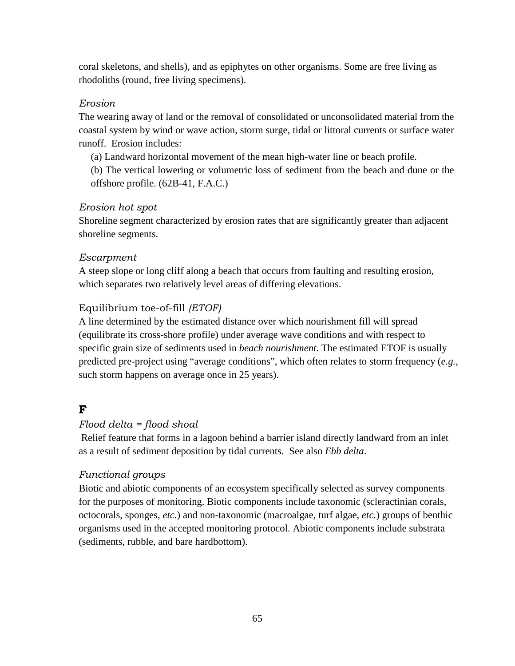coral skeletons, and shells), and as epiphytes on other organisms. Some are free living as rhodoliths (round, free living specimens).

## *Erosion*

The wearing away of land or the removal of consolidated or unconsolidated material from the coastal system by wind or wave action, storm surge, tidal or littoral currents or surface water runoff. Erosion includes:

(a) Landward horizontal movement of the mean high-water line or beach profile.

(b) The vertical lowering or volumetric loss of sediment from the beach and dune or the offshore profile. (62B-41, F.A.C.)

## *Erosion hot spot*

Shoreline segment characterized by erosion rates that are significantly greater than adjacent shoreline segments.

## *Escarpment*

A steep slope or long cliff along a beach that occurs from faulting and resulting erosion, which separates two relatively level areas of differing elevations.

## Equilibrium toe-of-fill *(ETOF)*

A line determined by the estimated distance over which nourishment fill will spread (equilibrate its cross-shore profile) under average wave conditions and with respect to specific grain size of sediments used in *beach nourishment*. The estimated ETOF is usually predicted pre-project using "average conditions", which often relates to storm frequency (*e.g.*, such storm happens on average once in 25 years).

# **F**

## *Flood delta = flood shoal*

Relief feature that forms in a lagoon behind a barrier island directly landward from an inlet as a result of sediment deposition by tidal currents. See also *Ebb delta*.

## *Functional groups*

Biotic and abiotic components of an ecosystem specifically selected as survey components for the purposes of monitoring. Biotic components include taxonomic (scleractinian corals, octocorals, sponges, *etc.*) and non-taxonomic (macroalgae, turf algae, *etc.*) groups of benthic organisms used in the accepted monitoring protocol. Abiotic components include substrata (sediments, rubble, and bare hardbottom).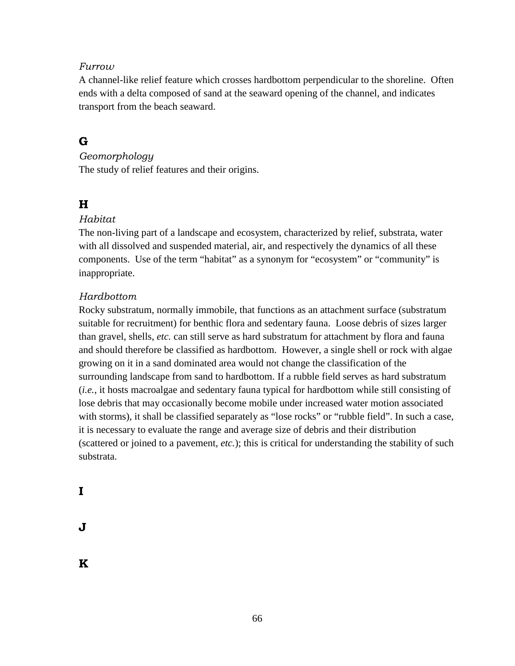## *Furrow*

A channel-like relief feature which crosses hardbottom perpendicular to the shoreline. Often ends with a delta composed of sand at the seaward opening of the channel, and indicates transport from the beach seaward.

# **G**

## *Geomorphology*

The study of relief features and their origins.

# **H**

## *Habitat*

The non-living part of a landscape and ecosystem, characterized by relief, substrata, water with all dissolved and suspended material, air, and respectively the dynamics of all these components. Use of the term "habitat" as a synonym for "ecosystem" or "community" is inappropriate.

## *Hardbottom*

Rocky substratum, normally immobile, that functions as an attachment surface (substratum suitable for recruitment) for benthic flora and sedentary fauna. Loose debris of sizes larger than gravel, shells, *etc.* can still serve as hard substratum for attachment by flora and fauna and should therefore be classified as hardbottom. However, a single shell or rock with algae growing on it in a sand dominated area would not change the classification of the surrounding landscape from sand to hardbottom. If a rubble field serves as hard substratum (*i.e.*, it hosts macroalgae and sedentary fauna typical for hardbottom while still consisting of lose debris that may occasionally become mobile under increased water motion associated with storms), it shall be classified separately as "lose rocks" or "rubble field". In such a case, it is necessary to evaluate the range and average size of debris and their distribution (scattered or joined to a pavement, *etc.*); this is critical for understanding the stability of such substrata.

**J** 

**K**

**I**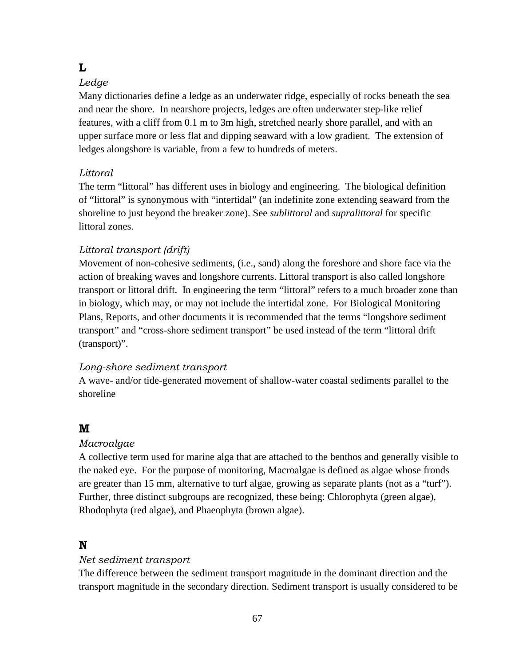## **L**

## *Ledge*

Many dictionaries define a ledge as an underwater ridge, especially of rocks beneath the sea and near the shore. In nearshore projects, ledges are often underwater step-like relief features, with a cliff from 0.1 m to 3m high, stretched nearly shore parallel, and with an upper surface more or less flat and dipping seaward with a low gradient. The extension of ledges alongshore is variable, from a few to hundreds of meters.

# *Littoral*

The term "littoral" has different uses in biology and engineering. The biological definition of "littoral" is synonymous with "intertidal" (an indefinite zone extending seaward from the shoreline to just beyond the breaker zone). See *sublittoral* and *supralittoral* for specific littoral zones.

# *Littoral transport (drift)*

Movement of non-cohesive sediments, (i.e., sand) along the foreshore and shore face via the action of breaking waves and longshore currents. Littoral transport is also called longshore transport or littoral drift. In engineering the term "littoral" refers to a much broader zone than in biology, which may, or may not include the intertidal zone. For Biological Monitoring Plans, Reports, and other documents it is recommended that the terms "longshore sediment transport" and "cross-shore sediment transport" be used instead of the term "littoral drift (transport)".

## *Long-shore sediment transport*

A wave- and/or tide-generated movement of shallow-water coastal sediments parallel to the shoreline

# **M**

## *Macroalgae*

A collective term used for marine alga that are attached to the benthos and generally visible to the naked eye. For the purpose of monitoring, Macroalgae is defined as algae whose fronds are greater than 15 mm, alternative to turf algae, growing as separate plants (not as a "turf"). Further, three distinct subgroups are recognized, these being: Chlorophyta (green algae), Rhodophyta (red algae), and Phaeophyta (brown algae).

# **N**

## *Net sediment transport*

The difference between the sediment transport magnitude in the dominant direction and the transport magnitude in the secondary direction. Sediment transport is usually considered to be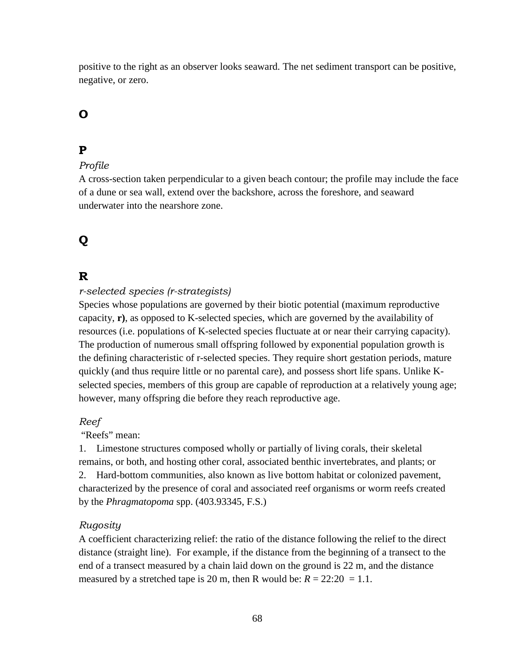positive to the right as an observer looks seaward. The net sediment transport can be positive, negative, or zero.

# **O**

## **P**

#### *Profile*

A cross-section taken perpendicular to a given beach contour; the profile may include the face of a dune or sea wall, extend over the backshore, across the foreshore, and seaward underwater into the nearshore zone.

# **Q**

## **R**

#### *r-selected species (r-strategists)*

Species whose populations are governed by their biotic potential (maximum reproductive capacity, **r)**, as opposed to K-selected species, which are governed by the availability of resources (i.e. populations of K-selected species fluctuate at or near their carrying capacity). The production of numerous small offspring followed by exponential population growth is the defining characteristic of r-selected species. They require short gestation periods, mature quickly (and thus require little or no parental care), and possess short life spans. Unlike Kselected species, members of this group are capable of reproduction at a relatively young age; however, many offspring die before they reach reproductive age.

#### *Reef*

"Reefs" mean:

1. Limestone structures composed wholly or partially of living corals, their skeletal remains, or both, and hosting other coral, associated benthic invertebrates, and plants; or 2. Hard-bottom communities, also known as live bottom habitat or colonized pavement, characterized by the presence of coral and associated reef organisms or worm reefs created by the *Phragmatopoma* spp. (403.93345, F.S.)

#### *Rugosity*

A coefficient characterizing relief: the ratio of the distance following the relief to the direct distance (straight line). For example, if the distance from the beginning of a transect to the end of a transect measured by a chain laid down on the ground is 22 m, and the distance measured by a stretched tape is 20 m, then R would be:  $R = 22:20 = 1.1$ .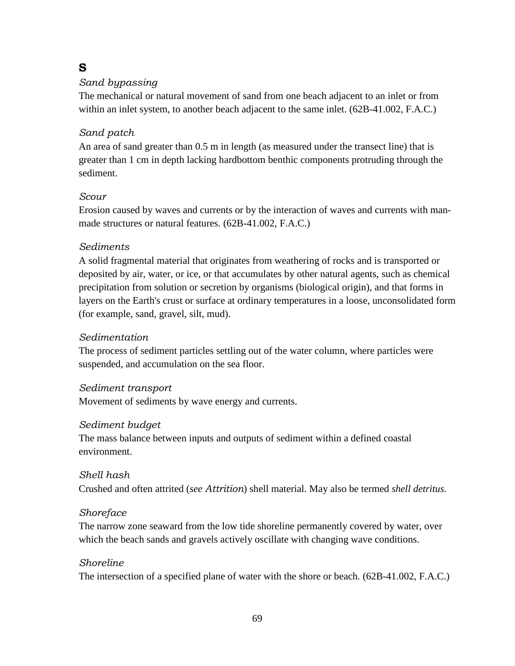## **S**

#### *Sand bypassing*

The mechanical or natural movement of sand from one beach adjacent to an inlet or from within an inlet system, to another beach adjacent to the same inlet. (62B-41.002, F.A.C.)

#### *Sand patch*

An area of sand greater than 0.5 m in length (as measured under the transect line) that is greater than 1 cm in depth lacking hardbottom benthic components protruding through the sediment.

#### *Scour*

Erosion caused by waves and currents or by the interaction of waves and currents with manmade structures or natural features. (62B-41.002, F.A.C.)

#### *Sediments*

A solid fragmental material that originates from weathering of rocks and is transported or deposited by air, water, or ice, or that accumulates by other natural agents, such as chemical precipitation from solution or secretion by organisms (biological origin), and that forms in layers on the Earth's crust or surface at ordinary temperatures in a loose, unconsolidated form (for example, sand, gravel, silt, mud).

#### *Sedimentation*

The process of sediment particles settling out of the water column, where particles were suspended, and accumulation on the sea floor.

#### *Sediment transport*

Movement of sediments by wave energy and currents.

#### *Sediment budget*

The mass balance between inputs and outputs of sediment within a defined coastal environment.

#### *Shell hash*  Crushed and often attrited (*see Attrition*) shell material. May also be termed *shell detritus.*

#### *Shoreface*

The narrow zone seaward from the low tide shoreline permanently covered by water, over which the beach sands and gravels actively oscillate with changing wave conditions.

#### *Shoreline*

The intersection of a specified plane of water with the shore or beach. (62B-41.002, F.A.C.)